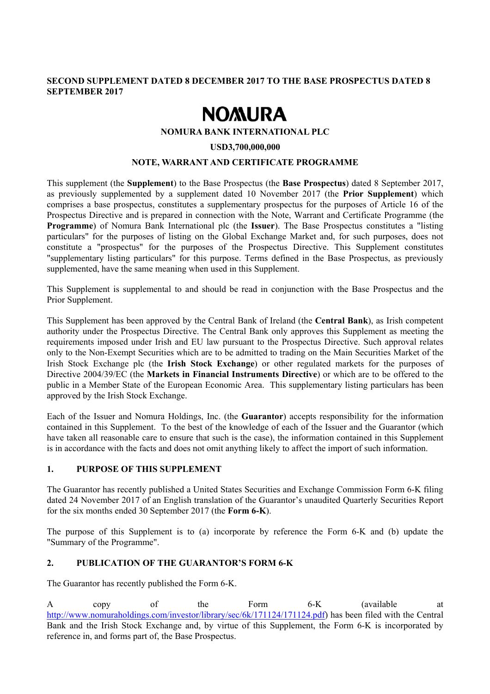## **SECOND SUPPLEMENT DATED 8 DECEMBER 2017 TO THE BASE PROSPECTUS DATED 8 SEPTEMBER 2017**

# **NOMURA**

## **NOMURA BANK INTERNATIONAL PLC**

#### **USD3,700,000,000**

## **NOTE, WARRANT AND CERTIFICATE PROGRAMME**

This supplement (the **Supplement**) to the Base Prospectus (the **Base Prospectus**) dated 8 September 2017, as previously supplemented by a supplement dated 10 November 2017 (the **Prior Supplement**) which comprises a base prospectus, constitutes a supplementary prospectus for the purposes of Article 16 of the Prospectus Directive and is prepared in connection with the Note, Warrant and Certificate Programme (the **Programme**) of Nomura Bank International plc (the **Issuer**). The Base Prospectus constitutes a "listing particulars" for the purposes of listing on the Global Exchange Market and, for such purposes, does not constitute a "prospectus" for the purposes of the Prospectus Directive. This Supplement constitutes "supplementary listing particulars" for this purpose. Terms defined in the Base Prospectus, as previously supplemented, have the same meaning when used in this Supplement.

This Supplement is supplemental to and should be read in conjunction with the Base Prospectus and the Prior Supplement.

This Supplement has been approved by the Central Bank of Ireland (the **Central Bank**), as Irish competent authority under the Prospectus Directive. The Central Bank only approves this Supplement as meeting the requirements imposed under Irish and EU law pursuant to the Prospectus Directive. Such approval relates only to the Non-Exempt Securities which are to be admitted to trading on the Main Securities Market of the Irish Stock Exchange plc (the **Irish Stock Exchange**) or other regulated markets for the purposes of Directive 2004/39/EC (the **Markets in Financial Instruments Directive**) or which are to be offered to the public in a Member State of the European Economic Area. This supplementary listing particulars has been approved by the Irish Stock Exchange.

Each of the Issuer and Nomura Holdings, Inc. (the **Guarantor**) accepts responsibility for the information contained in this Supplement. To the best of the knowledge of each of the Issuer and the Guarantor (which have taken all reasonable care to ensure that such is the case), the information contained in this Supplement is in accordance with the facts and does not omit anything likely to affect the import of such information.

## **1. PURPOSE OF THIS SUPPLEMENT**

The Guarantor has recently published a United States Securities and Exchange Commission Form 6-K filing dated 24 November 2017 of an English translation of the Guarantor's unaudited Quarterly Securities Report for the six months ended 30 September 2017 (the **Form 6-K**).

The purpose of this Supplement is to (a) incorporate by reference the Form 6-K and (b) update the "Summary of the Programme".

## **2. PUBLICATION OF THE GUARANTOR'S FORM 6-K**

The Guarantor has recently published the Form 6-K.

A copy of the Form 6-K (available at http://www.nomuraholdings.com/investor/library/sec/6k/171124/171124.pdf) has been filed with the Central Bank and the Irish Stock Exchange and, by virtue of this Supplement, the Form 6-K is incorporated by reference in, and forms part of, the Base Prospectus.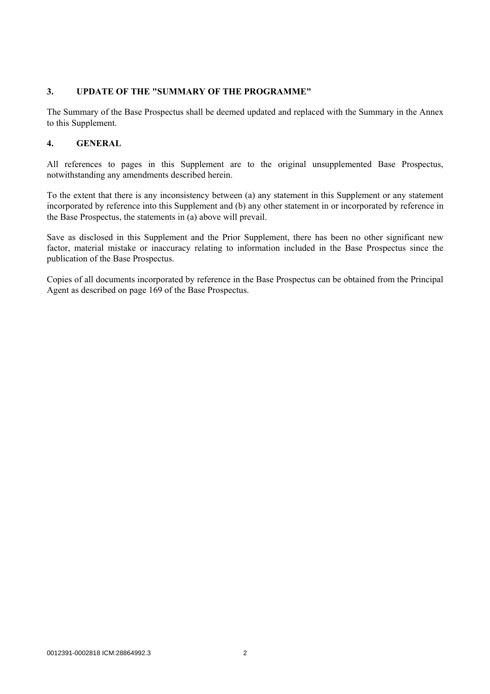## **3. UPDATE OF THE "SUMMARY OF THE PROGRAMME"**

The Summary of the Base Prospectus shall be deemed updated and replaced with the Summary in the Annex to this Supplement.

## **4. GENERAL**

All references to pages in this Supplement are to the original unsupplemented Base Prospectus, notwithstanding any amendments described herein.

To the extent that there is any inconsistency between (a) any statement in this Supplement or any statement incorporated by reference into this Supplement and (b) any other statement in or incorporated by reference in the Base Prospectus, the statements in (a) above will prevail.

Save as disclosed in this Supplement and the Prior Supplement, there has been no other significant new factor, material mistake or inaccuracy relating to information included in the Base Prospectus since the publication of the Base Prospectus.

Copies of all documents incorporated by reference in the Base Prospectus can be obtained from the Principal Agent as described on page 169 of the Base Prospectus.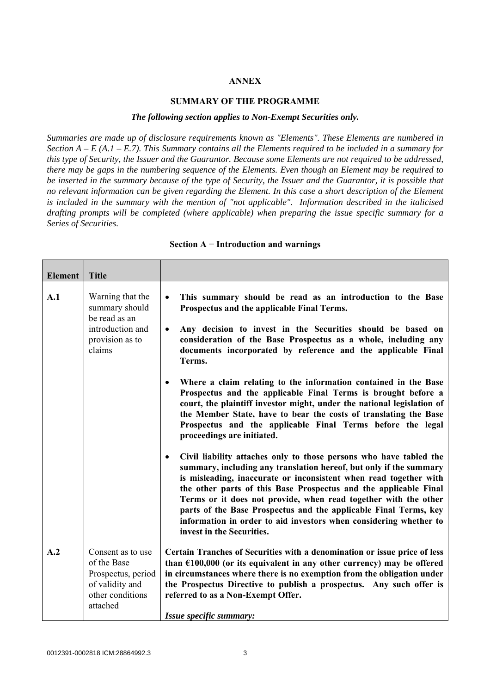## **ANNEX**

## **SUMMARY OF THE PROGRAMME**

#### *The following section applies to Non-Exempt Securities only.*

*Summaries are made up of disclosure requirements known as "Elements". These Elements are numbered in Section A – E (A.1 – E.7). This Summary contains all the Elements required to be included in a summary for this type of Security, the Issuer and the Guarantor. Because some Elements are not required to be addressed, there may be gaps in the numbering sequence of the Elements. Even though an Element may be required to be inserted in the summary because of the type of Security, the Issuer and the Guarantor, it is possible that no relevant information can be given regarding the Element. In this case a short description of the Element is included in the summary with the mention of "not applicable". Information described in the italicised drafting prompts will be completed (where applicable) when preparing the issue specific summary for a Series of Securities.*

| <b>Element</b> | <b>Title</b>                                                                                              |                                                                                                                                                                                                                                                                                                                                                                                                                                                                                                                                         |
|----------------|-----------------------------------------------------------------------------------------------------------|-----------------------------------------------------------------------------------------------------------------------------------------------------------------------------------------------------------------------------------------------------------------------------------------------------------------------------------------------------------------------------------------------------------------------------------------------------------------------------------------------------------------------------------------|
| A.1            | Warning that the<br>summary should<br>be read as an<br>introduction and<br>provision as to<br>claims      | This summary should be read as an introduction to the Base<br>$\bullet$<br>Prospectus and the applicable Final Terms.<br>Any decision to invest in the Securities should be based on<br>$\bullet$<br>consideration of the Base Prospectus as a whole, including any<br>documents incorporated by reference and the applicable Final<br>Terms.                                                                                                                                                                                           |
|                |                                                                                                           | Where a claim relating to the information contained in the Base<br>$\bullet$<br>Prospectus and the applicable Final Terms is brought before a<br>court, the plaintiff investor might, under the national legislation of<br>the Member State, have to bear the costs of translating the Base<br>Prospectus and the applicable Final Terms before the legal<br>proceedings are initiated.                                                                                                                                                 |
|                |                                                                                                           | Civil liability attaches only to those persons who have tabled the<br>$\bullet$<br>summary, including any translation hereof, but only if the summary<br>is misleading, inaccurate or inconsistent when read together with<br>the other parts of this Base Prospectus and the applicable Final<br>Terms or it does not provide, when read together with the other<br>parts of the Base Prospectus and the applicable Final Terms, key<br>information in order to aid investors when considering whether to<br>invest in the Securities. |
| A.2            | Consent as to use<br>of the Base<br>Prospectus, period<br>of validity and<br>other conditions<br>attached | Certain Tranches of Securities with a denomination or issue price of less<br>than $£100,000$ (or its equivalent in any other currency) may be offered<br>in circumstances where there is no exemption from the obligation under<br>the Prospectus Directive to publish a prospectus. Any such offer is<br>referred to as a Non-Exempt Offer.<br>Issue specific summary:                                                                                                                                                                 |

#### **Section A − Introduction and warnings**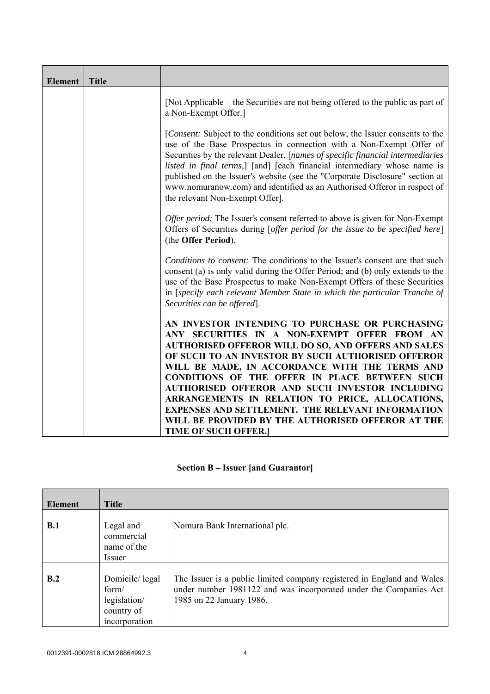| <b>Element</b> | <b>Title</b> |                                                                                                                                                                                                                                                                                                                                                                                                                                                                                                                   |
|----------------|--------------|-------------------------------------------------------------------------------------------------------------------------------------------------------------------------------------------------------------------------------------------------------------------------------------------------------------------------------------------------------------------------------------------------------------------------------------------------------------------------------------------------------------------|
|                |              | [Not Applicable – the Securities are not being offered to the public as part of<br>a Non-Exempt Offer.]                                                                                                                                                                                                                                                                                                                                                                                                           |
|                |              | [Consent: Subject to the conditions set out below, the Issuer consents to the<br>use of the Base Prospectus in connection with a Non-Exempt Offer of<br>Securities by the relevant Dealer, [names of specific financial intermediaries<br>listed in final terms,] [and] [each financial intermediary whose name is<br>published on the Issuer's website (see the "Corporate Disclosure" section at<br>www.nomuranow.com) and identified as an Authorised Offeror in respect of<br>the relevant Non-Exempt Offer]. |
|                |              | Offer period: The Issuer's consent referred to above is given for Non-Exempt<br>Offers of Securities during [offer period for the issue to be specified here]<br>(the Offer Period).                                                                                                                                                                                                                                                                                                                              |
|                |              | Conditions to consent: The conditions to the Issuer's consent are that such<br>consent (a) is only valid during the Offer Period; and (b) only extends to the<br>use of the Base Prospectus to make Non-Exempt Offers of these Securities<br>in [specify each relevant Member State in which the particular Tranche of<br>Securities can be offered.                                                                                                                                                              |
|                |              | AN INVESTOR INTENDING TO PURCHASE OR PURCHASING<br>ANY SECURITIES IN A NON-EXEMPT OFFER FROM AN<br><b>AUTHORISED OFFEROR WILL DO SO, AND OFFERS AND SALES</b><br>OF SUCH TO AN INVESTOR BY SUCH AUTHORISED OFFEROR<br>WILL BE MADE, IN ACCORDANCE WITH THE TERMS AND<br><b>CONDITIONS OF THE OFFER IN PLACE BETWEEN SUCH</b>                                                                                                                                                                                      |
|                |              | AUTHORISED OFFEROR AND SUCH INVESTOR INCLUDING<br>ARRANGEMENTS IN RELATION TO PRICE, ALLOCATIONS,<br><b>EXPENSES AND SETTLEMENT. THE RELEVANT INFORMATION</b><br>WILL BE PROVIDED BY THE AUTHORISED OFFEROR AT THE<br><b>TIME OF SUCH OFFER.]</b>                                                                                                                                                                                                                                                                 |

## **Section B – Issuer [and Guarantor]**

| <b>Element</b> | <b>Title</b>                                                           |                                                                                                                                                                         |
|----------------|------------------------------------------------------------------------|-------------------------------------------------------------------------------------------------------------------------------------------------------------------------|
| <b>B.1</b>     | Legal and<br>commercial<br>name of the<br>Issuer                       | Nomura Bank International plc.                                                                                                                                          |
| B.2            | Domicile/legal<br>form/<br>legislation/<br>country of<br>incorporation | The Issuer is a public limited company registered in England and Wales<br>under number 1981122 and was incorporated under the Companies Act<br>1985 on 22 January 1986. |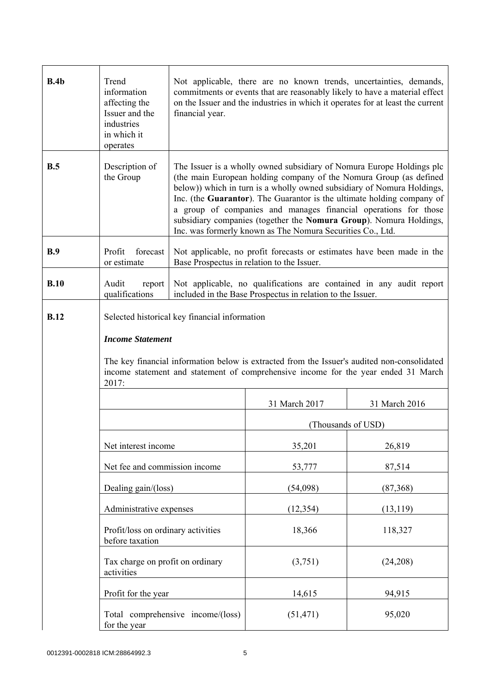| B.4b        | Trend<br>information<br>affecting the<br>Issuer and the<br>industries<br>in which it<br>operates | Not applicable, there are no known trends, uncertainties, demands,<br>commitments or events that are reasonably likely to have a material effect<br>on the Issuer and the industries in which it operates for at least the current<br>financial year.                                                                                                                                                                                                                                                  |                    |               |  |
|-------------|--------------------------------------------------------------------------------------------------|--------------------------------------------------------------------------------------------------------------------------------------------------------------------------------------------------------------------------------------------------------------------------------------------------------------------------------------------------------------------------------------------------------------------------------------------------------------------------------------------------------|--------------------|---------------|--|
| B.5         | Description of<br>the Group                                                                      | The Issuer is a wholly owned subsidiary of Nomura Europe Holdings plc<br>(the main European holding company of the Nomura Group (as defined<br>below)) which in turn is a wholly owned subsidiary of Nomura Holdings,<br>Inc. (the Guarantor). The Guarantor is the ultimate holding company of<br>a group of companies and manages financial operations for those<br>subsidiary companies (together the Nomura Group). Nomura Holdings,<br>Inc. was formerly known as The Nomura Securities Co., Ltd. |                    |               |  |
| B.9         | forecast<br>Profit<br>or estimate                                                                | Not applicable, no profit forecasts or estimates have been made in the<br>Base Prospectus in relation to the Issuer.                                                                                                                                                                                                                                                                                                                                                                                   |                    |               |  |
| B.10        | Audit<br>report<br>qualifications                                                                | Not applicable, no qualifications are contained in any audit report<br>included in the Base Prospectus in relation to the Issuer.                                                                                                                                                                                                                                                                                                                                                                      |                    |               |  |
| <b>B.12</b> | <b>Income Statement</b><br>2017:                                                                 | Selected historical key financial information<br>The key financial information below is extracted from the Issuer's audited non-consolidated<br>income statement and statement of comprehensive income for the year ended 31 March                                                                                                                                                                                                                                                                     |                    |               |  |
|             |                                                                                                  |                                                                                                                                                                                                                                                                                                                                                                                                                                                                                                        | 31 March 2017      | 31 March 2016 |  |
|             |                                                                                                  |                                                                                                                                                                                                                                                                                                                                                                                                                                                                                                        | (Thousands of USD) |               |  |
|             | Net interest income                                                                              |                                                                                                                                                                                                                                                                                                                                                                                                                                                                                                        | 35,201             | 26,819        |  |
|             | Net fee and commission income                                                                    |                                                                                                                                                                                                                                                                                                                                                                                                                                                                                                        | 53,777             | 87,514        |  |
|             | Dealing gain/(loss)                                                                              |                                                                                                                                                                                                                                                                                                                                                                                                                                                                                                        | (54,098)           | (87, 368)     |  |
|             | Administrative expenses                                                                          |                                                                                                                                                                                                                                                                                                                                                                                                                                                                                                        | (12, 354)          | (13, 119)     |  |
|             | Profit/loss on ordinary activities<br>before taxation                                            |                                                                                                                                                                                                                                                                                                                                                                                                                                                                                                        | 18,366             | 118,327       |  |
|             | Tax charge on profit on ordinary<br>activities                                                   |                                                                                                                                                                                                                                                                                                                                                                                                                                                                                                        | (3,751)            | (24,208)      |  |
|             | Profit for the year                                                                              |                                                                                                                                                                                                                                                                                                                                                                                                                                                                                                        | 14,615             | 94,915        |  |
|             | for the year                                                                                     | Total comprehensive income/(loss)                                                                                                                                                                                                                                                                                                                                                                                                                                                                      | (51, 471)          | 95,020        |  |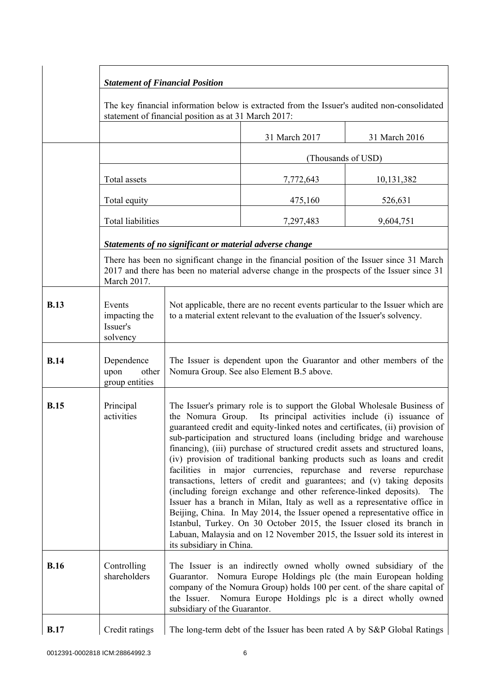|             |                                                                                                                                                     | <b>Statement of Financial Position</b>                                                                                                                                                                                                                                                                                                                                                                                                                                                                                                                                                                                                                                                                                                                                                                                                                                                                                                                                                                                                       |                                                                         |               |  |  |
|-------------|-----------------------------------------------------------------------------------------------------------------------------------------------------|----------------------------------------------------------------------------------------------------------------------------------------------------------------------------------------------------------------------------------------------------------------------------------------------------------------------------------------------------------------------------------------------------------------------------------------------------------------------------------------------------------------------------------------------------------------------------------------------------------------------------------------------------------------------------------------------------------------------------------------------------------------------------------------------------------------------------------------------------------------------------------------------------------------------------------------------------------------------------------------------------------------------------------------------|-------------------------------------------------------------------------|---------------|--|--|
|             | The key financial information below is extracted from the Issuer's audited non-consolidated<br>statement of financial position as at 31 March 2017: |                                                                                                                                                                                                                                                                                                                                                                                                                                                                                                                                                                                                                                                                                                                                                                                                                                                                                                                                                                                                                                              |                                                                         |               |  |  |
|             |                                                                                                                                                     |                                                                                                                                                                                                                                                                                                                                                                                                                                                                                                                                                                                                                                                                                                                                                                                                                                                                                                                                                                                                                                              | 31 March 2017                                                           | 31 March 2016 |  |  |
|             |                                                                                                                                                     |                                                                                                                                                                                                                                                                                                                                                                                                                                                                                                                                                                                                                                                                                                                                                                                                                                                                                                                                                                                                                                              | (Thousands of USD)                                                      |               |  |  |
|             | Total assets                                                                                                                                        |                                                                                                                                                                                                                                                                                                                                                                                                                                                                                                                                                                                                                                                                                                                                                                                                                                                                                                                                                                                                                                              | 7,772,643                                                               | 10,131,382    |  |  |
|             | Total equity                                                                                                                                        |                                                                                                                                                                                                                                                                                                                                                                                                                                                                                                                                                                                                                                                                                                                                                                                                                                                                                                                                                                                                                                              | 475,160                                                                 | 526,631       |  |  |
|             | Total liabilities                                                                                                                                   |                                                                                                                                                                                                                                                                                                                                                                                                                                                                                                                                                                                                                                                                                                                                                                                                                                                                                                                                                                                                                                              | 7,297,483                                                               | 9,604,751     |  |  |
|             |                                                                                                                                                     | Statements of no significant or material adverse change                                                                                                                                                                                                                                                                                                                                                                                                                                                                                                                                                                                                                                                                                                                                                                                                                                                                                                                                                                                      |                                                                         |               |  |  |
|             | March 2017.                                                                                                                                         | There has been no significant change in the financial position of the Issuer since 31 March<br>2017 and there has been no material adverse change in the prospects of the Issuer since 31                                                                                                                                                                                                                                                                                                                                                                                                                                                                                                                                                                                                                                                                                                                                                                                                                                                    |                                                                         |               |  |  |
| <b>B.13</b> | Events<br>impacting the<br>Issuer's<br>solvency                                                                                                     | Not applicable, there are no recent events particular to the Issuer which are<br>to a material extent relevant to the evaluation of the Issuer's solvency.                                                                                                                                                                                                                                                                                                                                                                                                                                                                                                                                                                                                                                                                                                                                                                                                                                                                                   |                                                                         |               |  |  |
| <b>B.14</b> | Dependence<br>upon<br>other<br>group entities                                                                                                       | The Issuer is dependent upon the Guarantor and other members of the<br>Nomura Group. See also Element B.5 above.                                                                                                                                                                                                                                                                                                                                                                                                                                                                                                                                                                                                                                                                                                                                                                                                                                                                                                                             |                                                                         |               |  |  |
| <b>B.15</b> | Principal<br>activities                                                                                                                             | The Issuer's primary role is to support the Global Wholesale Business of<br>Its principal activities include (i) issuance of<br>the Nomura Group.<br>guaranteed credit and equity-linked notes and certificates, (ii) provision of<br>sub-participation and structured loans (including bridge and warehouse<br>financing), (iii) purchase of structured credit assets and structured loans,<br>(iv) provision of traditional banking products such as loans and credit<br>facilities in major currencies, repurchase and reverse repurchase<br>transactions, letters of credit and guarantees; and (v) taking deposits<br>(including foreign exchange and other reference-linked deposits). The<br>Issuer has a branch in Milan, Italy as well as a representative office in<br>Beijing, China. In May 2014, the Issuer opened a representative office in<br>Istanbul, Turkey. On 30 October 2015, the Issuer closed its branch in<br>Labuan, Malaysia and on 12 November 2015, the Issuer sold its interest in<br>its subsidiary in China. |                                                                         |               |  |  |
| <b>B.16</b> | Controlling<br>shareholders                                                                                                                         | The Issuer is an indirectly owned wholly owned subsidiary of the<br>Guarantor. Nomura Europe Holdings plc (the main European holding<br>company of the Nomura Group) holds 100 per cent. of the share capital of<br>Nomura Europe Holdings plc is a direct wholly owned<br>the Issuer.<br>subsidiary of the Guarantor.                                                                                                                                                                                                                                                                                                                                                                                                                                                                                                                                                                                                                                                                                                                       |                                                                         |               |  |  |
| <b>B.17</b> | Credit ratings                                                                                                                                      |                                                                                                                                                                                                                                                                                                                                                                                                                                                                                                                                                                                                                                                                                                                                                                                                                                                                                                                                                                                                                                              | The long-term debt of the Issuer has been rated A by S&P Global Ratings |               |  |  |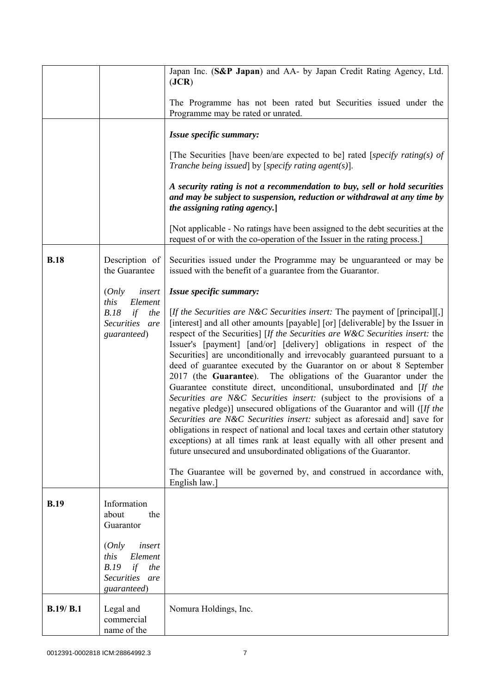|             |                                                                                          | Japan Inc. (S&P Japan) and AA- by Japan Credit Rating Agency, Ltd.<br>( <b>JCR</b> )                                                                                                                                                                                                                                                                                                                                                                                                                                                                                                                                                                                                                                                                                                                                                                                                                                                                                                                                                                                                                                                                                                   |  |  |
|-------------|------------------------------------------------------------------------------------------|----------------------------------------------------------------------------------------------------------------------------------------------------------------------------------------------------------------------------------------------------------------------------------------------------------------------------------------------------------------------------------------------------------------------------------------------------------------------------------------------------------------------------------------------------------------------------------------------------------------------------------------------------------------------------------------------------------------------------------------------------------------------------------------------------------------------------------------------------------------------------------------------------------------------------------------------------------------------------------------------------------------------------------------------------------------------------------------------------------------------------------------------------------------------------------------|--|--|
|             |                                                                                          | The Programme has not been rated but Securities issued under the<br>Programme may be rated or unrated.                                                                                                                                                                                                                                                                                                                                                                                                                                                                                                                                                                                                                                                                                                                                                                                                                                                                                                                                                                                                                                                                                 |  |  |
|             |                                                                                          | Issue specific summary:                                                                                                                                                                                                                                                                                                                                                                                                                                                                                                                                                                                                                                                                                                                                                                                                                                                                                                                                                                                                                                                                                                                                                                |  |  |
|             |                                                                                          | [The Securities [have been/are expected to be] rated [specify rating(s) of<br>Tranche being issued] by [specify rating agent(s)].                                                                                                                                                                                                                                                                                                                                                                                                                                                                                                                                                                                                                                                                                                                                                                                                                                                                                                                                                                                                                                                      |  |  |
|             |                                                                                          | A security rating is not a recommendation to buy, sell or hold securities<br>and may be subject to suspension, reduction or withdrawal at any time by<br>the assigning rating agency.                                                                                                                                                                                                                                                                                                                                                                                                                                                                                                                                                                                                                                                                                                                                                                                                                                                                                                                                                                                                  |  |  |
|             |                                                                                          | [Not applicable - No ratings have been assigned to the debt securities at the<br>request of or with the co-operation of the Issuer in the rating process.]                                                                                                                                                                                                                                                                                                                                                                                                                                                                                                                                                                                                                                                                                                                                                                                                                                                                                                                                                                                                                             |  |  |
| <b>B.18</b> | Description of<br>the Guarantee                                                          | Securities issued under the Programme may be unguaranteed or may be<br>issued with the benefit of a guarantee from the Guarantor.                                                                                                                                                                                                                                                                                                                                                                                                                                                                                                                                                                                                                                                                                                                                                                                                                                                                                                                                                                                                                                                      |  |  |
|             | (Only<br>insert                                                                          | Issue specific summary:                                                                                                                                                                                                                                                                                                                                                                                                                                                                                                                                                                                                                                                                                                                                                                                                                                                                                                                                                                                                                                                                                                                                                                |  |  |
|             | Element<br>this<br>B.18<br>if<br>the<br>Securities are<br>guaranteed)                    | [If the Securities are N&C Securities insert: The payment of [principal][,]<br>[interest] and all other amounts [payable] [or] [deliverable] by the Issuer in<br>respect of the Securities] [If the Securities are W&C Securities insert: the<br>Issuer's [payment] [and/or] [delivery] obligations in respect of the<br>Securities] are unconditionally and irrevocably guaranteed pursuant to a<br>deed of guarantee executed by the Guarantor on or about 8 September<br>2017 (the Guarantee). The obligations of the Guarantor under the<br>Guarantee constitute direct, unconditional, unsubordinated and [If the<br>Securities are N&C Securities insert: (subject to the provisions of a<br>negative pledge)] unsecured obligations of the Guarantor and will ([If the<br>Securities are N&C Securities insert: subject as aforesaid and] save for<br>obligations in respect of national and local taxes and certain other statutory<br>exceptions) at all times rank at least equally with all other present and<br>future unsecured and unsubordinated obligations of the Guarantor.<br>The Guarantee will be governed by, and construed in accordance with,<br>English law.] |  |  |
| <b>B.19</b> | Information<br>about<br>the<br>Guarantor                                                 |                                                                                                                                                                                                                                                                                                                                                                                                                                                                                                                                                                                                                                                                                                                                                                                                                                                                                                                                                                                                                                                                                                                                                                                        |  |  |
|             | (Only<br>insert<br>this<br>Element<br>B.19<br>if<br>the<br>Securities are<br>guaranteed) |                                                                                                                                                                                                                                                                                                                                                                                                                                                                                                                                                                                                                                                                                                                                                                                                                                                                                                                                                                                                                                                                                                                                                                                        |  |  |
| B.19/ B.1   | Legal and<br>commercial<br>name of the                                                   | Nomura Holdings, Inc.                                                                                                                                                                                                                                                                                                                                                                                                                                                                                                                                                                                                                                                                                                                                                                                                                                                                                                                                                                                                                                                                                                                                                                  |  |  |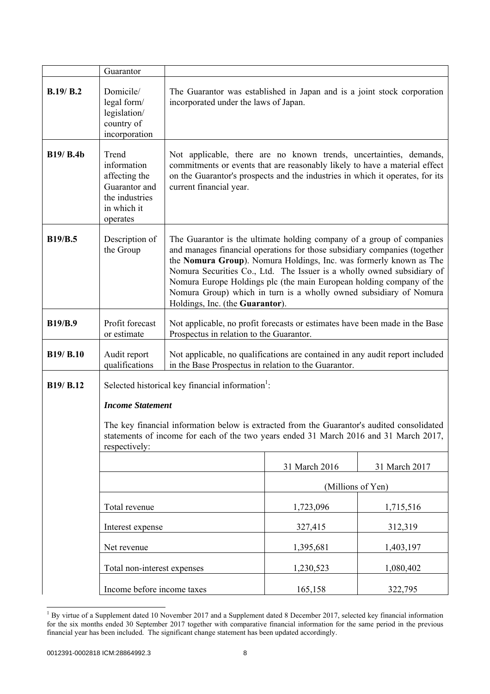|                  | Guarantor                                                                                                                                                                                                                                                                                       |                                                                                                                                                                                                                                                                                                                                                                                                                                                                                     |                   |               |  |
|------------------|-------------------------------------------------------------------------------------------------------------------------------------------------------------------------------------------------------------------------------------------------------------------------------------------------|-------------------------------------------------------------------------------------------------------------------------------------------------------------------------------------------------------------------------------------------------------------------------------------------------------------------------------------------------------------------------------------------------------------------------------------------------------------------------------------|-------------------|---------------|--|
| B.19/ B.2        | Domicile/<br>legal form/<br>legislation/<br>country of<br>incorporation                                                                                                                                                                                                                         | The Guarantor was established in Japan and is a joint stock corporation<br>incorporated under the laws of Japan.                                                                                                                                                                                                                                                                                                                                                                    |                   |               |  |
| <b>B19/ B.4b</b> | Trend<br>information<br>affecting the<br>Guarantor and<br>the industries<br>in which it<br>operates                                                                                                                                                                                             | Not applicable, there are no known trends, uncertainties, demands,<br>commitments or events that are reasonably likely to have a material effect<br>on the Guarantor's prospects and the industries in which it operates, for its<br>current financial year.                                                                                                                                                                                                                        |                   |               |  |
| <b>B19/B.5</b>   | Description of<br>the Group                                                                                                                                                                                                                                                                     | The Guarantor is the ultimate holding company of a group of companies<br>and manages financial operations for those subsidiary companies (together<br>the Nomura Group). Nomura Holdings, Inc. was formerly known as The<br>Nomura Securities Co., Ltd. The Issuer is a wholly owned subsidiary of<br>Nomura Europe Holdings plc (the main European holding company of the<br>Nomura Group) which in turn is a wholly owned subsidiary of Nomura<br>Holdings, Inc. (the Guarantor). |                   |               |  |
| <b>B19/B.9</b>   | Profit forecast<br>or estimate                                                                                                                                                                                                                                                                  | Not applicable, no profit forecasts or estimates have been made in the Base<br>Prospectus in relation to the Guarantor.                                                                                                                                                                                                                                                                                                                                                             |                   |               |  |
| B19/ B.10        | Audit report<br>qualifications                                                                                                                                                                                                                                                                  | Not applicable, no qualifications are contained in any audit report included<br>in the Base Prospectus in relation to the Guarantor.                                                                                                                                                                                                                                                                                                                                                |                   |               |  |
| B19/ B.12        | Selected historical key financial information <sup>1</sup> :<br><b>Income Statement</b><br>The key financial information below is extracted from the Guarantor's audited consolidated<br>statements of income for each of the two years ended 31 March 2016 and 31 March 2017,<br>respectively: |                                                                                                                                                                                                                                                                                                                                                                                                                                                                                     |                   |               |  |
|                  |                                                                                                                                                                                                                                                                                                 |                                                                                                                                                                                                                                                                                                                                                                                                                                                                                     | 31 March 2016     | 31 March 2017 |  |
|                  |                                                                                                                                                                                                                                                                                                 |                                                                                                                                                                                                                                                                                                                                                                                                                                                                                     | (Millions of Yen) |               |  |
|                  | Total revenue                                                                                                                                                                                                                                                                                   |                                                                                                                                                                                                                                                                                                                                                                                                                                                                                     | 1,723,096         | 1,715,516     |  |
|                  | Interest expense                                                                                                                                                                                                                                                                                |                                                                                                                                                                                                                                                                                                                                                                                                                                                                                     | 327,415           | 312,319       |  |
|                  | Net revenue                                                                                                                                                                                                                                                                                     |                                                                                                                                                                                                                                                                                                                                                                                                                                                                                     | 1,395,681         | 1,403,197     |  |
|                  | Total non-interest expenses                                                                                                                                                                                                                                                                     |                                                                                                                                                                                                                                                                                                                                                                                                                                                                                     | 1,230,523         | 1,080,402     |  |
|                  | Income before income taxes                                                                                                                                                                                                                                                                      |                                                                                                                                                                                                                                                                                                                                                                                                                                                                                     | 165,158           | 322,795       |  |

<sup>&</sup>lt;sup>1</sup> By virtue of a Supplement dated 10 November 2017 and a Supplement dated 8 December 2017, selected key financial information for the six months ended 30 September 2017 together with comparative financial information for the same period in the previous financial year has been included. The significant change statement has been updated accordingly.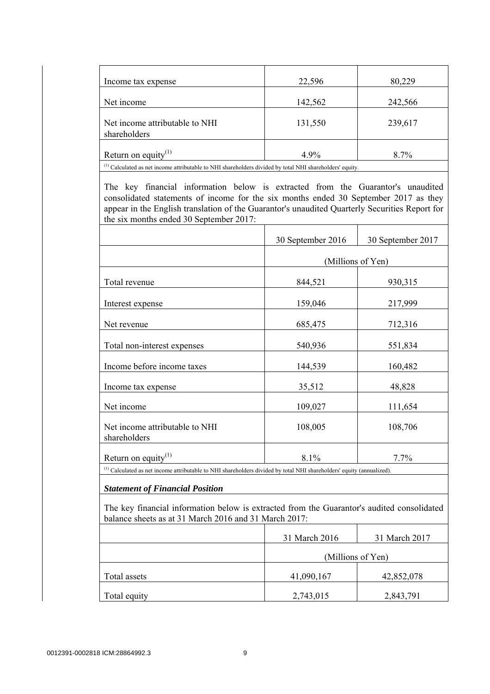|                                                | 22,596  | 80,229  |
|------------------------------------------------|---------|---------|
| Income tax expense                             |         |         |
| Net income                                     | 142,562 | 242,566 |
|                                                |         |         |
| Net income attributable to NHI<br>shareholders | 131,550 | 239,617 |
|                                                |         |         |
| Return on equity <sup>(1)</sup>                | 4.9%    | 8.7%    |

(1) Calculated as net income attributable to NHI shareholders divided by total NHI shareholders' equity.

 The key financial information below is extracted from the Guarantor's unaudited consolidated statements of income for the six months ended 30 September 2017 as they appear in the English translation of the Guarantor's unaudited Quarterly Securities Report for the six months ended 30 September 2017:

|                                                | 30 September 2016 | 30 September 2017 |
|------------------------------------------------|-------------------|-------------------|
|                                                | (Millions of Yen) |                   |
| Total revenue                                  | 844,521           | 930,315           |
| Interest expense                               | 159,046           | 217,999           |
| Net revenue                                    | 685,475           | 712,316           |
| Total non-interest expenses                    | 540,936           | 551,834           |
| Income before income taxes                     | 144,539           | 160,482           |
| Income tax expense                             | 35,512            | 48,828            |
| Net income                                     | 109,027           | 111,654           |
| Net income attributable to NHI<br>shareholders | 108,005           | 108,706           |
| Return on equity $(1)$                         | 8.1%              | 7.7%              |

(1) Calculated as net income attributable to NHI shareholders divided by total NHI shareholders' equity (annualized).

## *Statement of Financial Position*

 The key financial information below is extracted from the Guarantor's audited consolidated balance sheets as at 31 March 2016 and 31 March 2017:

|              | 31 March 2016     | 31 March 2017 |
|--------------|-------------------|---------------|
|              | (Millions of Yen) |               |
| Total assets | 41,090,167        | 42,852,078    |
| Total equity | 2,743,015         | 2,843,791     |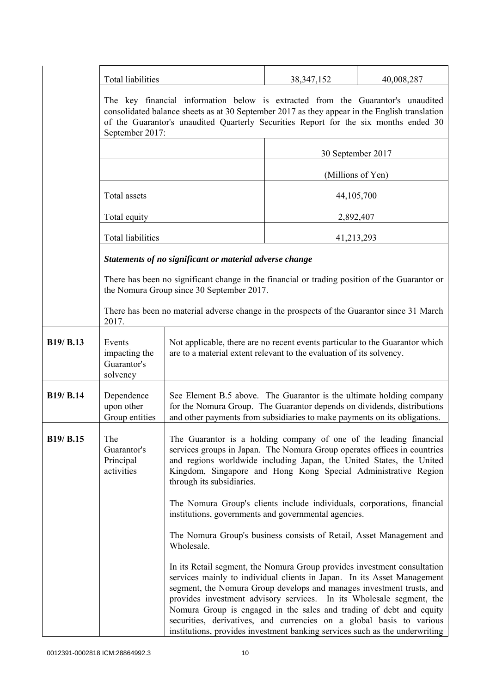|                  | Total liabilities                                  |                                                                                                                                                                                                                                                                                                                                                                                                                                                                                                                                    | 40,008,287<br>38, 347, 152 |                   |  |
|------------------|----------------------------------------------------|------------------------------------------------------------------------------------------------------------------------------------------------------------------------------------------------------------------------------------------------------------------------------------------------------------------------------------------------------------------------------------------------------------------------------------------------------------------------------------------------------------------------------------|----------------------------|-------------------|--|
|                  | September 2017:                                    | The key financial information below is extracted from the Guarantor's unaudited<br>consolidated balance sheets as at 30 September 2017 as they appear in the English translation<br>of the Guarantor's unaudited Quarterly Securities Report for the six months ended 30                                                                                                                                                                                                                                                           |                            |                   |  |
|                  |                                                    |                                                                                                                                                                                                                                                                                                                                                                                                                                                                                                                                    | 30 September 2017          |                   |  |
|                  |                                                    |                                                                                                                                                                                                                                                                                                                                                                                                                                                                                                                                    |                            | (Millions of Yen) |  |
|                  | Total assets                                       |                                                                                                                                                                                                                                                                                                                                                                                                                                                                                                                                    |                            | 44, 105, 700      |  |
|                  | Total equity                                       |                                                                                                                                                                                                                                                                                                                                                                                                                                                                                                                                    |                            | 2,892,407         |  |
|                  | <b>Total liabilities</b>                           |                                                                                                                                                                                                                                                                                                                                                                                                                                                                                                                                    |                            | 41,213,293        |  |
|                  |                                                    | Statements of no significant or material adverse change                                                                                                                                                                                                                                                                                                                                                                                                                                                                            |                            |                   |  |
|                  |                                                    | There has been no significant change in the financial or trading position of the Guarantor or<br>the Nomura Group since 30 September 2017.                                                                                                                                                                                                                                                                                                                                                                                         |                            |                   |  |
|                  | 2017.                                              | There has been no material adverse change in the prospects of the Guarantor since 31 March                                                                                                                                                                                                                                                                                                                                                                                                                                         |                            |                   |  |
| B19/ B.13        | Events<br>impacting the<br>Guarantor's<br>solvency | Not applicable, there are no recent events particular to the Guarantor which<br>are to a material extent relevant to the evaluation of its solvency.                                                                                                                                                                                                                                                                                                                                                                               |                            |                   |  |
| <b>B19/ B.14</b> | Dependence<br>upon other<br>Group entities         | See Element B.5 above. The Guarantor is the ultimate holding company<br>for the Nomura Group. The Guarantor depends on dividends, distributions<br>and other payments from subsidiaries to make payments on its obligations.                                                                                                                                                                                                                                                                                                       |                            |                   |  |
| B19/ B.15        | The<br>Guarantor's<br>Principal<br>activities      | The Guarantor is a holding company of one of the leading financial<br>services groups in Japan. The Nomura Group operates offices in countries<br>and regions worldwide including Japan, the United States, the United<br>Kingdom, Singapore and Hong Kong Special Administrative Region<br>through its subsidiaries.                                                                                                                                                                                                              |                            |                   |  |
|                  |                                                    | The Nomura Group's clients include individuals, corporations, financial<br>institutions, governments and governmental agencies.                                                                                                                                                                                                                                                                                                                                                                                                    |                            |                   |  |
|                  |                                                    | The Nomura Group's business consists of Retail, Asset Management and<br>Wholesale.                                                                                                                                                                                                                                                                                                                                                                                                                                                 |                            |                   |  |
|                  |                                                    | In its Retail segment, the Nomura Group provides investment consultation<br>services mainly to individual clients in Japan. In its Asset Management<br>segment, the Nomura Group develops and manages investment trusts, and<br>provides investment advisory services. In its Wholesale segment, the<br>Nomura Group is engaged in the sales and trading of debt and equity<br>securities, derivatives, and currencies on a global basis to various<br>institutions, provides investment banking services such as the underwriting |                            |                   |  |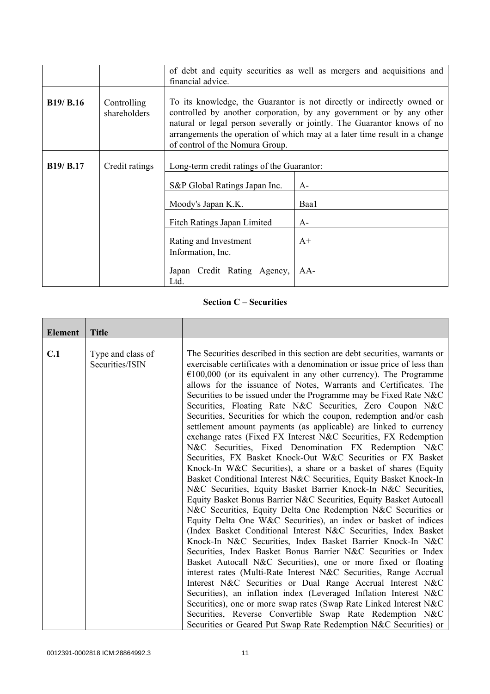|                  |                             | of debt and equity securities as well as mergers and acquisitions and<br>financial advice.                                                                                                                                                                                                                                                 |      |  |
|------------------|-----------------------------|--------------------------------------------------------------------------------------------------------------------------------------------------------------------------------------------------------------------------------------------------------------------------------------------------------------------------------------------|------|--|
| <b>B19/ B.16</b> | Controlling<br>shareholders | To its knowledge, the Guarantor is not directly or indirectly owned or<br>controlled by another corporation, by any government or by any other<br>natural or legal person severally or jointly. The Guarantor knows of no<br>arrangements the operation of which may at a later time result in a change<br>of control of the Nomura Group. |      |  |
| <b>B19/ B.17</b> | Credit ratings              | Long-term credit ratings of the Guarantor:                                                                                                                                                                                                                                                                                                 |      |  |
|                  |                             | S&P Global Ratings Japan Inc.                                                                                                                                                                                                                                                                                                              | $A-$ |  |
|                  |                             | Moody's Japan K.K.                                                                                                                                                                                                                                                                                                                         | Baa1 |  |
|                  |                             | Fitch Ratings Japan Limited<br>$A-$                                                                                                                                                                                                                                                                                                        |      |  |
|                  |                             | Rating and Investment<br>$A+$<br>Information, Inc.                                                                                                                                                                                                                                                                                         |      |  |
|                  |                             | Japan Credit Rating Agency,<br>$AA-$<br>Ltd.                                                                                                                                                                                                                                                                                               |      |  |

## **Section C – Securities**

| <b>Element</b> | <b>Title</b>                         |                                                                                                                                                                                                                                                                                                                                                                                                                                                                                                                                                                                                                                                                                                                                                                                                                                             |
|----------------|--------------------------------------|---------------------------------------------------------------------------------------------------------------------------------------------------------------------------------------------------------------------------------------------------------------------------------------------------------------------------------------------------------------------------------------------------------------------------------------------------------------------------------------------------------------------------------------------------------------------------------------------------------------------------------------------------------------------------------------------------------------------------------------------------------------------------------------------------------------------------------------------|
| C.1            | Type and class of<br>Securities/ISIN | The Securities described in this section are debt securities, warrants or<br>exercisable certificates with a denomination or issue price of less than<br>$€100,000$ (or its equivalent in any other currency). The Programme<br>allows for the issuance of Notes, Warrants and Certificates. The<br>Securities to be issued under the Programme may be Fixed Rate N&C<br>Securities, Floating Rate N&C Securities, Zero Coupon N&C<br>Securities, Securities for which the coupon, redemption and/or cash<br>settlement amount payments (as applicable) are linked to currency<br>exchange rates (Fixed FX Interest N&C Securities, FX Redemption<br>N&C Securities, Fixed Denomination FX Redemption N&C<br>Securities, FX Basket Knock-Out W&C Securities or FX Basket<br>Knock-In W&C Securities), a share or a basket of shares (Equity |
|                |                                      | Basket Conditional Interest N&C Securities, Equity Basket Knock-In<br>N&C Securities, Equity Basket Barrier Knock-In N&C Securities,<br>Equity Basket Bonus Barrier N&C Securities, Equity Basket Autocall<br>N&C Securities, Equity Delta One Redemption N&C Securities or<br>Equity Delta One W&C Securities), an index or basket of indices<br>(Index Basket Conditional Interest N&C Securities, Index Basket<br>Knock-In N&C Securities, Index Basket Barrier Knock-In N&C<br>Securities, Index Basket Bonus Barrier N&C Securities or Index<br>Basket Autocall N&C Securities), one or more fixed or floating<br>interest rates (Multi-Rate Interest N&C Securities, Range Accrual<br>Interest N&C Securities or Dual Range Accrual Interest N&C                                                                                      |
|                |                                      | Securities), an inflation index (Leveraged Inflation Interest N&C<br>Securities), one or more swap rates (Swap Rate Linked Interest N&C<br>Securities, Reverse Convertible Swap Rate Redemption N&C<br>Securities or Geared Put Swap Rate Redemption N&C Securities) or                                                                                                                                                                                                                                                                                                                                                                                                                                                                                                                                                                     |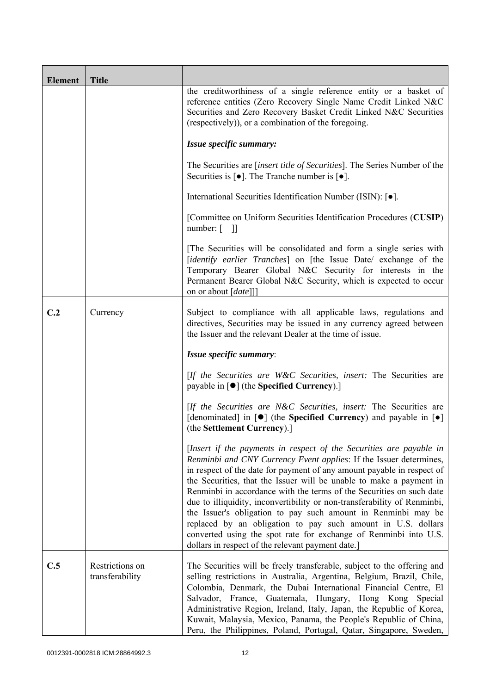| <b>Element</b> | <b>Title</b>                       |                                                                                                                                                                                                                                                                                                                                                                                                                                                                                                                                                                                                                                                                                                          |
|----------------|------------------------------------|----------------------------------------------------------------------------------------------------------------------------------------------------------------------------------------------------------------------------------------------------------------------------------------------------------------------------------------------------------------------------------------------------------------------------------------------------------------------------------------------------------------------------------------------------------------------------------------------------------------------------------------------------------------------------------------------------------|
|                |                                    | the creditworthiness of a single reference entity or a basket of<br>reference entities (Zero Recovery Single Name Credit Linked N&C<br>Securities and Zero Recovery Basket Credit Linked N&C Securities<br>(respectively)), or a combination of the foregoing.                                                                                                                                                                                                                                                                                                                                                                                                                                           |
|                |                                    | Issue specific summary:                                                                                                                                                                                                                                                                                                                                                                                                                                                                                                                                                                                                                                                                                  |
|                |                                    | The Securities are <i>[insert title of Securities]</i> . The Series Number of the<br>Securities is $\lceil \bullet \rceil$ . The Tranche number is $\lceil \bullet \rceil$ .                                                                                                                                                                                                                                                                                                                                                                                                                                                                                                                             |
|                |                                    | International Securities Identification Number (ISIN): [ $\bullet$ ].                                                                                                                                                                                                                                                                                                                                                                                                                                                                                                                                                                                                                                    |
|                |                                    | [Committee on Uniform Securities Identification Procedures (CUSIP)<br>number: $\lceil \quad \rceil$                                                                                                                                                                                                                                                                                                                                                                                                                                                                                                                                                                                                      |
|                |                                    | The Securities will be consolidated and form a single series with<br>[identify earlier Tranches] on [the Issue Date/ exchange of the<br>Temporary Bearer Global N&C Security for interests in the<br>Permanent Bearer Global N&C Security, which is expected to occur<br>on or about [date]]]                                                                                                                                                                                                                                                                                                                                                                                                            |
| C.2            | Currency                           | Subject to compliance with all applicable laws, regulations and<br>directives, Securities may be issued in any currency agreed between<br>the Issuer and the relevant Dealer at the time of issue.                                                                                                                                                                                                                                                                                                                                                                                                                                                                                                       |
|                |                                    | Issue specific summary:                                                                                                                                                                                                                                                                                                                                                                                                                                                                                                                                                                                                                                                                                  |
|                |                                    | [If the Securities are W&C Securities, insert: The Securities are<br>payable in $\lceil \bullet \rceil$ (the Specified Currency).]                                                                                                                                                                                                                                                                                                                                                                                                                                                                                                                                                                       |
|                |                                    | [If the Securities are N&C Securities, insert: The Securities are<br>[denominated] in $[\bullet]$ (the Specified Currency) and payable in $[\bullet]$<br>(the Settlement Currency).]                                                                                                                                                                                                                                                                                                                                                                                                                                                                                                                     |
|                |                                    | [Insert if the payments in respect of the Securities are payable in<br>Renminbi and CNY Currency Event applies: If the Issuer determines,<br>in respect of the date for payment of any amount payable in respect of<br>the Securities, that the Issuer will be unable to make a payment in<br>Renminbi in accordance with the terms of the Securities on such date<br>due to illiquidity, inconvertibility or non-transferability of Renminbi,<br>the Issuer's obligation to pay such amount in Renminbi may be<br>replaced by an obligation to pay such amount in U.S. dollars<br>converted using the spot rate for exchange of Renminbi into U.S.<br>dollars in respect of the relevant payment date.] |
| C.5            | Restrictions on<br>transferability | The Securities will be freely transferable, subject to the offering and<br>selling restrictions in Australia, Argentina, Belgium, Brazil, Chile,<br>Colombia, Denmark, the Dubai International Financial Centre, El<br>Salvador, France, Guatemala, Hungary, Hong Kong Special<br>Administrative Region, Ireland, Italy, Japan, the Republic of Korea,<br>Kuwait, Malaysia, Mexico, Panama, the People's Republic of China,<br>Peru, the Philippines, Poland, Portugal, Qatar, Singapore, Sweden,                                                                                                                                                                                                        |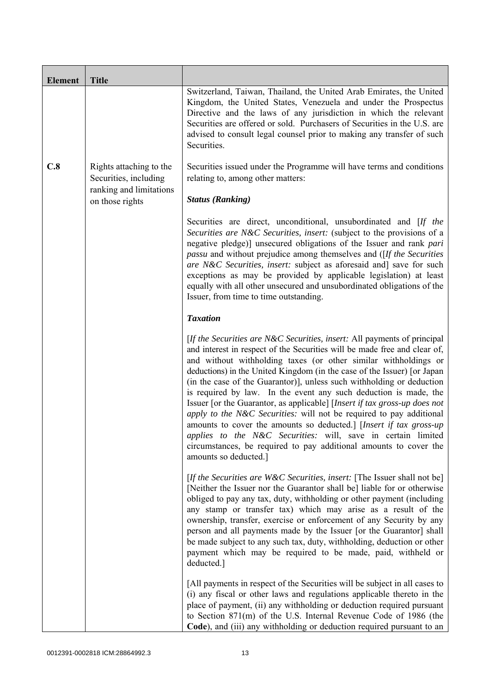| <b>Element</b> | <b>Title</b>                                     |                                                                                                                                                                                                                                                                                                                                                                                                                                                                                                                                                                                                                                                                                                                                                                                                                                          |
|----------------|--------------------------------------------------|------------------------------------------------------------------------------------------------------------------------------------------------------------------------------------------------------------------------------------------------------------------------------------------------------------------------------------------------------------------------------------------------------------------------------------------------------------------------------------------------------------------------------------------------------------------------------------------------------------------------------------------------------------------------------------------------------------------------------------------------------------------------------------------------------------------------------------------|
|                |                                                  | Switzerland, Taiwan, Thailand, the United Arab Emirates, the United<br>Kingdom, the United States, Venezuela and under the Prospectus<br>Directive and the laws of any jurisdiction in which the relevant<br>Securities are offered or sold. Purchasers of Securities in the U.S. are<br>advised to consult legal counsel prior to making any transfer of such<br>Securities.                                                                                                                                                                                                                                                                                                                                                                                                                                                            |
| C.8            | Rights attaching to the<br>Securities, including | Securities issued under the Programme will have terms and conditions<br>relating to, among other matters:                                                                                                                                                                                                                                                                                                                                                                                                                                                                                                                                                                                                                                                                                                                                |
|                | ranking and limitations<br>on those rights       | <b>Status (Ranking)</b>                                                                                                                                                                                                                                                                                                                                                                                                                                                                                                                                                                                                                                                                                                                                                                                                                  |
|                |                                                  | Securities are direct, unconditional, unsubordinated and [If the<br>Securities are N&C Securities, insert: (subject to the provisions of a<br>negative pledge)] unsecured obligations of the Issuer and rank pari<br><i>passu</i> and without prejudice among themselves and ([If the Securities]<br>are N&C Securities, insert: subject as aforesaid and] save for such<br>exceptions as may be provided by applicable legislation) at least<br>equally with all other unsecured and unsubordinated obligations of the<br>Issuer, from time to time outstanding.                                                                                                                                                                                                                                                                        |
|                |                                                  | <b>Taxation</b>                                                                                                                                                                                                                                                                                                                                                                                                                                                                                                                                                                                                                                                                                                                                                                                                                          |
|                |                                                  | [If the Securities are N&C Securities, insert: All payments of principal<br>and interest in respect of the Securities will be made free and clear of,<br>and without withholding taxes (or other similar withholdings or<br>deductions) in the United Kingdom (in the case of the Issuer) [or Japan<br>(in the case of the Guarantor)], unless such withholding or deduction<br>is required by law. In the event any such deduction is made, the<br>Issuer [or the Guarantor, as applicable] [Insert if tax gross-up does not<br>apply to the N&C Securities: will not be required to pay additional<br>amounts to cover the amounts so deducted.] [Insert if tax gross-up<br>applies to the N&C Securities: will, save in certain limited<br>circumstances, be required to pay additional amounts to cover the<br>amounts so deducted.] |
|                |                                                  | [If the Securities are W&C Securities, insert: [The Issuer shall not be]<br>[Neither the Issuer nor the Guarantor shall be] liable for or otherwise<br>obliged to pay any tax, duty, withholding or other payment (including<br>any stamp or transfer tax) which may arise as a result of the<br>ownership, transfer, exercise or enforcement of any Security by any<br>person and all payments made by the Issuer [or the Guarantor] shall<br>be made subject to any such tax, duty, withholding, deduction or other<br>payment which may be required to be made, paid, withheld or<br>deducted.]                                                                                                                                                                                                                                       |
|                |                                                  | [All payments in respect of the Securities will be subject in all cases to<br>(i) any fiscal or other laws and regulations applicable thereto in the<br>place of payment, (ii) any withholding or deduction required pursuant<br>to Section 871(m) of the U.S. Internal Revenue Code of 1986 (the<br>Code), and (iii) any withholding or deduction required pursuant to an                                                                                                                                                                                                                                                                                                                                                                                                                                                               |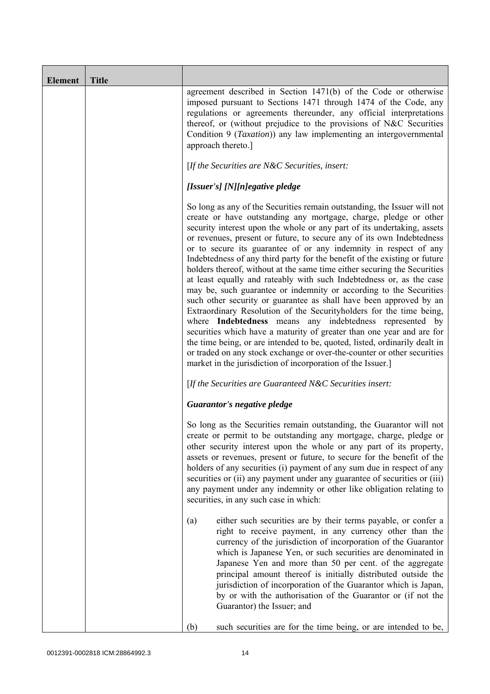| <b>Element</b> | <b>Title</b> |                                                                                                                                                                                                                                                                                                                                                                                                                                                                                                                                                                                                                                                                                                                                                                                                                                                                                                                                                                                                                                                                                                                                                                                       |
|----------------|--------------|---------------------------------------------------------------------------------------------------------------------------------------------------------------------------------------------------------------------------------------------------------------------------------------------------------------------------------------------------------------------------------------------------------------------------------------------------------------------------------------------------------------------------------------------------------------------------------------------------------------------------------------------------------------------------------------------------------------------------------------------------------------------------------------------------------------------------------------------------------------------------------------------------------------------------------------------------------------------------------------------------------------------------------------------------------------------------------------------------------------------------------------------------------------------------------------|
|                |              | agreement described in Section 1471(b) of the Code or otherwise<br>imposed pursuant to Sections 1471 through 1474 of the Code, any<br>regulations or agreements thereunder, any official interpretations<br>thereof, or (without prejudice to the provisions of N&C Securities<br>Condition 9 ( <i>Taxation</i> )) any law implementing an intergovernmental<br>approach thereto.]                                                                                                                                                                                                                                                                                                                                                                                                                                                                                                                                                                                                                                                                                                                                                                                                    |
|                |              | [If the Securities are N&C Securities, insert:                                                                                                                                                                                                                                                                                                                                                                                                                                                                                                                                                                                                                                                                                                                                                                                                                                                                                                                                                                                                                                                                                                                                        |
|                |              | [Issuer's] [N][n]egative pledge                                                                                                                                                                                                                                                                                                                                                                                                                                                                                                                                                                                                                                                                                                                                                                                                                                                                                                                                                                                                                                                                                                                                                       |
|                |              | So long as any of the Securities remain outstanding, the Issuer will not<br>create or have outstanding any mortgage, charge, pledge or other<br>security interest upon the whole or any part of its undertaking, assets<br>or revenues, present or future, to secure any of its own Indebtedness<br>or to secure its guarantee of or any indemnity in respect of any<br>Indebtedness of any third party for the benefit of the existing or future<br>holders thereof, without at the same time either securing the Securities<br>at least equally and rateably with such Indebtedness or, as the case<br>may be, such guarantee or indemnity or according to the Securities<br>such other security or guarantee as shall have been approved by an<br>Extraordinary Resolution of the Securityholders for the time being,<br>where Indebtedness means any indebtedness represented by<br>securities which have a maturity of greater than one year and are for<br>the time being, or are intended to be, quoted, listed, ordinarily dealt in<br>or traded on any stock exchange or over-the-counter or other securities<br>market in the jurisdiction of incorporation of the Issuer.] |
|                |              | [If the Securities are Guaranteed N&C Securities insert:                                                                                                                                                                                                                                                                                                                                                                                                                                                                                                                                                                                                                                                                                                                                                                                                                                                                                                                                                                                                                                                                                                                              |
|                |              | Guarantor's negative pledge                                                                                                                                                                                                                                                                                                                                                                                                                                                                                                                                                                                                                                                                                                                                                                                                                                                                                                                                                                                                                                                                                                                                                           |
|                |              | So long as the Securities remain outstanding, the Guarantor will not<br>create or permit to be outstanding any mortgage, charge, pledge or<br>other security interest upon the whole or any part of its property,<br>assets or revenues, present or future, to secure for the benefit of the<br>holders of any securities (i) payment of any sum due in respect of any<br>securities or (ii) any payment under any guarantee of securities or (iii)<br>any payment under any indemnity or other like obligation relating to<br>securities, in any such case in which:                                                                                                                                                                                                                                                                                                                                                                                                                                                                                                                                                                                                                 |
|                |              | either such securities are by their terms payable, or confer a<br>(a)<br>right to receive payment, in any currency other than the<br>currency of the jurisdiction of incorporation of the Guarantor<br>which is Japanese Yen, or such securities are denominated in<br>Japanese Yen and more than 50 per cent. of the aggregate<br>principal amount thereof is initially distributed outside the<br>jurisdiction of incorporation of the Guarantor which is Japan,<br>by or with the authorisation of the Guarantor or (if not the<br>Guarantor) the Issuer; and                                                                                                                                                                                                                                                                                                                                                                                                                                                                                                                                                                                                                      |
|                |              | (b)<br>such securities are for the time being, or are intended to be,                                                                                                                                                                                                                                                                                                                                                                                                                                                                                                                                                                                                                                                                                                                                                                                                                                                                                                                                                                                                                                                                                                                 |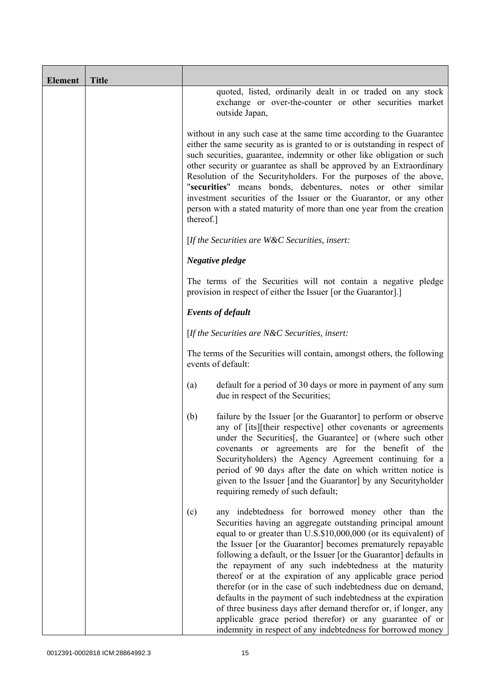| <b>Element</b> | <b>Title</b> |                                                                                                                                                                                                                                                                                                                                                                                                                                                                                                                                                                                                                                                                                                                            |
|----------------|--------------|----------------------------------------------------------------------------------------------------------------------------------------------------------------------------------------------------------------------------------------------------------------------------------------------------------------------------------------------------------------------------------------------------------------------------------------------------------------------------------------------------------------------------------------------------------------------------------------------------------------------------------------------------------------------------------------------------------------------------|
|                |              | quoted, listed, ordinarily dealt in or traded on any stock<br>exchange or over-the-counter or other securities market<br>outside Japan,                                                                                                                                                                                                                                                                                                                                                                                                                                                                                                                                                                                    |
|                |              | without in any such case at the same time according to the Guarantee<br>either the same security as is granted to or is outstanding in respect of<br>such securities, guarantee, indemnity or other like obligation or such<br>other security or guarantee as shall be approved by an Extraordinary<br>Resolution of the Securityholders. For the purposes of the above,<br>"securities" means bonds, debentures, notes or other similar<br>investment securities of the Issuer or the Guarantor, or any other<br>person with a stated maturity of more than one year from the creation<br>thereof.]                                                                                                                       |
|                |              | [If the Securities are $W\&C$ Securities, insert:                                                                                                                                                                                                                                                                                                                                                                                                                                                                                                                                                                                                                                                                          |
|                |              | Negative pledge                                                                                                                                                                                                                                                                                                                                                                                                                                                                                                                                                                                                                                                                                                            |
|                |              | The terms of the Securities will not contain a negative pledge<br>provision in respect of either the Issuer [or the Guarantor].]                                                                                                                                                                                                                                                                                                                                                                                                                                                                                                                                                                                           |
|                |              | <b>Events of default</b>                                                                                                                                                                                                                                                                                                                                                                                                                                                                                                                                                                                                                                                                                                   |
|                |              | [If the Securities are N&C Securities, insert:                                                                                                                                                                                                                                                                                                                                                                                                                                                                                                                                                                                                                                                                             |
|                |              | The terms of the Securities will contain, amongst others, the following<br>events of default:                                                                                                                                                                                                                                                                                                                                                                                                                                                                                                                                                                                                                              |
|                |              | default for a period of 30 days or more in payment of any sum<br>(a)<br>due in respect of the Securities;                                                                                                                                                                                                                                                                                                                                                                                                                                                                                                                                                                                                                  |
|                |              | failure by the Issuer [or the Guarantor] to perform or observe<br>(b)<br>any of [its][their respective] other covenants or agreements<br>under the Securities[, the Guarantee] or (where such other<br>covenants or agreements are for the benefit of the<br>Securityholders) the Agency Agreement continuing for a<br>period of 90 days after the date on which written notice is<br>given to the Issuer [and the Guarantor] by any Securityholder<br>requiring remedy of such default;                                                                                                                                                                                                                                   |
|                |              | any indebtedness for borrowed money other than the<br>(c)<br>Securities having an aggregate outstanding principal amount<br>equal to or greater than U.S.\$10,000,000 (or its equivalent) of<br>the Issuer [or the Guarantor] becomes prematurely repayable<br>following a default, or the Issuer [or the Guarantor] defaults in<br>the repayment of any such indebtedness at the maturity<br>thereof or at the expiration of any applicable grace period<br>therefor (or in the case of such indebtedness due on demand,<br>defaults in the payment of such indebtedness at the expiration<br>of three business days after demand therefor or, if longer, any<br>applicable grace period therefor) or any guarantee of or |
|                |              | indemnity in respect of any indebtedness for borrowed money                                                                                                                                                                                                                                                                                                                                                                                                                                                                                                                                                                                                                                                                |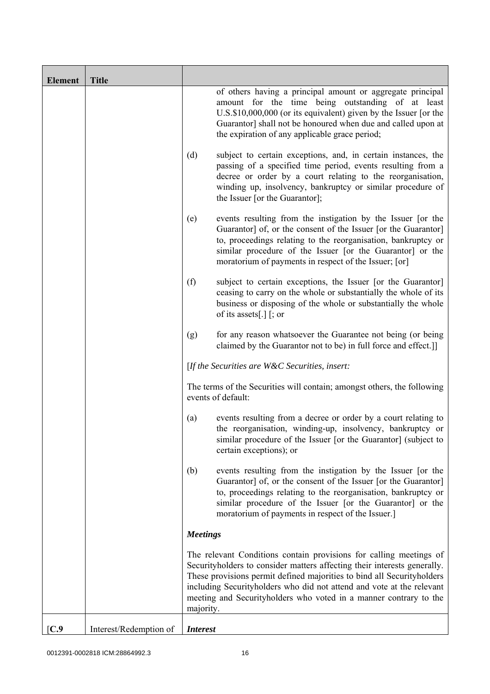| <b>Element</b> | <b>Title</b>           |                 |                                                                                                                                                                                                                                                                                                                                                                        |
|----------------|------------------------|-----------------|------------------------------------------------------------------------------------------------------------------------------------------------------------------------------------------------------------------------------------------------------------------------------------------------------------------------------------------------------------------------|
|                |                        |                 | of others having a principal amount or aggregate principal<br>amount for the time being outstanding of at least<br>U.S.\$10,000,000 (or its equivalent) given by the Issuer [or the<br>Guarantor] shall not be honoured when due and called upon at<br>the expiration of any applicable grace period;                                                                  |
|                |                        | (d)             | subject to certain exceptions, and, in certain instances, the<br>passing of a specified time period, events resulting from a<br>decree or order by a court relating to the reorganisation,<br>winding up, insolvency, bankruptcy or similar procedure of<br>the Issuer [or the Guarantor];                                                                             |
|                |                        | (e)             | events resulting from the instigation by the Issuer [or the<br>Guarantor] of, or the consent of the Issuer [or the Guarantor]<br>to, proceedings relating to the reorganisation, bankruptcy or<br>similar procedure of the Issuer [or the Guarantor] or the<br>moratorium of payments in respect of the Issuer; [or]                                                   |
|                |                        | (f)             | subject to certain exceptions, the Issuer [or the Guarantor]<br>ceasing to carry on the whole or substantially the whole of its<br>business or disposing of the whole or substantially the whole<br>of its assets[.] $\lceil$ ; or                                                                                                                                     |
|                |                        | (g)             | for any reason whatsoever the Guarantee not being (or being<br>claimed by the Guarantor not to be) in full force and effect.]                                                                                                                                                                                                                                          |
|                |                        |                 | [If the Securities are $W\&C$ Securities, insert:                                                                                                                                                                                                                                                                                                                      |
|                |                        |                 | The terms of the Securities will contain; amongst others, the following<br>events of default:                                                                                                                                                                                                                                                                          |
|                |                        | (a)             | events resulting from a decree or order by a court relating to<br>the reorganisation, winding-up, insolvency, bankruptcy or<br>similar procedure of the Issuer [or the Guarantor] (subject to<br>certain exceptions); or                                                                                                                                               |
|                |                        | (b)             | events resulting from the instigation by the Issuer [or the<br>Guarantor] of, or the consent of the Issuer [or the Guarantor]<br>to, proceedings relating to the reorganisation, bankruptcy or<br>similar procedure of the Issuer [or the Guarantor] or the<br>moratorium of payments in respect of the Issuer.]                                                       |
|                |                        | <b>Meetings</b> |                                                                                                                                                                                                                                                                                                                                                                        |
|                |                        | majority.       | The relevant Conditions contain provisions for calling meetings of<br>Securityholders to consider matters affecting their interests generally.<br>These provisions permit defined majorities to bind all Securityholders<br>including Securityholders who did not attend and vote at the relevant<br>meeting and Securityholders who voted in a manner contrary to the |
| C.9            | Interest/Redemption of | <b>Interest</b> |                                                                                                                                                                                                                                                                                                                                                                        |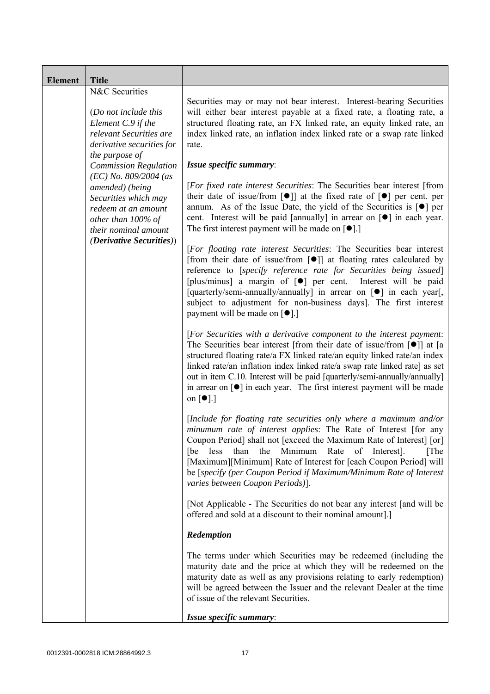| <b>Element</b> | <b>Title</b>                                                                                                                                                            |                                                                                                                                                                                                                                                                                                                                                                                                                                                                                                                                            |
|----------------|-------------------------------------------------------------------------------------------------------------------------------------------------------------------------|--------------------------------------------------------------------------------------------------------------------------------------------------------------------------------------------------------------------------------------------------------------------------------------------------------------------------------------------------------------------------------------------------------------------------------------------------------------------------------------------------------------------------------------------|
|                | N&C Securities<br>(Do not include this<br>Element C.9 if the<br>relevant Securities are<br>derivative securities for<br>the purpose of                                  | Securities may or may not bear interest. Interest-bearing Securities<br>will either bear interest payable at a fixed rate, a floating rate, a<br>structured floating rate, an FX linked rate, an equity linked rate, an<br>index linked rate, an inflation index linked rate or a swap rate linked<br>rate.                                                                                                                                                                                                                                |
|                | <b>Commission Regulation</b><br>$(EC)$ No. 809/2004 (as<br>amended) (being<br>Securities which may<br>redeem at an amount<br>other than 100% of<br>their nominal amount | Issue specific summary:<br>[For fixed rate interest Securities: The Securities bear interest [from<br>their date of issue/from $\lceil \bullet \rceil$ at the fixed rate of $\lceil \bullet \rceil$ per cent. per<br>annum. As of the Issue Date, the yield of the Securities is $\lceil \bullet \rceil$ per<br>cent. Interest will be paid [annually] in arrear on [ $\bullet$ ] in each year.<br>The first interest payment will be made on $[\bullet]$ .]                                                                               |
|                | <i>(Derivative Securities))</i>                                                                                                                                         | [For floating rate interest Securities: The Securities bear interest<br>[from their date of issue/from $\lceil \bullet \rceil$ ] at floating rates calculated by<br>reference to [specify reference rate for Securities being issued]<br>[plus/minus] a margin of $[\bullet]$ per cent.<br>Interest will be paid<br>[quarterly/semi-annually/annually] in arrear on [ $\bullet$ ] in each year[,<br>subject to adjustment for non-business days]. The first interest<br>payment will be made on $\lceil \bullet \rceil$ .                  |
|                |                                                                                                                                                                         | [For Securities with a derivative component to the interest payment:<br>The Securities bear interest [from their date of issue/from $\lceil \bullet \rceil$ ] at [a<br>structured floating rate/a FX linked rate/an equity linked rate/an index<br>linked rate/an inflation index linked rate/a swap rate linked rate] as set<br>out in item C.10. Interest will be paid [quarterly/semi-annually/annually]<br>in arrear on $\lceil \bullet \rceil$ in each year. The first interest payment will be made<br>on $\lceil \bullet \rceil$ .] |
|                |                                                                                                                                                                         | [Include for floating rate securities only where a maximum and/or<br>minumum rate of interest applies: The Rate of Interest [for any<br>Coupon Period] shall not [exceed the Maximum Rate of Interest] [or]<br>less<br>the<br>Minimum Rate<br>than<br>of Interest.<br>[The<br>[be<br>[Maximum][Minimum] Rate of Interest for [each Coupon Period] will<br>be [specify (per Coupon Period if Maximum/Minimum Rate of Interest<br>varies between Coupon Periods)].                                                                           |
|                |                                                                                                                                                                         | [Not Applicable - The Securities do not bear any interest [and will be<br>offered and sold at a discount to their nominal amount].]                                                                                                                                                                                                                                                                                                                                                                                                        |
|                |                                                                                                                                                                         | Redemption                                                                                                                                                                                                                                                                                                                                                                                                                                                                                                                                 |
|                |                                                                                                                                                                         | The terms under which Securities may be redeemed (including the<br>maturity date and the price at which they will be redeemed on the<br>maturity date as well as any provisions relating to early redemption)<br>will be agreed between the Issuer and the relevant Dealer at the time<br>of issue of the relevant Securities.                                                                                                                                                                                                             |
|                |                                                                                                                                                                         | Issue specific summary:                                                                                                                                                                                                                                                                                                                                                                                                                                                                                                                    |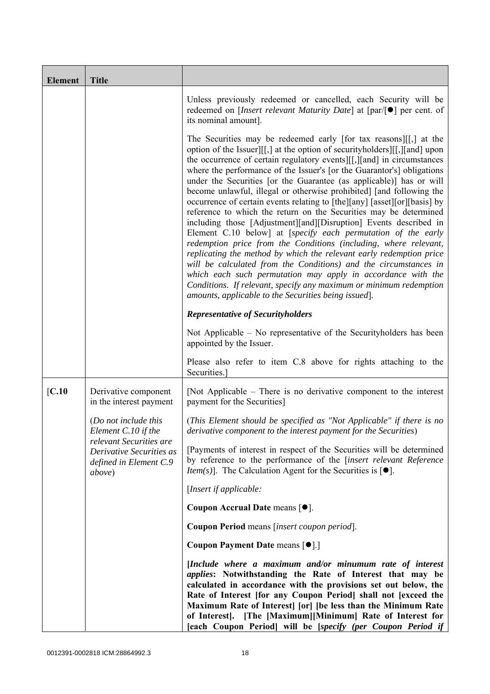| <b>Element</b> | <b>Title</b>                                                                            |                                                                                                                                                                                                                                                                                                                                                                                                                                                                                                                                                                                                                                                                                                                                                                                                                                                                                                                                                                                                                                                                                                                                                          |
|----------------|-----------------------------------------------------------------------------------------|----------------------------------------------------------------------------------------------------------------------------------------------------------------------------------------------------------------------------------------------------------------------------------------------------------------------------------------------------------------------------------------------------------------------------------------------------------------------------------------------------------------------------------------------------------------------------------------------------------------------------------------------------------------------------------------------------------------------------------------------------------------------------------------------------------------------------------------------------------------------------------------------------------------------------------------------------------------------------------------------------------------------------------------------------------------------------------------------------------------------------------------------------------|
|                |                                                                                         | Unless previously redeemed or cancelled, each Security will be<br>redeemed on [ <i>Insert relevant Maturity Date</i> ] at $\lceil par/\lceil \bullet \rceil$ per cent. of<br>its nominal amount].                                                                                                                                                                                                                                                                                                                                                                                                                                                                                                                                                                                                                                                                                                                                                                                                                                                                                                                                                        |
|                |                                                                                         | The Securities may be redeemed early [for tax reasons][[,] at the<br>option of the Issuer][[,] at the option of security holders][[,][and] upon<br>the occurrence of certain regulatory events [[[,][and] in circumstances<br>where the performance of the Issuer's [or the Guarantor's] obligations<br>under the Securities [or the Guarantee (as applicable)] has or will<br>become unlawful, illegal or otherwise prohibited] [and following the<br>occurrence of certain events relating to [the][any] [asset][or][basis] by<br>reference to which the return on the Securities may be determined<br>including those [Adjustment][and][Disruption] Events described in<br>Element C.10 below] at [specify each permutation of the early<br>redemption price from the Conditions (including, where relevant,<br>replicating the method by which the relevant early redemption price<br>will be calculated from the Conditions) and the circumstances in<br>which each such permutation may apply in accordance with the<br>Conditions. If relevant, specify any maximum or minimum redemption<br>amounts, applicable to the Securities being issued]. |
|                |                                                                                         | <b>Representative of Securityholders</b>                                                                                                                                                                                                                                                                                                                                                                                                                                                                                                                                                                                                                                                                                                                                                                                                                                                                                                                                                                                                                                                                                                                 |
|                |                                                                                         | Not Applicable – No representative of the Security holders has been<br>appointed by the Issuer.                                                                                                                                                                                                                                                                                                                                                                                                                                                                                                                                                                                                                                                                                                                                                                                                                                                                                                                                                                                                                                                          |
|                |                                                                                         | Please also refer to item C.8 above for rights attaching to the<br>Securities.                                                                                                                                                                                                                                                                                                                                                                                                                                                                                                                                                                                                                                                                                                                                                                                                                                                                                                                                                                                                                                                                           |
| IC.10          | Derivative component<br>in the interest payment                                         | [Not Applicable – There is no derivative component to the interest<br>payment for the Securities]                                                                                                                                                                                                                                                                                                                                                                                                                                                                                                                                                                                                                                                                                                                                                                                                                                                                                                                                                                                                                                                        |
|                | (Do not include this<br>Element C.10 if the                                             | (This Element should be specified as "Not Applicable" if there is no<br>derivative component to the interest payment for the Securities)                                                                                                                                                                                                                                                                                                                                                                                                                                                                                                                                                                                                                                                                                                                                                                                                                                                                                                                                                                                                                 |
|                | relevant Securities are<br>Derivative Securities as<br>defined in Element C.9<br>above) | [Payments of interest in respect of the Securities will be determined<br>by reference to the performance of the [insert relevant Reference<br><i>Item(s)</i> ]. The Calculation Agent for the Securities is $[•]$ .                                                                                                                                                                                                                                                                                                                                                                                                                                                                                                                                                                                                                                                                                                                                                                                                                                                                                                                                      |
|                |                                                                                         | [Insert if applicable:                                                                                                                                                                                                                                                                                                                                                                                                                                                                                                                                                                                                                                                                                                                                                                                                                                                                                                                                                                                                                                                                                                                                   |
|                |                                                                                         | Coupon Accrual Date means [ $\bullet$ ].                                                                                                                                                                                                                                                                                                                                                                                                                                                                                                                                                                                                                                                                                                                                                                                                                                                                                                                                                                                                                                                                                                                 |
|                |                                                                                         | Coupon Period means [insert coupon period].                                                                                                                                                                                                                                                                                                                                                                                                                                                                                                                                                                                                                                                                                                                                                                                                                                                                                                                                                                                                                                                                                                              |
|                |                                                                                         | Coupon Payment Date means [ $\bullet$ ].]                                                                                                                                                                                                                                                                                                                                                                                                                                                                                                                                                                                                                                                                                                                                                                                                                                                                                                                                                                                                                                                                                                                |
|                |                                                                                         | [Include where a maximum and/or minumum rate of interest<br><i>applies:</i> Notwithstanding the Rate of Interest that may be<br>calculated in accordance with the provisions set out below, the<br>Rate of Interest [for any Coupon Period] shall not [exceed the<br>Maximum Rate of Interest [or] [be less than the Minimum Rate<br>of Interest]. [The [Maximum][Minimum] Rate of Interest for<br>[each Coupon Period] will be [specify (per Coupon Period if                                                                                                                                                                                                                                                                                                                                                                                                                                                                                                                                                                                                                                                                                           |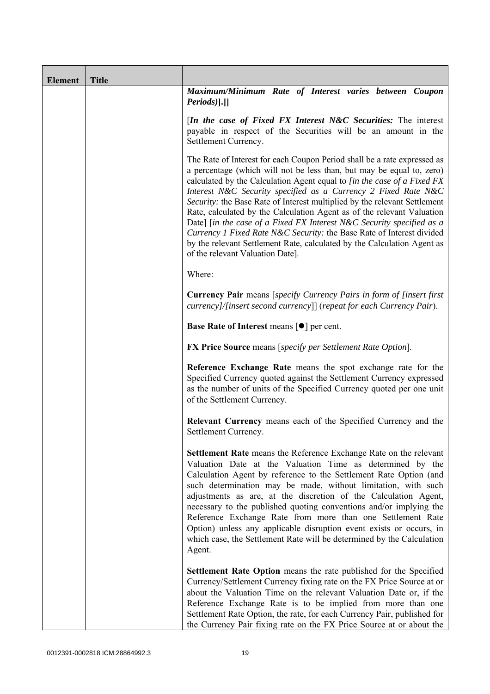| <b>Element</b> | <b>Title</b> |                                                                                                                                                                                                                                                                                                                                                                                                                                                                                                                                                                                                                                                                                                                        |
|----------------|--------------|------------------------------------------------------------------------------------------------------------------------------------------------------------------------------------------------------------------------------------------------------------------------------------------------------------------------------------------------------------------------------------------------------------------------------------------------------------------------------------------------------------------------------------------------------------------------------------------------------------------------------------------------------------------------------------------------------------------------|
|                |              | Maximum/Minimum Rate of Interest varies between Coupon<br>$Periods$ ].]                                                                                                                                                                                                                                                                                                                                                                                                                                                                                                                                                                                                                                                |
|                |              | [In the case of Fixed FX Interest N&C Securities: The interest<br>payable in respect of the Securities will be an amount in the<br>Settlement Currency.                                                                                                                                                                                                                                                                                                                                                                                                                                                                                                                                                                |
|                |              | The Rate of Interest for each Coupon Period shall be a rate expressed as<br>a percentage (which will not be less than, but may be equal to, zero)<br>calculated by the Calculation Agent equal to [in the case of a Fixed FX<br>Interest N&C Security specified as a Currency 2 Fixed Rate N&C<br>Security: the Base Rate of Interest multiplied by the relevant Settlement<br>Rate, calculated by the Calculation Agent as of the relevant Valuation<br>Date] [in the case of a Fixed FX Interest N&C Security specified as a<br>Currency 1 Fixed Rate N&C Security: the Base Rate of Interest divided<br>by the relevant Settlement Rate, calculated by the Calculation Agent as<br>of the relevant Valuation Date]. |
|                |              | Where:                                                                                                                                                                                                                                                                                                                                                                                                                                                                                                                                                                                                                                                                                                                 |
|                |              | <b>Currency Pair</b> means [specify Currency Pairs in form of [insert first]<br>currency]/[insert second currency]] (repeat for each Currency Pair).                                                                                                                                                                                                                                                                                                                                                                                                                                                                                                                                                                   |
|                |              | Base Rate of Interest means [ $\bullet$ ] per cent.                                                                                                                                                                                                                                                                                                                                                                                                                                                                                                                                                                                                                                                                    |
|                |              | <b>FX Price Source</b> means [specify per Settlement Rate Option].                                                                                                                                                                                                                                                                                                                                                                                                                                                                                                                                                                                                                                                     |
|                |              | Reference Exchange Rate means the spot exchange rate for the<br>Specified Currency quoted against the Settlement Currency expressed<br>as the number of units of the Specified Currency quoted per one unit<br>of the Settlement Currency.                                                                                                                                                                                                                                                                                                                                                                                                                                                                             |
|                |              | Relevant Currency means each of the Specified Currency and the<br>Settlement Currency.                                                                                                                                                                                                                                                                                                                                                                                                                                                                                                                                                                                                                                 |
|                |              | <b>Settlement Rate</b> means the Reference Exchange Rate on the relevant<br>Valuation Date at the Valuation Time as determined by the<br>Calculation Agent by reference to the Settlement Rate Option (and<br>such determination may be made, without limitation, with such<br>adjustments as are, at the discretion of the Calculation Agent,<br>necessary to the published quoting conventions and/or implying the<br>Reference Exchange Rate from more than one Settlement Rate<br>Option) unless any applicable disruption event exists or occurs, in<br>which case, the Settlement Rate will be determined by the Calculation<br>Agent.                                                                           |
|                |              | Settlement Rate Option means the rate published for the Specified<br>Currency/Settlement Currency fixing rate on the FX Price Source at or<br>about the Valuation Time on the relevant Valuation Date or, if the<br>Reference Exchange Rate is to be implied from more than one<br>Settlement Rate Option, the rate, for each Currency Pair, published for<br>the Currency Pair fixing rate on the FX Price Source at or about the                                                                                                                                                                                                                                                                                     |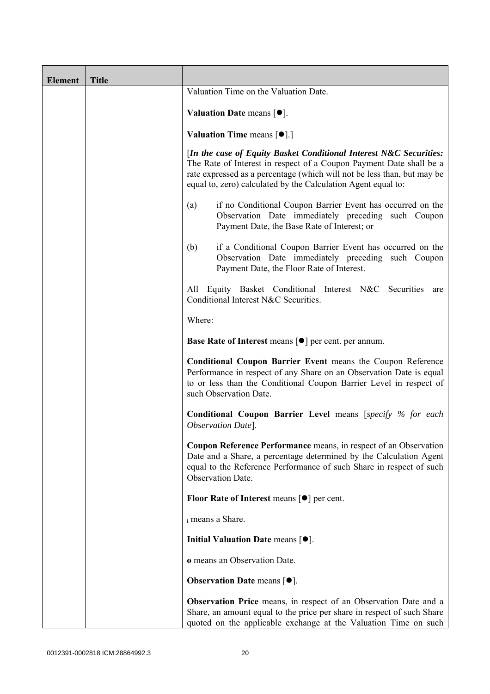| <b>Element</b> | <b>Title</b> |                                                                                                                                                                                                                                                                                       |
|----------------|--------------|---------------------------------------------------------------------------------------------------------------------------------------------------------------------------------------------------------------------------------------------------------------------------------------|
|                |              | Valuation Time on the Valuation Date.                                                                                                                                                                                                                                                 |
|                |              | Valuation Date means $\lceil \bullet \rceil$ .                                                                                                                                                                                                                                        |
|                |              | <b>Valuation Time means <math>\lceil \bullet \rceil</math>.</b>                                                                                                                                                                                                                       |
|                |              | [In the case of Equity Basket Conditional Interest N&C Securities:<br>The Rate of Interest in respect of a Coupon Payment Date shall be a<br>rate expressed as a percentage (which will not be less than, but may be<br>equal to, zero) calculated by the Calculation Agent equal to: |
|                |              | if no Conditional Coupon Barrier Event has occurred on the<br>(a)<br>Observation Date immediately preceding such Coupon<br>Payment Date, the Base Rate of Interest; or                                                                                                                |
|                |              | if a Conditional Coupon Barrier Event has occurred on the<br>(b)<br>Observation Date immediately preceding such Coupon<br>Payment Date, the Floor Rate of Interest.                                                                                                                   |
|                |              | All Equity Basket Conditional Interest N&C Securities<br>are<br>Conditional Interest N&C Securities.                                                                                                                                                                                  |
|                |              | Where:                                                                                                                                                                                                                                                                                |
|                |              | <b>Base Rate of Interest means <math>\lceil \bullet \rceil</math> per cent. per annum.</b>                                                                                                                                                                                            |
|                |              | <b>Conditional Coupon Barrier Event means the Coupon Reference</b><br>Performance in respect of any Share on an Observation Date is equal<br>to or less than the Conditional Coupon Barrier Level in respect of<br>such Observation Date.                                             |
|                |              | <b>Conditional Coupon Barrier Level means [specify % for each</b><br>Observation Date].                                                                                                                                                                                               |
|                |              | <b>Coupon Reference Performance</b> means, in respect of an Observation<br>Date and a Share, a percentage determined by the Calculation Agent<br>equal to the Reference Performance of such Share in respect of such<br>Observation Date.                                             |
|                |              | Floor Rate of Interest means $\lceil \bullet \rceil$ per cent.                                                                                                                                                                                                                        |
|                |              | i means a Share.                                                                                                                                                                                                                                                                      |
|                |              | Initial Valuation Date means $[•]$ .                                                                                                                                                                                                                                                  |
|                |              | o means an Observation Date.                                                                                                                                                                                                                                                          |
|                |              | <b>Observation Date means <math>[•]</math>.</b>                                                                                                                                                                                                                                       |
|                |              | Observation Price means, in respect of an Observation Date and a<br>Share, an amount equal to the price per share in respect of such Share<br>quoted on the applicable exchange at the Valuation Time on such                                                                         |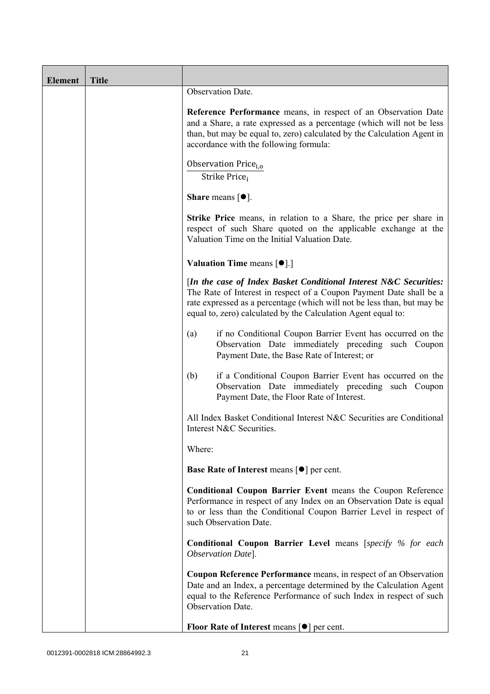| <b>Element</b> | <b>Title</b> |                                                                                                                                                                                                                                                                                      |
|----------------|--------------|--------------------------------------------------------------------------------------------------------------------------------------------------------------------------------------------------------------------------------------------------------------------------------------|
|                |              | Observation Date.                                                                                                                                                                                                                                                                    |
|                |              | Reference Performance means, in respect of an Observation Date<br>and a Share, a rate expressed as a percentage (which will not be less<br>than, but may be equal to, zero) calculated by the Calculation Agent in<br>accordance with the following formula:                         |
|                |              | Observation Price <sub>i.o</sub><br>Strike Price;                                                                                                                                                                                                                                    |
|                |              | <b>Share</b> means $\lceil \bullet \rceil$ .                                                                                                                                                                                                                                         |
|                |              | <b>Strike Price</b> means, in relation to a Share, the price per share in<br>respect of such Share quoted on the applicable exchange at the<br>Valuation Time on the Initial Valuation Date.                                                                                         |
|                |              | <b>Valuation Time means <math>\lceil \bullet \rceil</math>.</b>                                                                                                                                                                                                                      |
|                |              | [In the case of Index Basket Conditional Interest N&C Securities:<br>The Rate of Interest in respect of a Coupon Payment Date shall be a<br>rate expressed as a percentage (which will not be less than, but may be<br>equal to, zero) calculated by the Calculation Agent equal to: |
|                |              | if no Conditional Coupon Barrier Event has occurred on the<br>(a)<br>Observation Date immediately preceding such Coupon<br>Payment Date, the Base Rate of Interest; or                                                                                                               |
|                |              | if a Conditional Coupon Barrier Event has occurred on the<br>(b)<br>Observation Date immediately preceding such Coupon<br>Payment Date, the Floor Rate of Interest.                                                                                                                  |
|                |              | All Index Basket Conditional Interest N&C Securities are Conditional<br>Interest N&C Securities.                                                                                                                                                                                     |
|                |              | Where:                                                                                                                                                                                                                                                                               |
|                |              | Base Rate of Interest means [ $\bullet$ ] per cent.                                                                                                                                                                                                                                  |
|                |              | <b>Conditional Coupon Barrier Event means the Coupon Reference</b><br>Performance in respect of any Index on an Observation Date is equal<br>to or less than the Conditional Coupon Barrier Level in respect of<br>such Observation Date.                                            |
|                |              | <b>Conditional Coupon Barrier Level means [specify % for each</b><br>Observation Date].                                                                                                                                                                                              |
|                |              | Coupon Reference Performance means, in respect of an Observation<br>Date and an Index, a percentage determined by the Calculation Agent<br>equal to the Reference Performance of such Index in respect of such<br>Observation Date.                                                  |
|                |              | Floor Rate of Interest means $\lceil \bullet \rceil$ per cent.                                                                                                                                                                                                                       |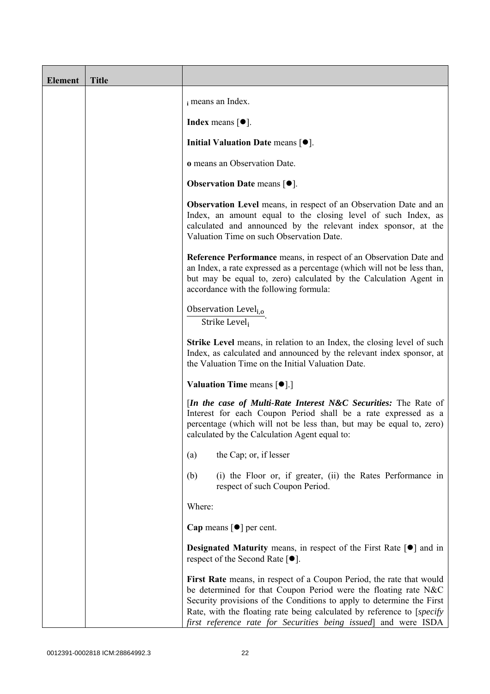| <b>Element</b> | <b>Title</b> |                                                                                                                                                                                                                                                                                                                                                               |
|----------------|--------------|---------------------------------------------------------------------------------------------------------------------------------------------------------------------------------------------------------------------------------------------------------------------------------------------------------------------------------------------------------------|
|                |              | i means an Index.                                                                                                                                                                                                                                                                                                                                             |
|                |              | <b>Index</b> means $\lceil \bullet \rceil$ .                                                                                                                                                                                                                                                                                                                  |
|                |              | Initial Valuation Date means $[•]$ .                                                                                                                                                                                                                                                                                                                          |
|                |              | o means an Observation Date.                                                                                                                                                                                                                                                                                                                                  |
|                |              | <b>Observation Date means <math>\lceil \bullet \rceil</math>.</b>                                                                                                                                                                                                                                                                                             |
|                |              | <b>Observation Level</b> means, in respect of an Observation Date and an<br>Index, an amount equal to the closing level of such Index, as<br>calculated and announced by the relevant index sponsor, at the<br>Valuation Time on such Observation Date.                                                                                                       |
|                |              | Reference Performance means, in respect of an Observation Date and<br>an Index, a rate expressed as a percentage (which will not be less than,<br>but may be equal to, zero) calculated by the Calculation Agent in<br>accordance with the following formula:                                                                                                 |
|                |              | Observation Level <sub>i,o</sub><br>Strike Level                                                                                                                                                                                                                                                                                                              |
|                |              | <b>Strike Level</b> means, in relation to an Index, the closing level of such<br>Index, as calculated and announced by the relevant index sponsor, at<br>the Valuation Time on the Initial Valuation Date.                                                                                                                                                    |
|                |              | <b>Valuation Time means <math>\lceil \bullet \rceil</math>.</b>                                                                                                                                                                                                                                                                                               |
|                |              | [In the case of Multi-Rate Interest N&C Securities: The Rate of<br>Interest for each Coupon Period shall be a rate expressed as a<br>percentage (which will not be less than, but may be equal to, zero)<br>calculated by the Calculation Agent equal to:                                                                                                     |
|                |              | the Cap; or, if lesser<br>(a)                                                                                                                                                                                                                                                                                                                                 |
|                |              | (i) the Floor or, if greater, (ii) the Rates Performance in<br>(b)<br>respect of such Coupon Period.                                                                                                                                                                                                                                                          |
|                |              | Where:                                                                                                                                                                                                                                                                                                                                                        |
|                |              | Cap means $\lceil \bullet \rceil$ per cent.                                                                                                                                                                                                                                                                                                                   |
|                |              | <b>Designated Maturity</b> means, in respect of the First Rate $\lceil \bullet \rceil$ and in<br>respect of the Second Rate $[•]$ .                                                                                                                                                                                                                           |
|                |              | First Rate means, in respect of a Coupon Period, the rate that would<br>be determined for that Coupon Period were the floating rate N&C<br>Security provisions of the Conditions to apply to determine the First<br>Rate, with the floating rate being calculated by reference to [specify]<br>first reference rate for Securities being issued and were ISDA |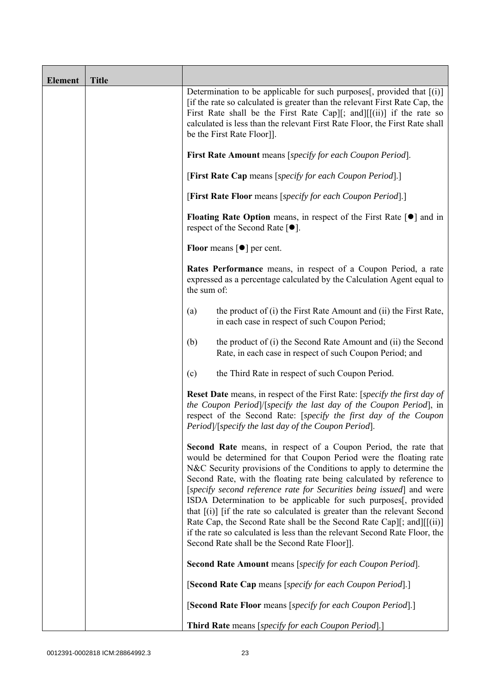| <b>Element</b> | <b>Title</b> |                                                                                                                                                                                                                                                                                                                                                                                                                                                                                                                                                                                                                                                                                                                       |
|----------------|--------------|-----------------------------------------------------------------------------------------------------------------------------------------------------------------------------------------------------------------------------------------------------------------------------------------------------------------------------------------------------------------------------------------------------------------------------------------------------------------------------------------------------------------------------------------------------------------------------------------------------------------------------------------------------------------------------------------------------------------------|
|                |              | Determination to be applicable for such purposes $[$ , provided that $[(i)]$<br>[if the rate so calculated is greater than the relevant First Rate Cap, the<br>First Rate shall be the First Rate Cap][; and][ $[(ii)]$ if the rate so<br>calculated is less than the relevant First Rate Floor, the First Rate shall<br>be the First Rate Floor]].                                                                                                                                                                                                                                                                                                                                                                   |
|                |              | First Rate Amount means [specify for each Coupon Period].                                                                                                                                                                                                                                                                                                                                                                                                                                                                                                                                                                                                                                                             |
|                |              | [First Rate Cap means [specify for each Coupon Period].]                                                                                                                                                                                                                                                                                                                                                                                                                                                                                                                                                                                                                                                              |
|                |              | [First Rate Floor means [specify for each Coupon Period].]                                                                                                                                                                                                                                                                                                                                                                                                                                                                                                                                                                                                                                                            |
|                |              | <b>Floating Rate Option</b> means, in respect of the First Rate $\lceil \bullet \rceil$ and in<br>respect of the Second Rate $[•]$ .                                                                                                                                                                                                                                                                                                                                                                                                                                                                                                                                                                                  |
|                |              | <b>Floor</b> means $\lceil \bullet \rceil$ per cent.                                                                                                                                                                                                                                                                                                                                                                                                                                                                                                                                                                                                                                                                  |
|                |              | Rates Performance means, in respect of a Coupon Period, a rate<br>expressed as a percentage calculated by the Calculation Agent equal to<br>the sum of:                                                                                                                                                                                                                                                                                                                                                                                                                                                                                                                                                               |
|                |              | the product of (i) the First Rate Amount and (ii) the First Rate,<br>(a)<br>in each case in respect of such Coupon Period;                                                                                                                                                                                                                                                                                                                                                                                                                                                                                                                                                                                            |
|                |              | the product of (i) the Second Rate Amount and (ii) the Second<br>(b)<br>Rate, in each case in respect of such Coupon Period; and                                                                                                                                                                                                                                                                                                                                                                                                                                                                                                                                                                                      |
|                |              | (c)<br>the Third Rate in respect of such Coupon Period.                                                                                                                                                                                                                                                                                                                                                                                                                                                                                                                                                                                                                                                               |
|                |              | <b>Reset Date</b> means, in respect of the First Rate: [specify the first day of<br>the Coupon Period]/[specify the last day of the Coupon Period], in<br>respect of the Second Rate: [specify the first day of the Coupon<br>Period /[specify the last day of the Coupon Period].                                                                                                                                                                                                                                                                                                                                                                                                                                    |
|                |              | Second Rate means, in respect of a Coupon Period, the rate that<br>would be determined for that Coupon Period were the floating rate<br>N&C Security provisions of the Conditions to apply to determine the<br>Second Rate, with the floating rate being calculated by reference to<br>[specify second reference rate for Securities being issued] and were<br>ISDA Determination to be applicable for such purposes[, provided<br>that $[(i)]$ [if the rate so calculated is greater than the relevant Second<br>Rate Cap, the Second Rate shall be the Second Rate Cap][; and][[(ii)]<br>if the rate so calculated is less than the relevant Second Rate Floor, the<br>Second Rate shall be the Second Rate Floor]. |
|                |              | Second Rate Amount means [specify for each Coupon Period].                                                                                                                                                                                                                                                                                                                                                                                                                                                                                                                                                                                                                                                            |
|                |              | [Second Rate Cap means [specify for each Coupon Period].]                                                                                                                                                                                                                                                                                                                                                                                                                                                                                                                                                                                                                                                             |
|                |              | [Second Rate Floor means [specify for each Coupon Period].]                                                                                                                                                                                                                                                                                                                                                                                                                                                                                                                                                                                                                                                           |
|                |              | <b>Third Rate</b> means [specify for each Coupon Period].]                                                                                                                                                                                                                                                                                                                                                                                                                                                                                                                                                                                                                                                            |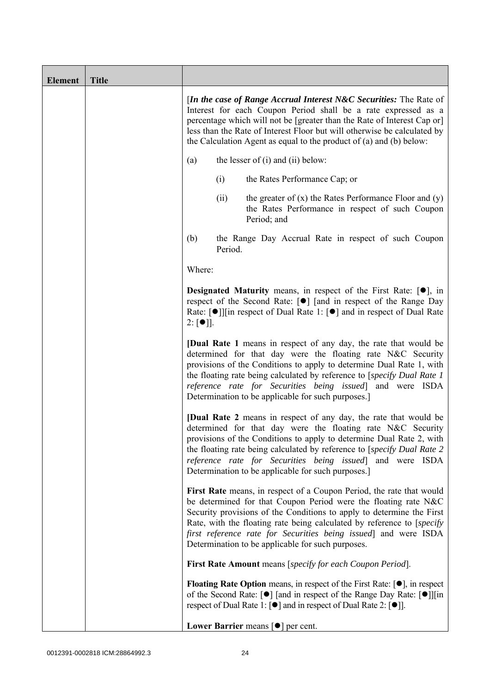| <b>Element</b> | <b>Title</b> |                                                                                                                                                                                                                                                                                                                                                                                                                    |
|----------------|--------------|--------------------------------------------------------------------------------------------------------------------------------------------------------------------------------------------------------------------------------------------------------------------------------------------------------------------------------------------------------------------------------------------------------------------|
|                |              | [In the case of Range Accrual Interest $N\&C$ Securities: The Rate of<br>Interest for each Coupon Period shall be a rate expressed as a<br>percentage which will not be [greater than the Rate of Interest Cap or]<br>less than the Rate of Interest Floor but will otherwise be calculated by<br>the Calculation Agent as equal to the product of $(a)$ and $(b)$ below:                                          |
|                |              | the lesser of $(i)$ and $(ii)$ below:<br>(a)                                                                                                                                                                                                                                                                                                                                                                       |
|                |              | (i)<br>the Rates Performance Cap; or                                                                                                                                                                                                                                                                                                                                                                               |
|                |              | the greater of $(x)$ the Rates Performance Floor and $(y)$<br>(ii)<br>the Rates Performance in respect of such Coupon<br>Period; and                                                                                                                                                                                                                                                                               |
|                |              | (b)<br>the Range Day Accrual Rate in respect of such Coupon<br>Period.                                                                                                                                                                                                                                                                                                                                             |
|                |              | Where:                                                                                                                                                                                                                                                                                                                                                                                                             |
|                |              | <b>Designated Maturity</b> means, in respect of the First Rate: $[•]$ , in<br>respect of the Second Rate: [●] [and in respect of the Range Day<br>Rate: [●]][in respect of Dual Rate 1: [●] and in respect of Dual Rate<br>$2: [\bullet]$ .                                                                                                                                                                        |
|                |              | <b>[Dual Rate 1</b> means in respect of any day, the rate that would be<br>determined for that day were the floating rate N&C Security<br>provisions of the Conditions to apply to determine Dual Rate 1, with<br>the floating rate being calculated by reference to [specify Dual Rate 1]<br>reference rate for Securities being issued] and were ISDA<br>Determination to be applicable for such purposes.       |
|                |              | <b>[Dual Rate 2</b> means in respect of any day, the rate that would be<br>determined for that day were the floating rate N&C Security<br>provisions of the Conditions to apply to determine Dual Rate 2, with<br>the floating rate being calculated by reference to [specify Dual Rate 2<br>reference rate for Securities being issued] and were ISDA<br>Determination to be applicable for such purposes.]       |
|                |              | First Rate means, in respect of a Coupon Period, the rate that would<br>be determined for that Coupon Period were the floating rate N&C<br>Security provisions of the Conditions to apply to determine the First<br>Rate, with the floating rate being calculated by reference to [specify]<br>first reference rate for Securities being issued and were ISDA<br>Determination to be applicable for such purposes. |
|                |              | First Rate Amount means [specify for each Coupon Period].                                                                                                                                                                                                                                                                                                                                                          |
|                |              | <b>Floating Rate Option</b> means, in respect of the First Rate: $[•]$ , in respect<br>of the Second Rate: [ $\bullet$ ] [and in respect of the Range Day Rate: [ $\bullet$ ]][in<br>respect of Dual Rate 1: $\lceil \bullet \rceil$ and in respect of Dual Rate 2: $\lceil \bullet \rceil$ .                                                                                                                      |
|                |              | Lower Barrier means $\lceil \bullet \rceil$ per cent.                                                                                                                                                                                                                                                                                                                                                              |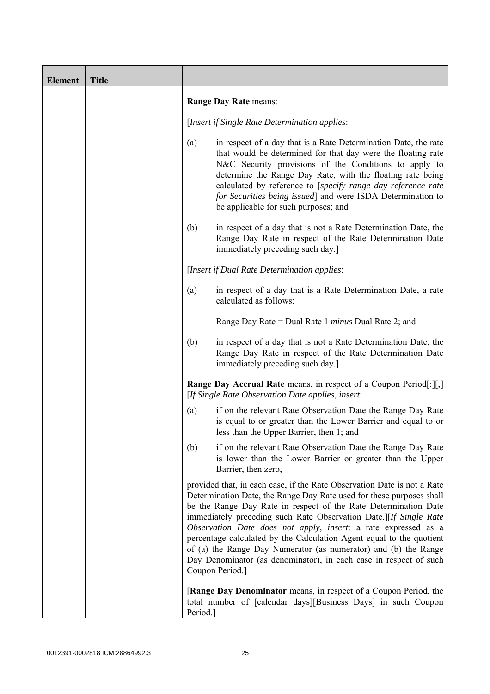| <b>Element</b> | <b>Title</b> |          |                                                                                                                                                                                                                                                                                                                                                                                                                                                                                                                                                                                              |
|----------------|--------------|----------|----------------------------------------------------------------------------------------------------------------------------------------------------------------------------------------------------------------------------------------------------------------------------------------------------------------------------------------------------------------------------------------------------------------------------------------------------------------------------------------------------------------------------------------------------------------------------------------------|
|                |              |          | <b>Range Day Rate means:</b>                                                                                                                                                                                                                                                                                                                                                                                                                                                                                                                                                                 |
|                |              |          | [Insert if Single Rate Determination applies:                                                                                                                                                                                                                                                                                                                                                                                                                                                                                                                                                |
|                |              | (a)      | in respect of a day that is a Rate Determination Date, the rate<br>that would be determined for that day were the floating rate<br>N&C Security provisions of the Conditions to apply to<br>determine the Range Day Rate, with the floating rate being<br>calculated by reference to [specify range day reference rate<br>for Securities being issued] and were ISDA Determination to<br>be applicable for such purposes; and                                                                                                                                                                |
|                |              | (b)      | in respect of a day that is not a Rate Determination Date, the<br>Range Day Rate in respect of the Rate Determination Date<br>immediately preceding such day.]                                                                                                                                                                                                                                                                                                                                                                                                                               |
|                |              |          | [Insert if Dual Rate Determination applies:                                                                                                                                                                                                                                                                                                                                                                                                                                                                                                                                                  |
|                |              | (a)      | in respect of a day that is a Rate Determination Date, a rate<br>calculated as follows:                                                                                                                                                                                                                                                                                                                                                                                                                                                                                                      |
|                |              |          | Range Day Rate = Dual Rate 1 minus Dual Rate 2; and                                                                                                                                                                                                                                                                                                                                                                                                                                                                                                                                          |
|                |              | (b)      | in respect of a day that is not a Rate Determination Date, the<br>Range Day Rate in respect of the Rate Determination Date<br>immediately preceding such day.]                                                                                                                                                                                                                                                                                                                                                                                                                               |
|                |              |          | <b>Range Day Accrual Rate</b> means, in respect of a Coupon Period[:][,]<br>[If Single Rate Observation Date applies, insert:                                                                                                                                                                                                                                                                                                                                                                                                                                                                |
|                |              | (a)      | if on the relevant Rate Observation Date the Range Day Rate<br>is equal to or greater than the Lower Barrier and equal to or<br>less than the Upper Barrier, then 1; and                                                                                                                                                                                                                                                                                                                                                                                                                     |
|                |              | (b)      | if on the relevant Rate Observation Date the Range Day Rate<br>is lower than the Lower Barrier or greater than the Upper<br>Barrier, then zero,                                                                                                                                                                                                                                                                                                                                                                                                                                              |
|                |              |          | provided that, in each case, if the Rate Observation Date is not a Rate<br>Determination Date, the Range Day Rate used for these purposes shall<br>be the Range Day Rate in respect of the Rate Determination Date<br>immediately preceding such Rate Observation Date.][If Single Rate<br>Observation Date does not apply, insert: a rate expressed as a<br>percentage calculated by the Calculation Agent equal to the quotient<br>of (a) the Range Day Numerator (as numerator) and (b) the Range<br>Day Denominator (as denominator), in each case in respect of such<br>Coupon Period.] |
|                |              | Period.] | [Range Day Denominator means, in respect of a Coupon Period, the<br>total number of [calendar days][Business Days] in such Coupon                                                                                                                                                                                                                                                                                                                                                                                                                                                            |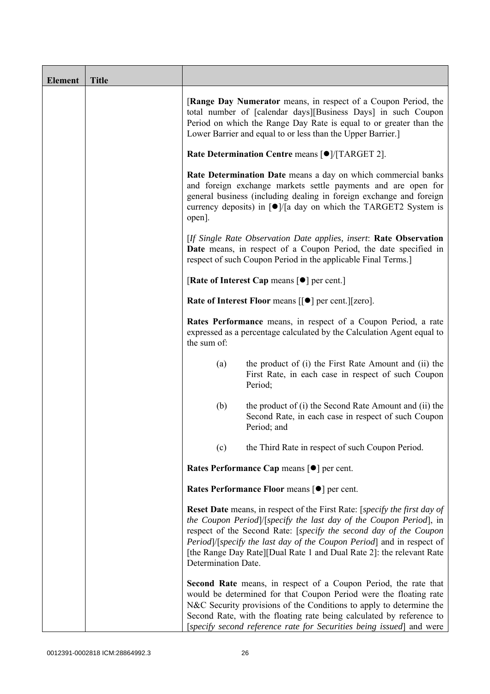| <b>Element</b> | <b>Title</b> |                                                           |                                                                                                                                                                                                                                                                                                                                                                                      |  |
|----------------|--------------|-----------------------------------------------------------|--------------------------------------------------------------------------------------------------------------------------------------------------------------------------------------------------------------------------------------------------------------------------------------------------------------------------------------------------------------------------------------|--|
|                |              |                                                           | <b>[Range Day Numerator</b> means, in respect of a Coupon Period, the<br>total number of [calendar days][Business Days] in such Coupon<br>Period on which the Range Day Rate is equal to or greater than the<br>Lower Barrier and equal to or less than the Upper Barrier.                                                                                                           |  |
|                |              | Rate Determination Centre means [ $\bullet$ ]/[TARGET 2]. |                                                                                                                                                                                                                                                                                                                                                                                      |  |
|                |              | open].                                                    | Rate Determination Date means a day on which commercial banks<br>and foreign exchange markets settle payments and are open for<br>general business (including dealing in foreign exchange and foreign<br>currency deposits) in $\lceil \bullet \rceil / \lceil a \rceil$ day on which the TARGET2 System is                                                                          |  |
|                |              |                                                           | [If Single Rate Observation Date applies, insert: Rate Observation<br>Date means, in respect of a Coupon Period, the date specified in<br>respect of such Coupon Period in the applicable Final Terms.                                                                                                                                                                               |  |
|                |              |                                                           | [Rate of Interest Cap means $[•]$ per cent.]                                                                                                                                                                                                                                                                                                                                         |  |
|                |              |                                                           | Rate of Interest Floor means [[ $\bullet$ ] per cent.][zero].                                                                                                                                                                                                                                                                                                                        |  |
|                |              | the sum of:                                               | Rates Performance means, in respect of a Coupon Period, a rate<br>expressed as a percentage calculated by the Calculation Agent equal to                                                                                                                                                                                                                                             |  |
|                |              | (a)                                                       | the product of (i) the First Rate Amount and (ii) the<br>First Rate, in each case in respect of such Coupon<br>Period;                                                                                                                                                                                                                                                               |  |
|                |              | (b)                                                       | the product of (i) the Second Rate Amount and (ii) the<br>Second Rate, in each case in respect of such Coupon<br>Period; and                                                                                                                                                                                                                                                         |  |
|                |              | (c)                                                       | the Third Rate in respect of such Coupon Period.                                                                                                                                                                                                                                                                                                                                     |  |
|                |              |                                                           | Rates Performance Cap means [ $\bullet$ ] per cent.                                                                                                                                                                                                                                                                                                                                  |  |
|                |              |                                                           | Rates Performance Floor means [ $\bullet$ ] per cent.                                                                                                                                                                                                                                                                                                                                |  |
|                |              | Determination Date.                                       | <b>Reset Date</b> means, in respect of the First Rate: [ <i>specify the first day of</i><br>the Coupon Period]/[specify the last day of the Coupon Period], in<br>respect of the Second Rate: [specify the second day of the Coupon<br>Period]/[specify the last day of the Coupon Period] and in respect of<br>[the Range Day Rate][Dual Rate 1 and Dual Rate 2]: the relevant Rate |  |
|                |              |                                                           | <b>Second Rate</b> means, in respect of a Coupon Period, the rate that<br>would be determined for that Coupon Period were the floating rate<br>N&C Security provisions of the Conditions to apply to determine the<br>Second Rate, with the floating rate being calculated by reference to<br>[specify second reference rate for Securities being issued] and were                   |  |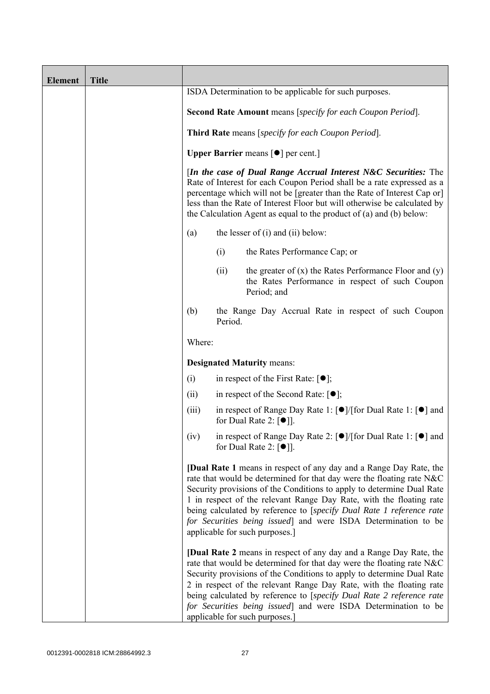| <b>Element</b> | <b>Title</b> |                                                                                                                                                                                                                                                                                                                                                                             |         |                                                                                                                                                                                                                                                                                                                                                                                                                                                                               |
|----------------|--------------|-----------------------------------------------------------------------------------------------------------------------------------------------------------------------------------------------------------------------------------------------------------------------------------------------------------------------------------------------------------------------------|---------|-------------------------------------------------------------------------------------------------------------------------------------------------------------------------------------------------------------------------------------------------------------------------------------------------------------------------------------------------------------------------------------------------------------------------------------------------------------------------------|
|                |              |                                                                                                                                                                                                                                                                                                                                                                             |         | ISDA Determination to be applicable for such purposes.                                                                                                                                                                                                                                                                                                                                                                                                                        |
|                |              |                                                                                                                                                                                                                                                                                                                                                                             |         | Second Rate Amount means [specify for each Coupon Period].                                                                                                                                                                                                                                                                                                                                                                                                                    |
|                |              | <b>Third Rate</b> means [specify for each Coupon Period].<br><b>Upper Barrier</b> means $\lceil \bullet \rceil$ per cent.]                                                                                                                                                                                                                                                  |         |                                                                                                                                                                                                                                                                                                                                                                                                                                                                               |
|                |              |                                                                                                                                                                                                                                                                                                                                                                             |         |                                                                                                                                                                                                                                                                                                                                                                                                                                                                               |
|                |              | [In the case of Dual Range Accrual Interest N&C Securities: The<br>Rate of Interest for each Coupon Period shall be a rate expressed as a<br>percentage which will not be [greater than the Rate of Interest Cap or]<br>less than the Rate of Interest Floor but will otherwise be calculated by<br>the Calculation Agent as equal to the product of $(a)$ and $(b)$ below: |         |                                                                                                                                                                                                                                                                                                                                                                                                                                                                               |
|                |              | (a)                                                                                                                                                                                                                                                                                                                                                                         |         | the lesser of $(i)$ and $(ii)$ below:                                                                                                                                                                                                                                                                                                                                                                                                                                         |
|                |              |                                                                                                                                                                                                                                                                                                                                                                             | (i)     | the Rates Performance Cap; or                                                                                                                                                                                                                                                                                                                                                                                                                                                 |
|                |              |                                                                                                                                                                                                                                                                                                                                                                             | (ii)    | the greater of $(x)$ the Rates Performance Floor and $(y)$<br>the Rates Performance in respect of such Coupon<br>Period; and                                                                                                                                                                                                                                                                                                                                                  |
|                |              | (b)                                                                                                                                                                                                                                                                                                                                                                         | Period. | the Range Day Accrual Rate in respect of such Coupon                                                                                                                                                                                                                                                                                                                                                                                                                          |
|                |              | Where:                                                                                                                                                                                                                                                                                                                                                                      |         |                                                                                                                                                                                                                                                                                                                                                                                                                                                                               |
|                |              |                                                                                                                                                                                                                                                                                                                                                                             |         | <b>Designated Maturity means:</b>                                                                                                                                                                                                                                                                                                                                                                                                                                             |
|                |              | (i)                                                                                                                                                                                                                                                                                                                                                                         |         | in respect of the First Rate: $[•]$ ;                                                                                                                                                                                                                                                                                                                                                                                                                                         |
|                |              | (ii)                                                                                                                                                                                                                                                                                                                                                                        |         | in respect of the Second Rate: $[•]$ ;                                                                                                                                                                                                                                                                                                                                                                                                                                        |
|                |              | (iii)                                                                                                                                                                                                                                                                                                                                                                       |         | in respect of Range Day Rate 1: [●]/[for Dual Rate 1: [●] and<br>for Dual Rate 2: $\lceil \bullet \rceil$ .                                                                                                                                                                                                                                                                                                                                                                   |
|                |              | (iv)                                                                                                                                                                                                                                                                                                                                                                        |         | in respect of Range Day Rate 2: $\lceil \bullet \rceil / \lceil \text{for Dual Rate 1} \rceil \rceil$ and<br>for Dual Rate 2: $\lceil \bullet \rceil$ .                                                                                                                                                                                                                                                                                                                       |
|                |              |                                                                                                                                                                                                                                                                                                                                                                             |         | [Dual Rate 1 means in respect of any day and a Range Day Rate, the<br>rate that would be determined for that day were the floating rate N&C<br>Security provisions of the Conditions to apply to determine Dual Rate<br>1 in respect of the relevant Range Day Rate, with the floating rate<br>being calculated by reference to [specify Dual Rate 1 reference rate<br>for Securities being issued] and were ISDA Determination to be<br>applicable for such purposes.]       |
|                |              |                                                                                                                                                                                                                                                                                                                                                                             |         | <b>[Dual Rate 2</b> means in respect of any day and a Range Day Rate, the<br>rate that would be determined for that day were the floating rate N&C<br>Security provisions of the Conditions to apply to determine Dual Rate<br>2 in respect of the relevant Range Day Rate, with the floating rate<br>being calculated by reference to [specify Dual Rate 2 reference rate<br>for Securities being issued] and were ISDA Determination to be<br>applicable for such purposes. |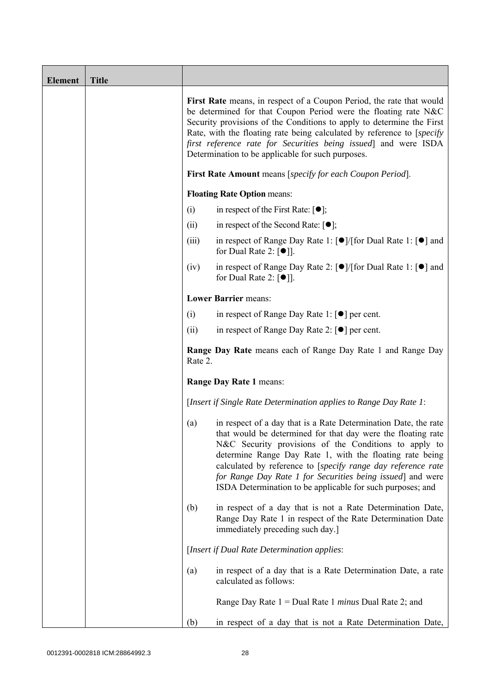| <b>Element</b> | <b>Title</b> |                                                                                                                                                                                                                                                                                                                                                                                                                    |                                                                                                                                                                                                                                                                                                                                                                                                                                                  |  |
|----------------|--------------|--------------------------------------------------------------------------------------------------------------------------------------------------------------------------------------------------------------------------------------------------------------------------------------------------------------------------------------------------------------------------------------------------------------------|--------------------------------------------------------------------------------------------------------------------------------------------------------------------------------------------------------------------------------------------------------------------------------------------------------------------------------------------------------------------------------------------------------------------------------------------------|--|
|                |              | First Rate means, in respect of a Coupon Period, the rate that would<br>be determined for that Coupon Period were the floating rate N&C<br>Security provisions of the Conditions to apply to determine the First<br>Rate, with the floating rate being calculated by reference to [specify]<br>first reference rate for Securities being issued and were ISDA<br>Determination to be applicable for such purposes. |                                                                                                                                                                                                                                                                                                                                                                                                                                                  |  |
|                |              | First Rate Amount means [specify for each Coupon Period].                                                                                                                                                                                                                                                                                                                                                          |                                                                                                                                                                                                                                                                                                                                                                                                                                                  |  |
|                |              |                                                                                                                                                                                                                                                                                                                                                                                                                    | <b>Floating Rate Option means:</b>                                                                                                                                                                                                                                                                                                                                                                                                               |  |
|                |              | (i)                                                                                                                                                                                                                                                                                                                                                                                                                | in respect of the First Rate: [●];                                                                                                                                                                                                                                                                                                                                                                                                               |  |
|                |              | (ii)                                                                                                                                                                                                                                                                                                                                                                                                               | in respect of the Second Rate: $[•]$ ;                                                                                                                                                                                                                                                                                                                                                                                                           |  |
|                |              | (iii)                                                                                                                                                                                                                                                                                                                                                                                                              | in respect of Range Day Rate 1: [ <sup>●</sup> ]/[for Dual Rate 1: [ <sup>●</sup> ] and<br>for Dual Rate 2: $[①$ ].                                                                                                                                                                                                                                                                                                                              |  |
|                |              | (iv)                                                                                                                                                                                                                                                                                                                                                                                                               | in respect of Range Day Rate 2: [●]/[for Dual Rate 1: [●] and<br>for Dual Rate 2: $\lceil \bullet \rceil$ .                                                                                                                                                                                                                                                                                                                                      |  |
|                |              |                                                                                                                                                                                                                                                                                                                                                                                                                    | <b>Lower Barrier means:</b>                                                                                                                                                                                                                                                                                                                                                                                                                      |  |
|                |              | (i)                                                                                                                                                                                                                                                                                                                                                                                                                | in respect of Range Day Rate 1: $\lceil \bullet \rceil$ per cent.                                                                                                                                                                                                                                                                                                                                                                                |  |
|                |              | (ii)                                                                                                                                                                                                                                                                                                                                                                                                               | in respect of Range Day Rate 2: $\lceil \bullet \rceil$ per cent.                                                                                                                                                                                                                                                                                                                                                                                |  |
|                |              | Rate 2.                                                                                                                                                                                                                                                                                                                                                                                                            | <b>Range Day Rate</b> means each of Range Day Rate 1 and Range Day                                                                                                                                                                                                                                                                                                                                                                               |  |
|                |              | Range Day Rate 1 means:                                                                                                                                                                                                                                                                                                                                                                                            |                                                                                                                                                                                                                                                                                                                                                                                                                                                  |  |
|                |              |                                                                                                                                                                                                                                                                                                                                                                                                                    | [Insert if Single Rate Determination applies to Range Day Rate 1:                                                                                                                                                                                                                                                                                                                                                                                |  |
|                |              | (a)                                                                                                                                                                                                                                                                                                                                                                                                                | in respect of a day that is a Rate Determination Date, the rate<br>that would be determined for that day were the floating rate<br>N&C Security provisions of the Conditions to apply to<br>determine Range Day Rate 1, with the floating rate being<br>calculated by reference to [specify range day reference rate<br>for Range Day Rate 1 for Securities being issued] and were<br>ISDA Determination to be applicable for such purposes; and |  |
|                |              | (b)                                                                                                                                                                                                                                                                                                                                                                                                                | in respect of a day that is not a Rate Determination Date,<br>Range Day Rate 1 in respect of the Rate Determination Date<br>immediately preceding such day.]                                                                                                                                                                                                                                                                                     |  |
|                |              |                                                                                                                                                                                                                                                                                                                                                                                                                    | [Insert if Dual Rate Determination applies:                                                                                                                                                                                                                                                                                                                                                                                                      |  |
|                |              | (a)                                                                                                                                                                                                                                                                                                                                                                                                                | in respect of a day that is a Rate Determination Date, a rate<br>calculated as follows:                                                                                                                                                                                                                                                                                                                                                          |  |
|                |              |                                                                                                                                                                                                                                                                                                                                                                                                                    | Range Day Rate $1 =$ Dual Rate 1 <i>minus</i> Dual Rate 2; and                                                                                                                                                                                                                                                                                                                                                                                   |  |
|                |              | (b)                                                                                                                                                                                                                                                                                                                                                                                                                | in respect of a day that is not a Rate Determination Date,                                                                                                                                                                                                                                                                                                                                                                                       |  |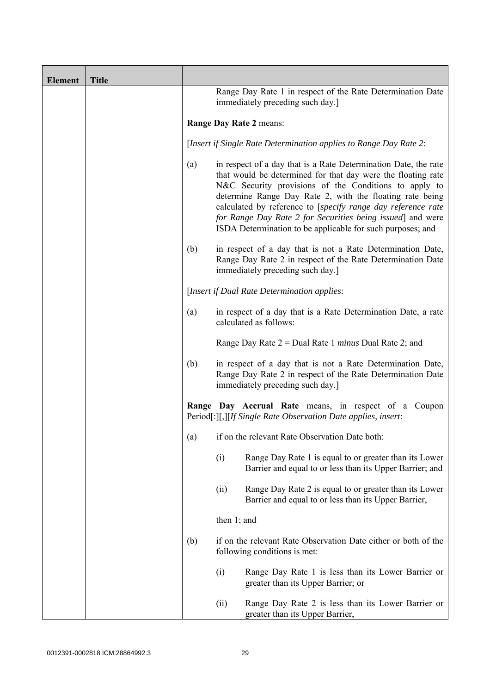| <b>Element</b> | <b>Title</b> |                                                                                                |                                                                                                                                                                                                                                                                                                                                                                                                                                                  |  |
|----------------|--------------|------------------------------------------------------------------------------------------------|--------------------------------------------------------------------------------------------------------------------------------------------------------------------------------------------------------------------------------------------------------------------------------------------------------------------------------------------------------------------------------------------------------------------------------------------------|--|
|                |              | Range Day Rate 1 in respect of the Rate Determination Date<br>immediately preceding such day.] |                                                                                                                                                                                                                                                                                                                                                                                                                                                  |  |
|                |              | Range Day Rate 2 means:                                                                        |                                                                                                                                                                                                                                                                                                                                                                                                                                                  |  |
|                |              |                                                                                                | [Insert if Single Rate Determination applies to Range Day Rate 2:                                                                                                                                                                                                                                                                                                                                                                                |  |
|                |              | (a)                                                                                            | in respect of a day that is a Rate Determination Date, the rate<br>that would be determined for that day were the floating rate<br>N&C Security provisions of the Conditions to apply to<br>determine Range Day Rate 2, with the floating rate being<br>calculated by reference to [specify range day reference rate<br>for Range Day Rate 2 for Securities being issued] and were<br>ISDA Determination to be applicable for such purposes; and |  |
|                |              | (b)                                                                                            | in respect of a day that is not a Rate Determination Date,<br>Range Day Rate 2 in respect of the Rate Determination Date<br>immediately preceding such day.]                                                                                                                                                                                                                                                                                     |  |
|                |              |                                                                                                | [Insert if Dual Rate Determination applies:                                                                                                                                                                                                                                                                                                                                                                                                      |  |
|                |              | (a)                                                                                            | in respect of a day that is a Rate Determination Date, a rate<br>calculated as follows:                                                                                                                                                                                                                                                                                                                                                          |  |
|                |              |                                                                                                | Range Day Rate $2 =$ Dual Rate 1 <i>minus</i> Dual Rate 2; and                                                                                                                                                                                                                                                                                                                                                                                   |  |
|                |              | (b)                                                                                            | in respect of a day that is not a Rate Determination Date,<br>Range Day Rate 2 in respect of the Rate Determination Date<br>immediately preceding such day.]                                                                                                                                                                                                                                                                                     |  |
|                |              |                                                                                                | Range Day Accrual Rate means, in respect of a Coupon<br>Period[:][,][If Single Rate Observation Date applies, insert:                                                                                                                                                                                                                                                                                                                            |  |
|                |              | (a)                                                                                            | if on the relevant Rate Observation Date both:                                                                                                                                                                                                                                                                                                                                                                                                   |  |
|                |              |                                                                                                | Range Day Rate 1 is equal to or greater than its Lower<br>(i)<br>Barrier and equal to or less than its Upper Barrier; and                                                                                                                                                                                                                                                                                                                        |  |
|                |              |                                                                                                | Range Day Rate 2 is equal to or greater than its Lower<br>(ii)<br>Barrier and equal to or less than its Upper Barrier,                                                                                                                                                                                                                                                                                                                           |  |
|                |              |                                                                                                | then $1$ ; and                                                                                                                                                                                                                                                                                                                                                                                                                                   |  |
|                |              | (b)                                                                                            | if on the relevant Rate Observation Date either or both of the<br>following conditions is met:                                                                                                                                                                                                                                                                                                                                                   |  |
|                |              |                                                                                                | (i)<br>Range Day Rate 1 is less than its Lower Barrier or<br>greater than its Upper Barrier; or                                                                                                                                                                                                                                                                                                                                                  |  |
|                |              |                                                                                                | Range Day Rate 2 is less than its Lower Barrier or<br>(ii)<br>greater than its Upper Barrier,                                                                                                                                                                                                                                                                                                                                                    |  |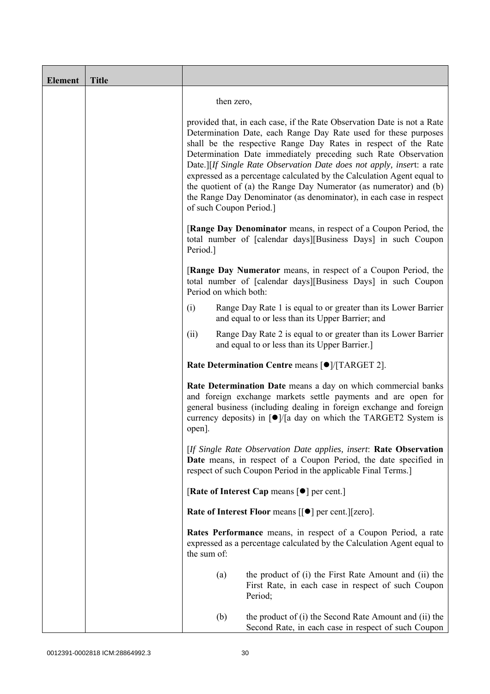| <b>Element</b> | <b>Title</b> |                                                                                                                                                                                                                                                                                                                                                                                                                                                                                                                                                                                                           |  |
|----------------|--------------|-----------------------------------------------------------------------------------------------------------------------------------------------------------------------------------------------------------------------------------------------------------------------------------------------------------------------------------------------------------------------------------------------------------------------------------------------------------------------------------------------------------------------------------------------------------------------------------------------------------|--|
|                |              | then zero,                                                                                                                                                                                                                                                                                                                                                                                                                                                                                                                                                                                                |  |
|                |              | provided that, in each case, if the Rate Observation Date is not a Rate<br>Determination Date, each Range Day Rate used for these purposes<br>shall be the respective Range Day Rates in respect of the Rate<br>Determination Date immediately preceding such Rate Observation<br>Date.][If Single Rate Observation Date does not apply, insert: a rate<br>expressed as a percentage calculated by the Calculation Agent equal to<br>the quotient of (a) the Range Day Numerator (as numerator) and (b)<br>the Range Day Denominator (as denominator), in each case in respect<br>of such Coupon Period.] |  |
|                |              | <b>[Range Day Denominator</b> means, in respect of a Coupon Period, the<br>total number of [calendar days][Business Days] in such Coupon<br>Period.]                                                                                                                                                                                                                                                                                                                                                                                                                                                      |  |
|                |              | <b>[Range Day Numerator</b> means, in respect of a Coupon Period, the<br>total number of [calendar days][Business Days] in such Coupon<br>Period on which both:                                                                                                                                                                                                                                                                                                                                                                                                                                           |  |
|                |              | (i)<br>Range Day Rate 1 is equal to or greater than its Lower Barrier<br>and equal to or less than its Upper Barrier; and                                                                                                                                                                                                                                                                                                                                                                                                                                                                                 |  |
|                |              | (ii)<br>Range Day Rate 2 is equal to or greater than its Lower Barrier<br>and equal to or less than its Upper Barrier.]                                                                                                                                                                                                                                                                                                                                                                                                                                                                                   |  |
|                |              | Rate Determination Centre means [ $\bullet$ ]/[TARGET 2].                                                                                                                                                                                                                                                                                                                                                                                                                                                                                                                                                 |  |
|                |              | Rate Determination Date means a day on which commercial banks<br>and foreign exchange markets settle payments and are open for<br>general business (including dealing in foreign exchange and foreign<br>currency deposits) in $\lceil \bullet \rceil / \lceil a \rceil$ day on which the TARGET2 System is<br>open].                                                                                                                                                                                                                                                                                     |  |
|                |              | [If Single Rate Observation Date applies, insert: Rate Observation<br>Date means, in respect of a Coupon Period, the date specified in<br>respect of such Coupon Period in the applicable Final Terms.]                                                                                                                                                                                                                                                                                                                                                                                                   |  |
|                |              | [Rate of Interest Cap means $\lceil \bullet \rceil$ per cent.]                                                                                                                                                                                                                                                                                                                                                                                                                                                                                                                                            |  |
|                |              | Rate of Interest Floor means [[ $\bullet$ ] per cent.][zero].                                                                                                                                                                                                                                                                                                                                                                                                                                                                                                                                             |  |
|                |              | Rates Performance means, in respect of a Coupon Period, a rate<br>expressed as a percentage calculated by the Calculation Agent equal to<br>the sum of:                                                                                                                                                                                                                                                                                                                                                                                                                                                   |  |
|                |              | the product of (i) the First Rate Amount and (ii) the<br>(a)<br>First Rate, in each case in respect of such Coupon<br>Period;                                                                                                                                                                                                                                                                                                                                                                                                                                                                             |  |
|                |              | (b)<br>the product of (i) the Second Rate Amount and (ii) the<br>Second Rate, in each case in respect of such Coupon                                                                                                                                                                                                                                                                                                                                                                                                                                                                                      |  |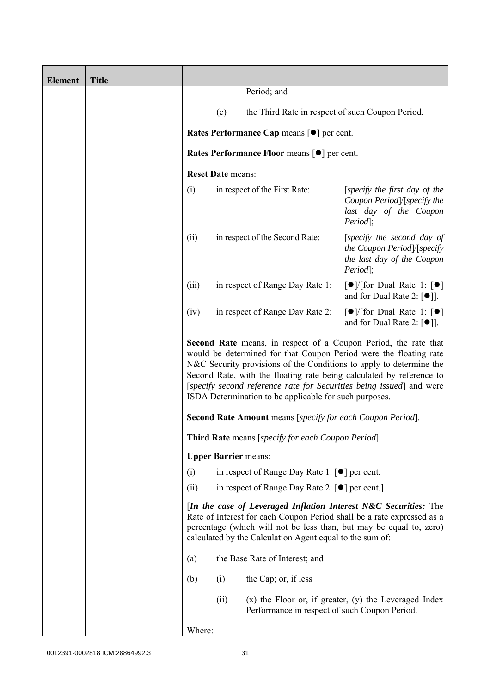| <b>Element</b> | <b>Title</b> |                                                                                                                                                                                                                                                                                                                                                                                                                       |                          |                                                                    |                                                                                                                                                                                                                   |
|----------------|--------------|-----------------------------------------------------------------------------------------------------------------------------------------------------------------------------------------------------------------------------------------------------------------------------------------------------------------------------------------------------------------------------------------------------------------------|--------------------------|--------------------------------------------------------------------|-------------------------------------------------------------------------------------------------------------------------------------------------------------------------------------------------------------------|
|                |              |                                                                                                                                                                                                                                                                                                                                                                                                                       |                          | Period; and                                                        |                                                                                                                                                                                                                   |
|                |              |                                                                                                                                                                                                                                                                                                                                                                                                                       | (c)                      | the Third Rate in respect of such Coupon Period.                   |                                                                                                                                                                                                                   |
|                |              |                                                                                                                                                                                                                                                                                                                                                                                                                       |                          | Rates Performance Cap means [ $\bullet$ ] per cent.                |                                                                                                                                                                                                                   |
|                |              |                                                                                                                                                                                                                                                                                                                                                                                                                       |                          | <b>Rates Performance Floor means [●] per cent.</b>                 |                                                                                                                                                                                                                   |
|                |              |                                                                                                                                                                                                                                                                                                                                                                                                                       | <b>Reset Date means:</b> |                                                                    |                                                                                                                                                                                                                   |
|                |              | (i)                                                                                                                                                                                                                                                                                                                                                                                                                   |                          | in respect of the First Rate:                                      | [specify the first day of the<br>Coupon Period /[specify the<br>last day of the Coupon<br>Period];                                                                                                                |
|                |              | (ii)                                                                                                                                                                                                                                                                                                                                                                                                                  |                          | in respect of the Second Rate:                                     | [specify the second day of<br>the Coupon Period /[specify<br>the last day of the Coupon<br>Period];                                                                                                               |
|                |              | (iii)                                                                                                                                                                                                                                                                                                                                                                                                                 |                          | in respect of Range Day Rate 1:                                    | $\lceil \bullet \rceil$ (for Dual Rate 1: $\lceil \bullet \rceil$<br>and for Dual Rate 2: $[\bullet]$ ].                                                                                                          |
|                |              | (iv)                                                                                                                                                                                                                                                                                                                                                                                                                  |                          | in respect of Range Day Rate 2:                                    | $\lceil \bullet \rceil$ [for Dual Rate 1: $\lceil \bullet \rceil$<br>and for Dual Rate 2: $\lceil \bullet \rceil$ .                                                                                               |
|                |              | Second Rate means, in respect of a Coupon Period, the rate that<br>would be determined for that Coupon Period were the floating rate<br>N&C Security provisions of the Conditions to apply to determine the<br>Second Rate, with the floating rate being calculated by reference to<br>[specify second reference rate for Securities being issued] and were<br>ISDA Determination to be applicable for such purposes. |                          |                                                                    |                                                                                                                                                                                                                   |
|                |              |                                                                                                                                                                                                                                                                                                                                                                                                                       |                          | <b>Second Rate Amount</b> means [specify for each Coupon Period].  |                                                                                                                                                                                                                   |
|                |              |                                                                                                                                                                                                                                                                                                                                                                                                                       |                          | Third Rate means [specify for each Coupon Period].                 |                                                                                                                                                                                                                   |
|                |              |                                                                                                                                                                                                                                                                                                                                                                                                                       |                          | <b>Upper Barrier means:</b>                                        |                                                                                                                                                                                                                   |
|                |              | (i)                                                                                                                                                                                                                                                                                                                                                                                                                   |                          | in respect of Range Day Rate 1: $\lceil \bullet \rceil$ per cent.  |                                                                                                                                                                                                                   |
|                |              | (ii)                                                                                                                                                                                                                                                                                                                                                                                                                  |                          | in respect of Range Day Rate 2: $\lceil \bullet \rceil$ per cent.] |                                                                                                                                                                                                                   |
|                |              |                                                                                                                                                                                                                                                                                                                                                                                                                       |                          | calculated by the Calculation Agent equal to the sum of:           | [In the case of Leveraged Inflation Interest N&C Securities: The<br>Rate of Interest for each Coupon Period shall be a rate expressed as a<br>percentage (which will not be less than, but may be equal to, zero) |
|                |              | (a)                                                                                                                                                                                                                                                                                                                                                                                                                   |                          | the Base Rate of Interest; and                                     |                                                                                                                                                                                                                   |
|                |              | (b)                                                                                                                                                                                                                                                                                                                                                                                                                   | (i)                      | the Cap; or, if less                                               |                                                                                                                                                                                                                   |
|                |              |                                                                                                                                                                                                                                                                                                                                                                                                                       | (ii)                     | Performance in respect of such Coupon Period.                      | $(x)$ the Floor or, if greater, $(y)$ the Leveraged Index                                                                                                                                                         |
|                |              | Where:                                                                                                                                                                                                                                                                                                                                                                                                                |                          |                                                                    |                                                                                                                                                                                                                   |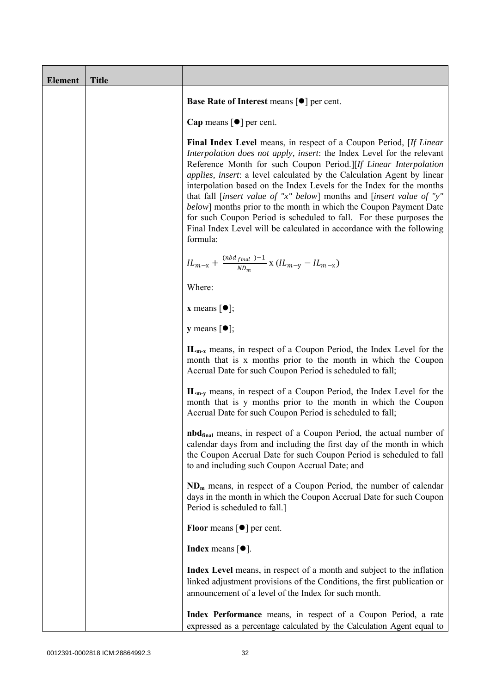| <b>Element</b> | <b>Title</b> |                                                                                                                                                                                                                                                                                                                                                                                                                                                                                                                                                                                                                                                                                                     |
|----------------|--------------|-----------------------------------------------------------------------------------------------------------------------------------------------------------------------------------------------------------------------------------------------------------------------------------------------------------------------------------------------------------------------------------------------------------------------------------------------------------------------------------------------------------------------------------------------------------------------------------------------------------------------------------------------------------------------------------------------------|
|                |              | Base Rate of Interest means [ $\bullet$ ] per cent.                                                                                                                                                                                                                                                                                                                                                                                                                                                                                                                                                                                                                                                 |
|                |              | Cap means $\lceil \bullet \rceil$ per cent.                                                                                                                                                                                                                                                                                                                                                                                                                                                                                                                                                                                                                                                         |
|                |              | <b>Final Index Level</b> means, in respect of a Coupon Period, [If Linear]<br>Interpolation does not apply, insert: the Index Level for the relevant<br>Reference Month for such Coupon Period.][If Linear Interpolation<br><i>applies, insert: a level calculated by the Calculation Agent by linear</i><br>interpolation based on the Index Levels for the Index for the months<br>that fall [insert value of "x" below] months and [insert value of "y"<br><i>below</i> ] months prior to the month in which the Coupon Payment Date<br>for such Coupon Period is scheduled to fall. For these purposes the<br>Final Index Level will be calculated in accordance with the following<br>formula: |
|                |              | $IL_{m-x} + \frac{(nbd_{final})-1}{ND_m}$ x $(IL_{m-y} - IL_{m-x})$                                                                                                                                                                                                                                                                                                                                                                                                                                                                                                                                                                                                                                 |
|                |              | Where:                                                                                                                                                                                                                                                                                                                                                                                                                                                                                                                                                                                                                                                                                              |
|                |              | <b>x</b> means $\lceil \bullet \rceil$ ;                                                                                                                                                                                                                                                                                                                                                                                                                                                                                                                                                                                                                                                            |
|                |              | <b>y</b> means $\lceil \bullet \rceil$ ;                                                                                                                                                                                                                                                                                                                                                                                                                                                                                                                                                                                                                                                            |
|                |              | $IL_{m-x}$ means, in respect of a Coupon Period, the Index Level for the<br>month that is x months prior to the month in which the Coupon<br>Accrual Date for such Coupon Period is scheduled to fall;                                                                                                                                                                                                                                                                                                                                                                                                                                                                                              |
|                |              | $IL_{m-v}$ means, in respect of a Coupon Period, the Index Level for the<br>month that is y months prior to the month in which the Coupon<br>Accrual Date for such Coupon Period is scheduled to fall;                                                                                                                                                                                                                                                                                                                                                                                                                                                                                              |
|                |              | <b>nbd</b> <sub>final</sub> means, in respect of a Coupon Period, the actual number of<br>calendar days from and including the first day of the month in which<br>the Coupon Accrual Date for such Coupon Period is scheduled to fall<br>to and including such Coupon Accrual Date; and                                                                                                                                                                                                                                                                                                                                                                                                             |
|                |              | $NDm$ means, in respect of a Coupon Period, the number of calendar<br>days in the month in which the Coupon Accrual Date for such Coupon<br>Period is scheduled to fall.]                                                                                                                                                                                                                                                                                                                                                                                                                                                                                                                           |
|                |              | <b>Floor</b> means $\lceil \bullet \rceil$ per cent.                                                                                                                                                                                                                                                                                                                                                                                                                                                                                                                                                                                                                                                |
|                |              | <b>Index</b> means $\lceil \bullet \rceil$ .                                                                                                                                                                                                                                                                                                                                                                                                                                                                                                                                                                                                                                                        |
|                |              | Index Level means, in respect of a month and subject to the inflation<br>linked adjustment provisions of the Conditions, the first publication or<br>announcement of a level of the Index for such month.                                                                                                                                                                                                                                                                                                                                                                                                                                                                                           |
|                |              | Index Performance means, in respect of a Coupon Period, a rate<br>expressed as a percentage calculated by the Calculation Agent equal to                                                                                                                                                                                                                                                                                                                                                                                                                                                                                                                                                            |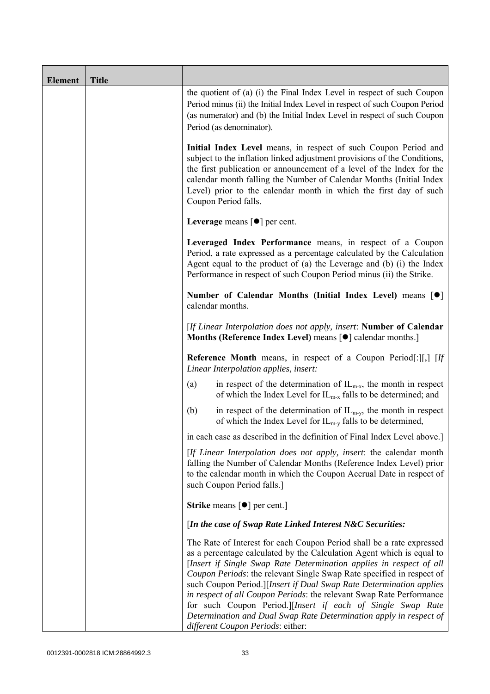| <b>Element</b> | <b>Title</b> |                                                                                                                                                                                                                                                                                                                                                                                                                                                                                                                                                                                                                         |  |
|----------------|--------------|-------------------------------------------------------------------------------------------------------------------------------------------------------------------------------------------------------------------------------------------------------------------------------------------------------------------------------------------------------------------------------------------------------------------------------------------------------------------------------------------------------------------------------------------------------------------------------------------------------------------------|--|
|                |              | the quotient of (a) (i) the Final Index Level in respect of such Coupon<br>Period minus (ii) the Initial Index Level in respect of such Coupon Period<br>(as numerator) and (b) the Initial Index Level in respect of such Coupon<br>Period (as denominator).                                                                                                                                                                                                                                                                                                                                                           |  |
|                |              | Initial Index Level means, in respect of such Coupon Period and<br>subject to the inflation linked adjustment provisions of the Conditions,<br>the first publication or announcement of a level of the Index for the<br>calendar month falling the Number of Calendar Months (Initial Index<br>Level) prior to the calendar month in which the first day of such<br>Coupon Period falls.                                                                                                                                                                                                                                |  |
|                |              | Leverage means $\lceil \bullet \rceil$ per cent.                                                                                                                                                                                                                                                                                                                                                                                                                                                                                                                                                                        |  |
|                |              | Leveraged Index Performance means, in respect of a Coupon<br>Period, a rate expressed as a percentage calculated by the Calculation<br>Agent equal to the product of (a) the Leverage and (b) (i) the Index<br>Performance in respect of such Coupon Period minus (ii) the Strike.                                                                                                                                                                                                                                                                                                                                      |  |
|                |              | Number of Calendar Months (Initial Index Level) means [ $\bullet$ ]<br>calendar months.                                                                                                                                                                                                                                                                                                                                                                                                                                                                                                                                 |  |
|                |              | [If Linear Interpolation does not apply, insert: Number of Calendar<br>Months (Reference Index Level) means [ $\bullet$ ] calendar months.]                                                                                                                                                                                                                                                                                                                                                                                                                                                                             |  |
|                |              | Reference Month means, in respect of a Coupon Period[:][,] [If<br>Linear Interpolation applies, insert:                                                                                                                                                                                                                                                                                                                                                                                                                                                                                                                 |  |
|                |              | in respect of the determination of $IL_{m-x}$ , the month in respect<br>(a)<br>of which the Index Level for $IL_{m-x}$ falls to be determined; and                                                                                                                                                                                                                                                                                                                                                                                                                                                                      |  |
|                |              | in respect of the determination of $IL_{m-y}$ , the month in respect<br>(b)<br>of which the Index Level for $IL_{m-y}$ falls to be determined,                                                                                                                                                                                                                                                                                                                                                                                                                                                                          |  |
|                |              | in each case as described in the definition of Final Index Level above.]                                                                                                                                                                                                                                                                                                                                                                                                                                                                                                                                                |  |
|                |              | [If Linear Interpolation does not apply, insert: the calendar month<br>falling the Number of Calendar Months (Reference Index Level) prior<br>to the calendar month in which the Coupon Accrual Date in respect of<br>such Coupon Period falls.]                                                                                                                                                                                                                                                                                                                                                                        |  |
|                |              | <b>Strike</b> means $\lceil \bullet \rceil$ per cent.                                                                                                                                                                                                                                                                                                                                                                                                                                                                                                                                                                   |  |
|                |              | [In the case of Swap Rate Linked Interest N&C Securities:                                                                                                                                                                                                                                                                                                                                                                                                                                                                                                                                                               |  |
|                |              | The Rate of Interest for each Coupon Period shall be a rate expressed<br>as a percentage calculated by the Calculation Agent which is equal to<br>[Insert if Single Swap Rate Determination applies in respect of all<br>Coupon Periods: the relevant Single Swap Rate specified in respect of<br>such Coupon Period.][Insert if Dual Swap Rate Determination applies<br>in respect of all Coupon Periods: the relevant Swap Rate Performance<br>for such Coupon Period.][Insert if each of Single Swap Rate<br>Determination and Dual Swap Rate Determination apply in respect of<br>different Coupon Periods: either: |  |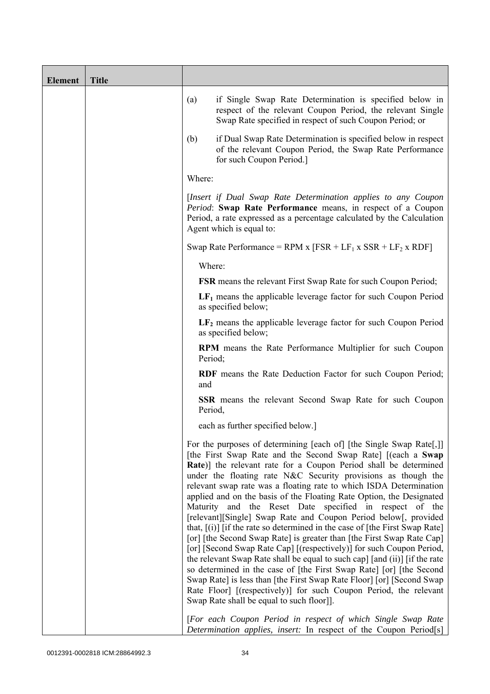| <b>Element</b> | <b>Title</b> |         |                                                                                                                                                                                                                                                                                                                                                                                                                                                                                                                                                                                                                                                                                                                                                                                                                                                                                                                                                                                                                                                                                                                                       |
|----------------|--------------|---------|---------------------------------------------------------------------------------------------------------------------------------------------------------------------------------------------------------------------------------------------------------------------------------------------------------------------------------------------------------------------------------------------------------------------------------------------------------------------------------------------------------------------------------------------------------------------------------------------------------------------------------------------------------------------------------------------------------------------------------------------------------------------------------------------------------------------------------------------------------------------------------------------------------------------------------------------------------------------------------------------------------------------------------------------------------------------------------------------------------------------------------------|
|                |              | (a)     | if Single Swap Rate Determination is specified below in<br>respect of the relevant Coupon Period, the relevant Single<br>Swap Rate specified in respect of such Coupon Period; or                                                                                                                                                                                                                                                                                                                                                                                                                                                                                                                                                                                                                                                                                                                                                                                                                                                                                                                                                     |
|                |              | (b)     | if Dual Swap Rate Determination is specified below in respect<br>of the relevant Coupon Period, the Swap Rate Performance<br>for such Coupon Period.]                                                                                                                                                                                                                                                                                                                                                                                                                                                                                                                                                                                                                                                                                                                                                                                                                                                                                                                                                                                 |
|                |              | Where:  |                                                                                                                                                                                                                                                                                                                                                                                                                                                                                                                                                                                                                                                                                                                                                                                                                                                                                                                                                                                                                                                                                                                                       |
|                |              |         | [Insert if Dual Swap Rate Determination applies to any Coupon<br>Period: Swap Rate Performance means, in respect of a Coupon<br>Period, a rate expressed as a percentage calculated by the Calculation<br>Agent which is equal to:                                                                                                                                                                                                                                                                                                                                                                                                                                                                                                                                                                                                                                                                                                                                                                                                                                                                                                    |
|                |              |         | Swap Rate Performance = RPM x $[FSR + LF_1 x SSR + LF_2 x RDF]$                                                                                                                                                                                                                                                                                                                                                                                                                                                                                                                                                                                                                                                                                                                                                                                                                                                                                                                                                                                                                                                                       |
|                |              | Where:  |                                                                                                                                                                                                                                                                                                                                                                                                                                                                                                                                                                                                                                                                                                                                                                                                                                                                                                                                                                                                                                                                                                                                       |
|                |              |         | <b>FSR</b> means the relevant First Swap Rate for such Coupon Period;                                                                                                                                                                                                                                                                                                                                                                                                                                                                                                                                                                                                                                                                                                                                                                                                                                                                                                                                                                                                                                                                 |
|                |              |         | $LF1$ means the applicable leverage factor for such Coupon Period<br>as specified below;                                                                                                                                                                                                                                                                                                                                                                                                                                                                                                                                                                                                                                                                                                                                                                                                                                                                                                                                                                                                                                              |
|                |              |         | $LF2$ means the applicable leverage factor for such Coupon Period<br>as specified below;                                                                                                                                                                                                                                                                                                                                                                                                                                                                                                                                                                                                                                                                                                                                                                                                                                                                                                                                                                                                                                              |
|                |              | Period; | <b>RPM</b> means the Rate Performance Multiplier for such Coupon                                                                                                                                                                                                                                                                                                                                                                                                                                                                                                                                                                                                                                                                                                                                                                                                                                                                                                                                                                                                                                                                      |
|                |              | and     | RDF means the Rate Deduction Factor for such Coupon Period;                                                                                                                                                                                                                                                                                                                                                                                                                                                                                                                                                                                                                                                                                                                                                                                                                                                                                                                                                                                                                                                                           |
|                |              | Period, | SSR means the relevant Second Swap Rate for such Coupon                                                                                                                                                                                                                                                                                                                                                                                                                                                                                                                                                                                                                                                                                                                                                                                                                                                                                                                                                                                                                                                                               |
|                |              |         | each as further specified below.]                                                                                                                                                                                                                                                                                                                                                                                                                                                                                                                                                                                                                                                                                                                                                                                                                                                                                                                                                                                                                                                                                                     |
|                |              |         | For the purposes of determining [each of] [the Single Swap Rate[,]]<br>[the First Swap Rate and the Second Swap Rate] [(each a Swap<br>Rate)] the relevant rate for a Coupon Period shall be determined<br>under the floating rate N&C Security provisions as though the<br>relevant swap rate was a floating rate to which ISDA Determination<br>applied and on the basis of the Floating Rate Option, the Designated<br>Maturity and the Reset Date specified in respect of the<br>[relevant][Single] Swap Rate and Coupon Period below[, provided<br>that, $[(i)]$ [if the rate so determined in the case of [the First Swap Rate]<br>[or] [the Second Swap Rate] is greater than [the First Swap Rate Cap]<br>[or] [Second Swap Rate Cap] [(respectively)] for such Coupon Period,<br>the relevant Swap Rate shall be equal to such cap] [and (ii)] [if the rate<br>so determined in the case of [the First Swap Rate] [or] [the Second<br>Swap Rate] is less than [the First Swap Rate Floor] [or] [Second Swap<br>Rate Floor] [(respectively)] for such Coupon Period, the relevant<br>Swap Rate shall be equal to such floor]. |
|                |              |         | [For each Coupon Period in respect of which Single Swap Rate<br>Determination applies, insert: In respect of the Coupon Period <sup>[s]</sup>                                                                                                                                                                                                                                                                                                                                                                                                                                                                                                                                                                                                                                                                                                                                                                                                                                                                                                                                                                                         |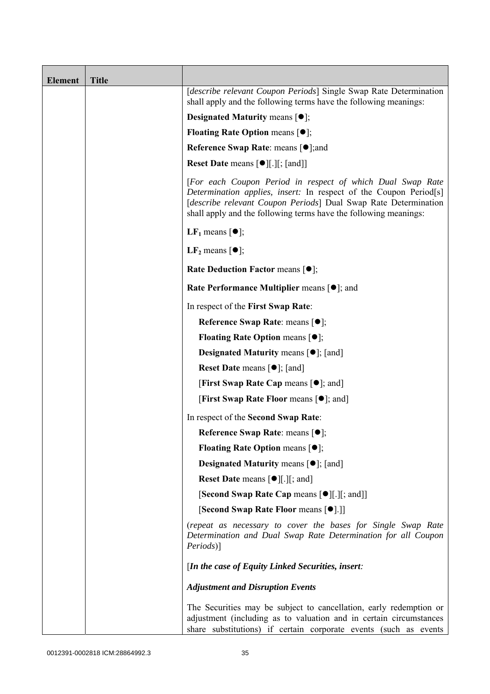| <b>Element</b> | <b>Title</b> |                                                                                                                                                                                                                                                                        |
|----------------|--------------|------------------------------------------------------------------------------------------------------------------------------------------------------------------------------------------------------------------------------------------------------------------------|
|                |              | [describe relevant Coupon Periods] Single Swap Rate Determination<br>shall apply and the following terms have the following meanings:                                                                                                                                  |
|                |              | <b>Designated Maturity means <math>\lceil \bullet \rceil</math>;</b>                                                                                                                                                                                                   |
|                |              | <b>Floating Rate Option means <math>[•]</math>;</b>                                                                                                                                                                                                                    |
|                |              | <b>Reference Swap Rate: means [●];and</b>                                                                                                                                                                                                                              |
|                |              | <b>Reset Date means <math>\lceil \bullet \rceil</math>.</b> [ <i>s</i> ] [ <i>s</i> ] [and]                                                                                                                                                                            |
|                |              | [For each Coupon Period in respect of which Dual Swap Rate<br>Determination applies, insert: In respect of the Coupon Period[s]<br>[describe relevant Coupon Periods] Dual Swap Rate Determination<br>shall apply and the following terms have the following meanings: |
|                |              | <b>LF</b> <sub>1</sub> means $\lceil \bullet \rceil$ ;                                                                                                                                                                                                                 |
|                |              | LF <sub>2</sub> means $\lceil \bullet \rceil$ ;                                                                                                                                                                                                                        |
|                |              | <b>Rate Deduction Factor means <math>[•]</math>;</b>                                                                                                                                                                                                                   |
|                |              | <b>Rate Performance Multiplier means [●]; and</b>                                                                                                                                                                                                                      |
|                |              | In respect of the First Swap Rate:                                                                                                                                                                                                                                     |
|                |              | Reference Swap Rate: means [ $\bullet$ ];                                                                                                                                                                                                                              |
|                |              | <b>Floating Rate Option means <math>[•]</math>;</b>                                                                                                                                                                                                                    |
|                |              | <b>Designated Maturity means <math>\lceil \bullet \rceil</math>; [and]</b>                                                                                                                                                                                             |
|                |              | <b>Reset Date</b> means $[\bullet]$ ; [and]                                                                                                                                                                                                                            |
|                |              | [First Swap Rate Cap means $[•]$ ; and]                                                                                                                                                                                                                                |
|                |              | <b>[First Swap Rate Floor means [O]; and]</b>                                                                                                                                                                                                                          |
|                |              | In respect of the Second Swap Rate:                                                                                                                                                                                                                                    |
|                |              | <b>Reference Swap Rate: means [●];</b>                                                                                                                                                                                                                                 |
|                |              | <b>Floating Rate Option means <math>[•]</math>;</b>                                                                                                                                                                                                                    |
|                |              | <b>Designated Maturity means <math>\lceil \bullet \rceil</math>; [and]</b>                                                                                                                                                                                             |
|                |              | <b>Reset Date means <math>[\bullet]</math>[.][; and]</b>                                                                                                                                                                                                               |
|                |              | [Second Swap Rate Cap means [●][.][; and]]                                                                                                                                                                                                                             |
|                |              | [Second Swap Rate Floor means [ $\bullet$ ].]]                                                                                                                                                                                                                         |
|                |              | (repeat as necessary to cover the bases for Single Swap Rate<br>Determination and Dual Swap Rate Determination for all Coupon<br><i>Periods</i> )]                                                                                                                     |
|                |              | [In the case of Equity Linked Securities, insert:                                                                                                                                                                                                                      |
|                |              | <b>Adjustment and Disruption Events</b>                                                                                                                                                                                                                                |
|                |              | The Securities may be subject to cancellation, early redemption or<br>adjustment (including as to valuation and in certain circumstances<br>share substitutions) if certain corporate events (such as events                                                           |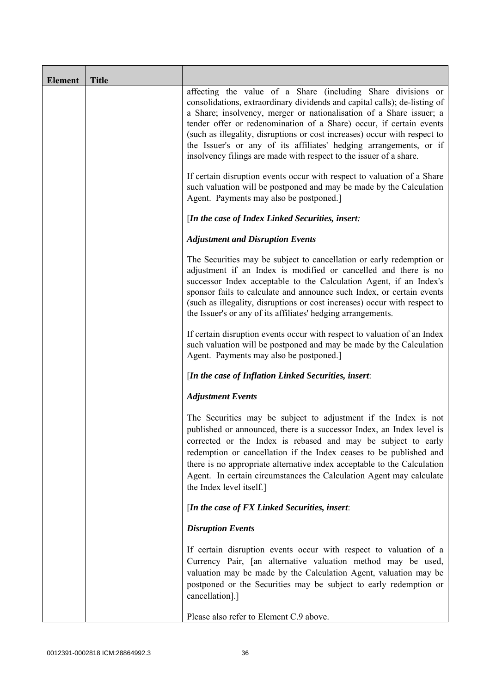| <b>Element</b> | <b>Title</b> |                                                                                                                                                                                                                                                                                                                                                                                                                                                                                                                  |
|----------------|--------------|------------------------------------------------------------------------------------------------------------------------------------------------------------------------------------------------------------------------------------------------------------------------------------------------------------------------------------------------------------------------------------------------------------------------------------------------------------------------------------------------------------------|
|                |              | affecting the value of a Share (including Share divisions or<br>consolidations, extraordinary dividends and capital calls); de-listing of<br>a Share; insolvency, merger or nationalisation of a Share issuer; a<br>tender offer or redenomination of a Share) occur, if certain events<br>(such as illegality, disruptions or cost increases) occur with respect to<br>the Issuer's or any of its affiliates' hedging arrangements, or if<br>insolvency filings are made with respect to the issuer of a share. |
|                |              | If certain disruption events occur with respect to valuation of a Share<br>such valuation will be postponed and may be made by the Calculation<br>Agent. Payments may also be postponed.]                                                                                                                                                                                                                                                                                                                        |
|                |              | [In the case of Index Linked Securities, insert:                                                                                                                                                                                                                                                                                                                                                                                                                                                                 |
|                |              | <b>Adjustment and Disruption Events</b>                                                                                                                                                                                                                                                                                                                                                                                                                                                                          |
|                |              | The Securities may be subject to cancellation or early redemption or<br>adjustment if an Index is modified or cancelled and there is no<br>successor Index acceptable to the Calculation Agent, if an Index's<br>sponsor fails to calculate and announce such Index, or certain events<br>(such as illegality, disruptions or cost increases) occur with respect to<br>the Issuer's or any of its affiliates' hedging arrangements.                                                                              |
|                |              | If certain disruption events occur with respect to valuation of an Index<br>such valuation will be postponed and may be made by the Calculation<br>Agent. Payments may also be postponed.]                                                                                                                                                                                                                                                                                                                       |
|                |              | [In the case of Inflation Linked Securities, insert:                                                                                                                                                                                                                                                                                                                                                                                                                                                             |
|                |              | <b>Adjustment Events</b>                                                                                                                                                                                                                                                                                                                                                                                                                                                                                         |
|                |              | The Securities may be subject to adjustment if the Index is not<br>published or announced, there is a successor Index, an Index level is<br>corrected or the Index is rebased and may be subject to early<br>redemption or cancellation if the Index ceases to be published and<br>there is no appropriate alternative index acceptable to the Calculation<br>Agent. In certain circumstances the Calculation Agent may calculate<br>the Index level itself.]                                                    |
|                |              | [In the case of FX Linked Securities, insert:                                                                                                                                                                                                                                                                                                                                                                                                                                                                    |
|                |              | <b>Disruption Events</b>                                                                                                                                                                                                                                                                                                                                                                                                                                                                                         |
|                |              | If certain disruption events occur with respect to valuation of a<br>Currency Pair, [an alternative valuation method may be used,<br>valuation may be made by the Calculation Agent, valuation may be<br>postponed or the Securities may be subject to early redemption or<br>cancellation].]                                                                                                                                                                                                                    |
|                |              | Please also refer to Element C.9 above.                                                                                                                                                                                                                                                                                                                                                                                                                                                                          |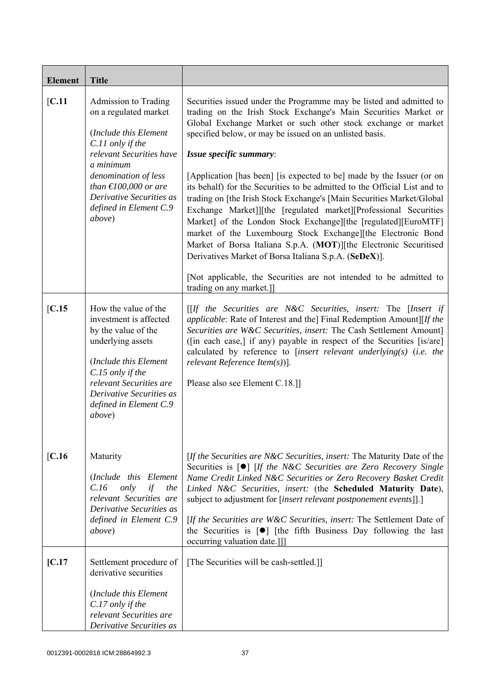| <b>Element</b> | <b>Title</b>                                                                                                                                                                                                                                                             |                                                                                                                                                                                                                                                                                                                                                                                                                                                                                                                                                                                                                                                                                                                                                                                                                                                                                                                                                                     |
|----------------|--------------------------------------------------------------------------------------------------------------------------------------------------------------------------------------------------------------------------------------------------------------------------|---------------------------------------------------------------------------------------------------------------------------------------------------------------------------------------------------------------------------------------------------------------------------------------------------------------------------------------------------------------------------------------------------------------------------------------------------------------------------------------------------------------------------------------------------------------------------------------------------------------------------------------------------------------------------------------------------------------------------------------------------------------------------------------------------------------------------------------------------------------------------------------------------------------------------------------------------------------------|
| [C.11]         | Admission to Trading<br>on a regulated market<br>(Include this Element<br>C.11 only if the<br>relevant Securities have<br>a minimum<br>denomination of less<br>than $\text{\textsterling}100,000$ or are<br>Derivative Securities as<br>defined in Element C.9<br>above) | Securities issued under the Programme may be listed and admitted to<br>trading on the Irish Stock Exchange's Main Securities Market or<br>Global Exchange Market or such other stock exchange or market<br>specified below, or may be issued on an unlisted basis.<br>Issue specific summary:<br>[Application [has been] [is expected to be] made by the Issuer (or on<br>its behalf) for the Securities to be admitted to the Official List and to<br>trading on [the Irish Stock Exchange's [Main Securities Market/Global]<br>Exchange Market]][the [regulated market][Professional Securities<br>Market] of the London Stock Exchange][the [regulated][EuroMTF]<br>market of the Luxembourg Stock Exchange][the Electronic Bond<br>Market of Borsa Italiana S.p.A. (MOT)][the Electronic Securitised<br>Derivatives Market of Borsa Italiana S.p.A. (SeDeX)].<br>[Not applicable, the Securities are not intended to be admitted to<br>trading on any market.]] |
| [C.15]         | How the value of the<br>investment is affected<br>by the value of the<br>underlying assets<br>(Include this Element<br>C.15 only if the<br>relevant Securities are<br>Derivative Securities as<br>defined in Element C.9<br>above)                                       | $[If the Securities are N&C Securities, insert: The [Insert if]$<br><i>applicable:</i> Rate of Interest and the] Final Redemption Amount][If the<br>Securities are W&C Securities, insert: The Cash Settlement Amount]<br>([in each case,] if any) payable in respect of the Securities [is/are]<br>calculated by reference to [insert relevant underlying(s) (i.e. the<br>relevant Reference Item $(s)$ ].<br>Please also see Element C.18.]                                                                                                                                                                                                                                                                                                                                                                                                                                                                                                                       |
| [C.16]         | Maturity<br>(Include this Element<br>only<br>if<br>C.16<br>the<br>relevant Securities are<br>Derivative Securities as<br>defined in Element C.9<br><i>above</i> )                                                                                                        | [If the Securities are N&C Securities, insert: The Maturity Date of the<br>Securities is [ <sup>o</sup> ] [If the N&C Securities are Zero Recovery Single<br>Name Credit Linked N&C Securities or Zero Recovery Basket Credit<br>Linked N&C Securities, insert: (the Scheduled Maturity Date),<br>subject to adjustment for [insert relevant postponement events]].]<br>[If the Securities are W&C Securities, insert: The Settlement Date of<br>the Securities is $\lceil \bullet \rceil$ [the fifth Business Day following the last<br>occurring valuation date.]]]                                                                                                                                                                                                                                                                                                                                                                                               |
| [C.17]         | Settlement procedure of<br>derivative securities<br>(Include this Element<br>C.17 only if the<br>relevant Securities are<br>Derivative Securities as                                                                                                                     | [The Securities will be cash-settled.]]                                                                                                                                                                                                                                                                                                                                                                                                                                                                                                                                                                                                                                                                                                                                                                                                                                                                                                                             |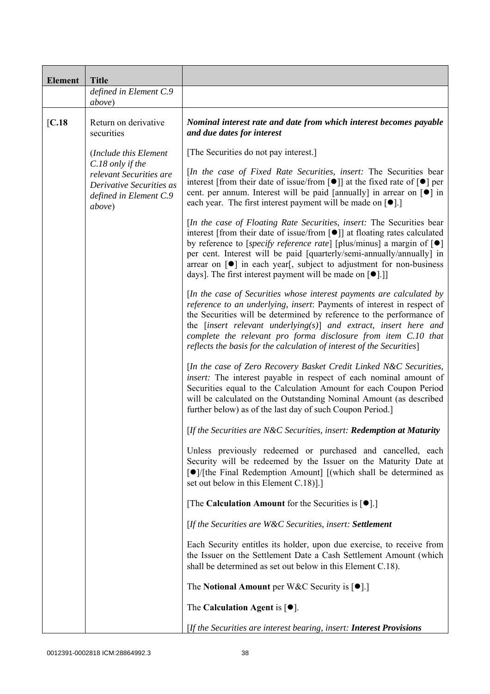| <b>Element</b> | <b>Title</b>                                                                                                |                                                                                                                                                                                                                                                                                                                                                                                                                                                                                           |  |
|----------------|-------------------------------------------------------------------------------------------------------------|-------------------------------------------------------------------------------------------------------------------------------------------------------------------------------------------------------------------------------------------------------------------------------------------------------------------------------------------------------------------------------------------------------------------------------------------------------------------------------------------|--|
|                | defined in Element C.9<br>above)                                                                            |                                                                                                                                                                                                                                                                                                                                                                                                                                                                                           |  |
| [C.18]         | Return on derivative<br>securities                                                                          | Nominal interest rate and date from which interest becomes payable<br>and due dates for interest                                                                                                                                                                                                                                                                                                                                                                                          |  |
|                | (Include this Element                                                                                       | [The Securities do not pay interest.]                                                                                                                                                                                                                                                                                                                                                                                                                                                     |  |
|                | C.18 only if the<br>relevant Securities are<br>Derivative Securities as<br>defined in Element C.9<br>above) | [In the case of Fixed Rate Securities, insert: The Securities bear<br>interest [from their date of issue/from [ $\bullet$ ]] at the fixed rate of $\lceil \bullet \rceil$ per<br>cent. per annum. Interest will be paid [annually] in arrear on [ $\bullet$ ] in<br>each year. The first interest payment will be made on $[•]$ .]                                                                                                                                                        |  |
|                |                                                                                                             | [In the case of Floating Rate Securities, insert: The Securities bear<br>interest [from their date of issue/from [ $\bullet$ ]] at floating rates calculated<br>by reference to [specify reference rate] [plus/minus] a margin of $[\bullet]$<br>per cent. Interest will be paid [quarterly/semi-annually/annually] in<br>arrear on $\lceil \bullet \rceil$ in each year, subject to adjustment for non-business<br>days]. The first interest payment will be made on [ <sup>•</sup> ].]] |  |
|                |                                                                                                             | [In the case of Securities whose interest payments are calculated by<br>reference to an underlying, insert: Payments of interest in respect of<br>the Securities will be determined by reference to the performance of<br>the $[insert$ relevant underlying $(s)$ ] and extract, insert here and<br>complete the relevant pro forma disclosure from item C.10 that<br>reflects the basis for the calculation of interest of the Securities]                                               |  |
|                |                                                                                                             | [In the case of Zero Recovery Basket Credit Linked N&C Securities,<br>insert: The interest payable in respect of each nominal amount of<br>Securities equal to the Calculation Amount for each Coupon Period<br>will be calculated on the Outstanding Nominal Amount (as described<br>further below) as of the last day of such Coupon Period.                                                                                                                                            |  |
|                |                                                                                                             | [If the Securities are N&C Securities, insert: Redemption at Maturity                                                                                                                                                                                                                                                                                                                                                                                                                     |  |
|                |                                                                                                             | Unless previously redeemed or purchased and cancelled, each<br>Security will be redeemed by the Issuer on the Maturity Date at<br>[●]/[the Final Redemption Amount] [(which shall be determined as<br>set out below in this Element C.18).]                                                                                                                                                                                                                                               |  |
|                |                                                                                                             | [The Calculation Amount for the Securities is $[•]$ .]                                                                                                                                                                                                                                                                                                                                                                                                                                    |  |
|                |                                                                                                             | [If the Securities are W&C Securities, insert: Settlement                                                                                                                                                                                                                                                                                                                                                                                                                                 |  |
|                |                                                                                                             | Each Security entitles its holder, upon due exercise, to receive from<br>the Issuer on the Settlement Date a Cash Settlement Amount (which<br>shall be determined as set out below in this Element C.18).                                                                                                                                                                                                                                                                                 |  |
|                |                                                                                                             | The Notional Amount per W&C Security is $[•]$ .                                                                                                                                                                                                                                                                                                                                                                                                                                           |  |
|                |                                                                                                             | The Calculation Agent is $[•]$ .                                                                                                                                                                                                                                                                                                                                                                                                                                                          |  |
|                |                                                                                                             | [If the Securities are interest bearing, insert: <b>Interest Provisions</b>                                                                                                                                                                                                                                                                                                                                                                                                               |  |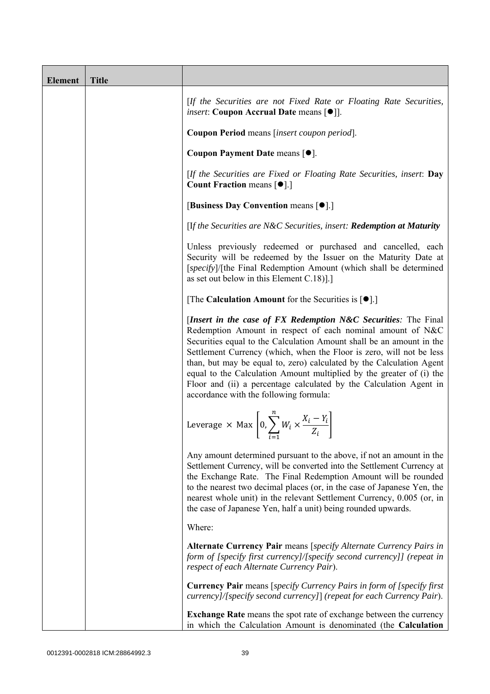| <b>Element</b> | <b>Title</b> |                                                                                                                                                                                                                                                                                                                                                                                                                                                                                                                                              |
|----------------|--------------|----------------------------------------------------------------------------------------------------------------------------------------------------------------------------------------------------------------------------------------------------------------------------------------------------------------------------------------------------------------------------------------------------------------------------------------------------------------------------------------------------------------------------------------------|
|                |              | [If the Securities are not Fixed Rate or Floating Rate Securities,<br><i>insert</i> : Coupon Accrual Date means [ $\bullet$ ].                                                                                                                                                                                                                                                                                                                                                                                                               |
|                |              | Coupon Period means [insert coupon period].                                                                                                                                                                                                                                                                                                                                                                                                                                                                                                  |
|                |              | Coupon Payment Date means [ $\bullet$ ].                                                                                                                                                                                                                                                                                                                                                                                                                                                                                                     |
|                |              | [If the Securities are Fixed or Floating Rate Securities, insert: Day<br><b>Count Fraction means [<math>\bullet</math>].</b> ]                                                                                                                                                                                                                                                                                                                                                                                                               |
|                |              | [Business Day Convention means [ $\bullet$ ].]                                                                                                                                                                                                                                                                                                                                                                                                                                                                                               |
|                |              | [If the Securities are N&C Securities, insert: Redemption at Maturity                                                                                                                                                                                                                                                                                                                                                                                                                                                                        |
|                |              | Unless previously redeemed or purchased and cancelled, each<br>Security will be redeemed by the Issuer on the Maturity Date at<br>[specify]/[the Final Redemption Amount (which shall be determined<br>as set out below in this Element $C.18$ ].]                                                                                                                                                                                                                                                                                           |
|                |              | [The Calculation Amount for the Securities is $[•]$ .]                                                                                                                                                                                                                                                                                                                                                                                                                                                                                       |
|                |              | [Insert in the case of FX Redemption N&C Securities: The Final<br>Redemption Amount in respect of each nominal amount of N&C<br>Securities equal to the Calculation Amount shall be an amount in the<br>Settlement Currency (which, when the Floor is zero, will not be less<br>than, but may be equal to, zero) calculated by the Calculation Agent<br>equal to the Calculation Amount multiplied by the greater of (i) the<br>Floor and (ii) a percentage calculated by the Calculation Agent in<br>accordance with the following formula: |
|                |              | Leverage $\times$ Max $\left[0, \sum_{i=1}^{n} W_i \times \frac{X_i - Y_i}{Z_i}\right]$                                                                                                                                                                                                                                                                                                                                                                                                                                                      |
|                |              | Any amount determined pursuant to the above, if not an amount in the<br>Settlement Currency, will be converted into the Settlement Currency at<br>the Exchange Rate. The Final Redemption Amount will be rounded<br>to the nearest two decimal places (or, in the case of Japanese Yen, the<br>nearest whole unit) in the relevant Settlement Currency, 0.005 (or, in<br>the case of Japanese Yen, half a unit) being rounded upwards.                                                                                                       |
|                |              | Where:                                                                                                                                                                                                                                                                                                                                                                                                                                                                                                                                       |
|                |              | Alternate Currency Pair means [specify Alternate Currency Pairs in<br>form of [specify first currency]/[specify second currency]] (repeat in<br>respect of each Alternate Currency Pair).                                                                                                                                                                                                                                                                                                                                                    |
|                |              | <b>Currency Pair</b> means [specify Currency Pairs in form of [specify first]<br>currency]/[specify second currency]] (repeat for each Currency Pair).                                                                                                                                                                                                                                                                                                                                                                                       |
|                |              | <b>Exchange Rate</b> means the spot rate of exchange between the currency<br>in which the Calculation Amount is denominated (the Calculation                                                                                                                                                                                                                                                                                                                                                                                                 |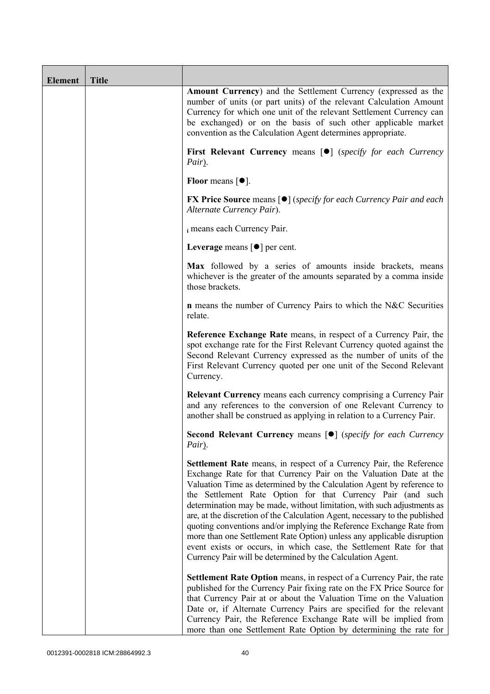| <b>Element</b> | <b>Title</b> |                                                                                                                                                                                                                                                                                                                                                                                                                                                                                                                                                                                                                                                                                                                                          |
|----------------|--------------|------------------------------------------------------------------------------------------------------------------------------------------------------------------------------------------------------------------------------------------------------------------------------------------------------------------------------------------------------------------------------------------------------------------------------------------------------------------------------------------------------------------------------------------------------------------------------------------------------------------------------------------------------------------------------------------------------------------------------------------|
|                |              | <b>Amount Currency</b> ) and the Settlement Currency (expressed as the<br>number of units (or part units) of the relevant Calculation Amount<br>Currency for which one unit of the relevant Settlement Currency can<br>be exchanged) or on the basis of such other applicable market<br>convention as the Calculation Agent determines appropriate.                                                                                                                                                                                                                                                                                                                                                                                      |
|                |              | First Relevant Currency means [ $\bullet$ ] (specify for each Currency<br>Pair).                                                                                                                                                                                                                                                                                                                                                                                                                                                                                                                                                                                                                                                         |
|                |              | Floor means $[①]$ .                                                                                                                                                                                                                                                                                                                                                                                                                                                                                                                                                                                                                                                                                                                      |
|                |              | <b>FX Price Source</b> means $[\bullet]$ ( <i>specify for each Currency Pair and each</i><br>Alternate Currency Pair).                                                                                                                                                                                                                                                                                                                                                                                                                                                                                                                                                                                                                   |
|                |              | i means each Currency Pair.                                                                                                                                                                                                                                                                                                                                                                                                                                                                                                                                                                                                                                                                                                              |
|                |              | Leverage means $\lceil \bullet \rceil$ per cent.                                                                                                                                                                                                                                                                                                                                                                                                                                                                                                                                                                                                                                                                                         |
|                |              | Max followed by a series of amounts inside brackets, means<br>whichever is the greater of the amounts separated by a comma inside<br>those brackets.                                                                                                                                                                                                                                                                                                                                                                                                                                                                                                                                                                                     |
|                |              | <b>n</b> means the number of Currency Pairs to which the N&C Securities<br>relate.                                                                                                                                                                                                                                                                                                                                                                                                                                                                                                                                                                                                                                                       |
|                |              | Reference Exchange Rate means, in respect of a Currency Pair, the<br>spot exchange rate for the First Relevant Currency quoted against the<br>Second Relevant Currency expressed as the number of units of the<br>First Relevant Currency quoted per one unit of the Second Relevant<br>Currency.                                                                                                                                                                                                                                                                                                                                                                                                                                        |
|                |              | Relevant Currency means each currency comprising a Currency Pair<br>and any references to the conversion of one Relevant Currency to<br>another shall be construed as applying in relation to a Currency Pair.                                                                                                                                                                                                                                                                                                                                                                                                                                                                                                                           |
|                |              | Second Relevant Currency means [ $\bullet$ ] (specify for each Currency<br>Pair).                                                                                                                                                                                                                                                                                                                                                                                                                                                                                                                                                                                                                                                        |
|                |              | <b>Settlement Rate</b> means, in respect of a Currency Pair, the Reference<br>Exchange Rate for that Currency Pair on the Valuation Date at the<br>Valuation Time as determined by the Calculation Agent by reference to<br>the Settlement Rate Option for that Currency Pair (and such<br>determination may be made, without limitation, with such adjustments as<br>are, at the discretion of the Calculation Agent, necessary to the published<br>quoting conventions and/or implying the Reference Exchange Rate from<br>more than one Settlement Rate Option) unless any applicable disruption<br>event exists or occurs, in which case, the Settlement Rate for that<br>Currency Pair will be determined by the Calculation Agent. |
|                |              | Settlement Rate Option means, in respect of a Currency Pair, the rate<br>published for the Currency Pair fixing rate on the FX Price Source for<br>that Currency Pair at or about the Valuation Time on the Valuation<br>Date or, if Alternate Currency Pairs are specified for the relevant<br>Currency Pair, the Reference Exchange Rate will be implied from<br>more than one Settlement Rate Option by determining the rate for                                                                                                                                                                                                                                                                                                      |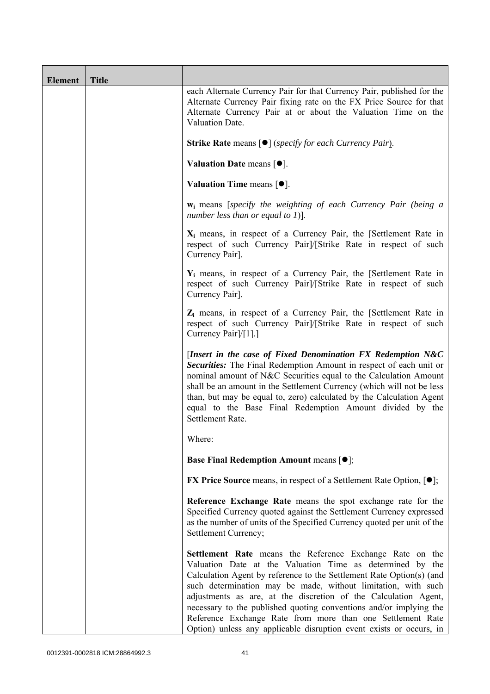| Element | <b>Title</b> |                                                                                                                                                                                                                                                                                                                                                                                                                                                                                                                                              |
|---------|--------------|----------------------------------------------------------------------------------------------------------------------------------------------------------------------------------------------------------------------------------------------------------------------------------------------------------------------------------------------------------------------------------------------------------------------------------------------------------------------------------------------------------------------------------------------|
|         |              | each Alternate Currency Pair for that Currency Pair, published for the<br>Alternate Currency Pair fixing rate on the FX Price Source for that<br>Alternate Currency Pair at or about the Valuation Time on the<br>Valuation Date.                                                                                                                                                                                                                                                                                                            |
|         |              | <b>Strike Rate</b> means $\lceil \bullet \rceil$ ( <i>specify for each Currency Pair</i> ).                                                                                                                                                                                                                                                                                                                                                                                                                                                  |
|         |              | Valuation Date means $[•]$ .                                                                                                                                                                                                                                                                                                                                                                                                                                                                                                                 |
|         |              | Valuation Time means $[•]$ .                                                                                                                                                                                                                                                                                                                                                                                                                                                                                                                 |
|         |              | <b>w</b> <sub>i</sub> means [specify the weighting of each Currency Pair (being a<br>number less than or equal to 1)].                                                                                                                                                                                                                                                                                                                                                                                                                       |
|         |              | $X_i$ means, in respect of a Currency Pair, the [Settlement Rate in<br>respect of such Currency Pair]/[Strike Rate in respect of such<br>Currency Pair].                                                                                                                                                                                                                                                                                                                                                                                     |
|         |              | $Y_i$ means, in respect of a Currency Pair, the [Settlement Rate in<br>respect of such Currency Pair]/[Strike Rate in respect of such<br>Currency Pair].                                                                                                                                                                                                                                                                                                                                                                                     |
|         |              | $Z_i$ means, in respect of a Currency Pair, the [Settlement Rate in<br>respect of such Currency Pairl/[Strike Rate in respect of such<br>Currency Pair]/[1].]                                                                                                                                                                                                                                                                                                                                                                                |
|         |              | [Insert in the case of Fixed Denomination FX Redemption N&C<br>Securities: The Final Redemption Amount in respect of each unit or<br>nominal amount of N&C Securities equal to the Calculation Amount<br>shall be an amount in the Settlement Currency (which will not be less<br>than, but may be equal to, zero) calculated by the Calculation Agent<br>equal to the Base Final Redemption Amount divided by the<br>Settlement Rate.                                                                                                       |
|         |              | Where:                                                                                                                                                                                                                                                                                                                                                                                                                                                                                                                                       |
|         |              | <b>Base Final Redemption Amount means [O];</b>                                                                                                                                                                                                                                                                                                                                                                                                                                                                                               |
|         |              | <b>FX Price Source</b> means, in respect of a Settlement Rate Option, $[•]$ ;                                                                                                                                                                                                                                                                                                                                                                                                                                                                |
|         |              | Reference Exchange Rate means the spot exchange rate for the<br>Specified Currency quoted against the Settlement Currency expressed<br>as the number of units of the Specified Currency quoted per unit of the<br>Settlement Currency;                                                                                                                                                                                                                                                                                                       |
|         |              | Settlement Rate means the Reference Exchange Rate on the<br>Valuation Date at the Valuation Time as determined by the<br>Calculation Agent by reference to the Settlement Rate Option(s) (and<br>such determination may be made, without limitation, with such<br>adjustments as are, at the discretion of the Calculation Agent,<br>necessary to the published quoting conventions and/or implying the<br>Reference Exchange Rate from more than one Settlement Rate<br>Option) unless any applicable disruption event exists or occurs, in |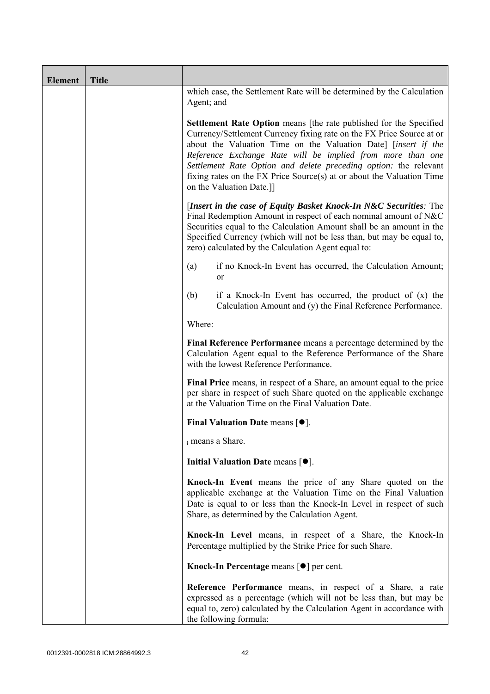| <b>Element</b> | <b>Title</b> |                                                                                                                                                                                                                                                                                                                                                                                                                                                      |  |  |  |
|----------------|--------------|------------------------------------------------------------------------------------------------------------------------------------------------------------------------------------------------------------------------------------------------------------------------------------------------------------------------------------------------------------------------------------------------------------------------------------------------------|--|--|--|
|                |              | which case, the Settlement Rate will be determined by the Calculation<br>Agent; and                                                                                                                                                                                                                                                                                                                                                                  |  |  |  |
|                |              | Settlement Rate Option means [the rate published for the Specified<br>Currency/Settlement Currency fixing rate on the FX Price Source at or<br>about the Valuation Time on the Valuation Date] [insert if the<br>Reference Exchange Rate will be implied from more than one<br>Settlement Rate Option and delete preceding option: the relevant<br>fixing rates on the FX Price Source(s) at or about the Valuation Time<br>on the Valuation Date.]] |  |  |  |
|                |              | [Insert in the case of Equity Basket Knock-In N&C Securities: The<br>Final Redemption Amount in respect of each nominal amount of N&C<br>Securities equal to the Calculation Amount shall be an amount in the<br>Specified Currency (which will not be less than, but may be equal to,<br>zero) calculated by the Calculation Agent equal to:                                                                                                        |  |  |  |
|                |              | if no Knock-In Event has occurred, the Calculation Amount;<br>(a)<br><sub>or</sub>                                                                                                                                                                                                                                                                                                                                                                   |  |  |  |
|                |              | (b)<br>if a Knock-In Event has occurred, the product of $(x)$ the<br>Calculation Amount and (y) the Final Reference Performance.                                                                                                                                                                                                                                                                                                                     |  |  |  |
|                |              | Where:                                                                                                                                                                                                                                                                                                                                                                                                                                               |  |  |  |
|                |              | Final Reference Performance means a percentage determined by the<br>Calculation Agent equal to the Reference Performance of the Share<br>with the lowest Reference Performance.                                                                                                                                                                                                                                                                      |  |  |  |
|                |              | Final Price means, in respect of a Share, an amount equal to the price<br>per share in respect of such Share quoted on the applicable exchange<br>at the Valuation Time on the Final Valuation Date.                                                                                                                                                                                                                                                 |  |  |  |
|                |              | Final Valuation Date means $[•]$ .                                                                                                                                                                                                                                                                                                                                                                                                                   |  |  |  |
|                |              | i means a Share.                                                                                                                                                                                                                                                                                                                                                                                                                                     |  |  |  |
|                |              | Initial Valuation Date means $[•]$ .                                                                                                                                                                                                                                                                                                                                                                                                                 |  |  |  |
|                |              | Knock-In Event means the price of any Share quoted on the<br>applicable exchange at the Valuation Time on the Final Valuation<br>Date is equal to or less than the Knock-In Level in respect of such<br>Share, as determined by the Calculation Agent.                                                                                                                                                                                               |  |  |  |
|                |              | Knock-In Level means, in respect of a Share, the Knock-In<br>Percentage multiplied by the Strike Price for such Share.                                                                                                                                                                                                                                                                                                                               |  |  |  |
|                |              | Knock-In Percentage means [●] per cent.                                                                                                                                                                                                                                                                                                                                                                                                              |  |  |  |
|                |              | Reference Performance means, in respect of a Share, a rate<br>expressed as a percentage (which will not be less than, but may be<br>equal to, zero) calculated by the Calculation Agent in accordance with<br>the following formula:                                                                                                                                                                                                                 |  |  |  |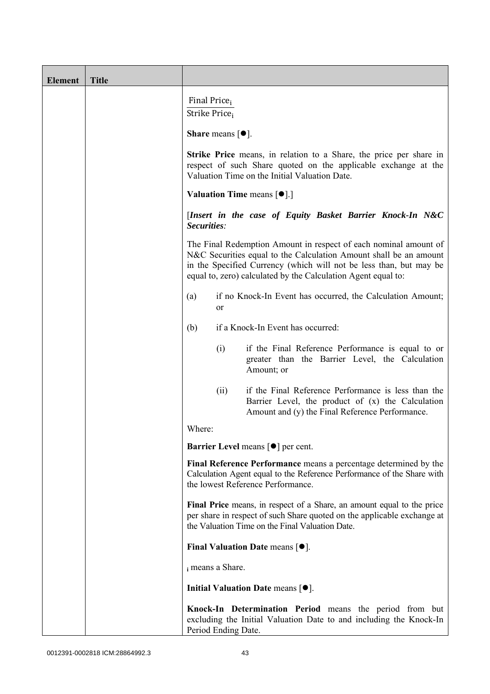| <b>Element</b> | <b>Title</b> |                                                                                                                                                                                                                                                                                                                                                          |  |  |  |  |
|----------------|--------------|----------------------------------------------------------------------------------------------------------------------------------------------------------------------------------------------------------------------------------------------------------------------------------------------------------------------------------------------------------|--|--|--|--|
|                |              | Final Price <sub>i</sub><br>Strike Price;                                                                                                                                                                                                                                                                                                                |  |  |  |  |
|                |              | <b>Share</b> means $\lceil \bullet \rceil$ .                                                                                                                                                                                                                                                                                                             |  |  |  |  |
|                |              | <b>Strike Price</b> means, in relation to a Share, the price per share in<br>respect of such Share quoted on the applicable exchange at the<br>Valuation Time on the Initial Valuation Date.                                                                                                                                                             |  |  |  |  |
|                |              | Valuation Time means [ $\bullet$ ].]                                                                                                                                                                                                                                                                                                                     |  |  |  |  |
|                |              | [Insert in the case of Equity Basket Barrier Knock-In N&C<br>Securities:<br>The Final Redemption Amount in respect of each nominal amount of<br>N&C Securities equal to the Calculation Amount shall be an amount<br>in the Specified Currency (which will not be less than, but may be<br>equal to, zero) calculated by the Calculation Agent equal to: |  |  |  |  |
|                |              |                                                                                                                                                                                                                                                                                                                                                          |  |  |  |  |
|                |              | if no Knock-In Event has occurred, the Calculation Amount;<br>(a)<br>or                                                                                                                                                                                                                                                                                  |  |  |  |  |
|                |              | if a Knock-In Event has occurred:<br>(b)                                                                                                                                                                                                                                                                                                                 |  |  |  |  |
|                |              | if the Final Reference Performance is equal to or<br>(i)<br>greater than the Barrier Level, the Calculation<br>Amount; or                                                                                                                                                                                                                                |  |  |  |  |
|                |              | if the Final Reference Performance is less than the<br>(ii)<br>Barrier Level, the product of (x) the Calculation<br>Amount and (y) the Final Reference Performance.                                                                                                                                                                                      |  |  |  |  |
|                |              | Where:                                                                                                                                                                                                                                                                                                                                                   |  |  |  |  |
|                |              | Barrier Level means [ $\bullet$ ] per cent.                                                                                                                                                                                                                                                                                                              |  |  |  |  |
|                |              | Final Reference Performance means a percentage determined by the<br>Calculation Agent equal to the Reference Performance of the Share with<br>the lowest Reference Performance.                                                                                                                                                                          |  |  |  |  |
|                |              | Final Price means, in respect of a Share, an amount equal to the price<br>per share in respect of such Share quoted on the applicable exchange at<br>the Valuation Time on the Final Valuation Date.                                                                                                                                                     |  |  |  |  |
|                |              | Final Valuation Date means $[•]$ .                                                                                                                                                                                                                                                                                                                       |  |  |  |  |
|                |              | i means a Share.                                                                                                                                                                                                                                                                                                                                         |  |  |  |  |
|                |              | Initial Valuation Date means $[•]$ .                                                                                                                                                                                                                                                                                                                     |  |  |  |  |
|                |              | Knock-In Determination Period means the period from but<br>excluding the Initial Valuation Date to and including the Knock-In<br>Period Ending Date.                                                                                                                                                                                                     |  |  |  |  |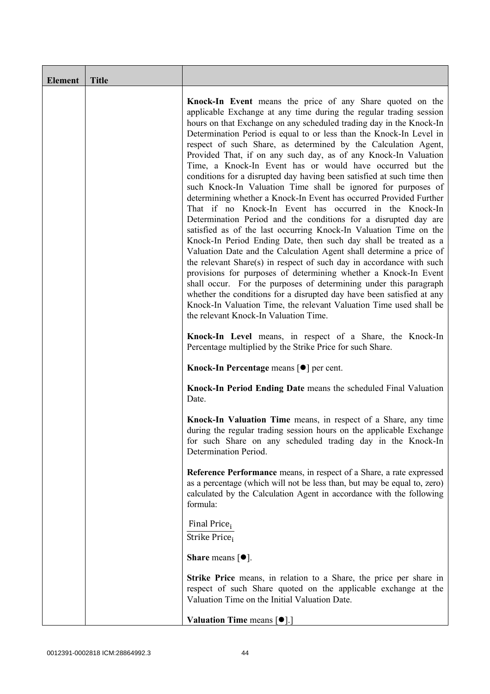| <b>Element</b> | <b>Title</b> |                                                                                                                                                                                                                                                                                                                                                                                                                                                                                                                                                                                                                                                                                                                                                                                                                                                                                                                                                                                                                                                                                                                                                                                                                                                                                                                                                                                                                                                       |
|----------------|--------------|-------------------------------------------------------------------------------------------------------------------------------------------------------------------------------------------------------------------------------------------------------------------------------------------------------------------------------------------------------------------------------------------------------------------------------------------------------------------------------------------------------------------------------------------------------------------------------------------------------------------------------------------------------------------------------------------------------------------------------------------------------------------------------------------------------------------------------------------------------------------------------------------------------------------------------------------------------------------------------------------------------------------------------------------------------------------------------------------------------------------------------------------------------------------------------------------------------------------------------------------------------------------------------------------------------------------------------------------------------------------------------------------------------------------------------------------------------|
|                |              | Knock-In Event means the price of any Share quoted on the<br>applicable Exchange at any time during the regular trading session<br>hours on that Exchange on any scheduled trading day in the Knock-In<br>Determination Period is equal to or less than the Knock-In Level in<br>respect of such Share, as determined by the Calculation Agent,<br>Provided That, if on any such day, as of any Knock-In Valuation<br>Time, a Knock-In Event has or would have occurred but the<br>conditions for a disrupted day having been satisfied at such time then<br>such Knock-In Valuation Time shall be ignored for purposes of<br>determining whether a Knock-In Event has occurred Provided Further<br>That if no Knock-In Event has occurred in the Knock-In<br>Determination Period and the conditions for a disrupted day are<br>satisfied as of the last occurring Knock-In Valuation Time on the<br>Knock-In Period Ending Date, then such day shall be treated as a<br>Valuation Date and the Calculation Agent shall determine a price of<br>the relevant Share(s) in respect of such day in accordance with such<br>provisions for purposes of determining whether a Knock-In Event<br>shall occur. For the purposes of determining under this paragraph<br>whether the conditions for a disrupted day have been satisfied at any<br>Knock-In Valuation Time, the relevant Valuation Time used shall be<br>the relevant Knock-In Valuation Time. |
|                |              | Knock-In Level means, in respect of a Share, the Knock-In<br>Percentage multiplied by the Strike Price for such Share.                                                                                                                                                                                                                                                                                                                                                                                                                                                                                                                                                                                                                                                                                                                                                                                                                                                                                                                                                                                                                                                                                                                                                                                                                                                                                                                                |
|                |              | Knock-In Percentage means [●] per cent.                                                                                                                                                                                                                                                                                                                                                                                                                                                                                                                                                                                                                                                                                                                                                                                                                                                                                                                                                                                                                                                                                                                                                                                                                                                                                                                                                                                                               |
|                |              | Knock-In Period Ending Date means the scheduled Final Valuation<br>Date.                                                                                                                                                                                                                                                                                                                                                                                                                                                                                                                                                                                                                                                                                                                                                                                                                                                                                                                                                                                                                                                                                                                                                                                                                                                                                                                                                                              |
|                |              | Knock-In Valuation Time means, in respect of a Share, any time<br>during the regular trading session hours on the applicable Exchange<br>for such Share on any scheduled trading day in the Knock-In<br>Determination Period.                                                                                                                                                                                                                                                                                                                                                                                                                                                                                                                                                                                                                                                                                                                                                                                                                                                                                                                                                                                                                                                                                                                                                                                                                         |
|                |              | Reference Performance means, in respect of a Share, a rate expressed<br>as a percentage (which will not be less than, but may be equal to, zero)<br>calculated by the Calculation Agent in accordance with the following<br>formula:                                                                                                                                                                                                                                                                                                                                                                                                                                                                                                                                                                                                                                                                                                                                                                                                                                                                                                                                                                                                                                                                                                                                                                                                                  |
|                |              | Final Price <sub>i</sub><br>Strike Price;                                                                                                                                                                                                                                                                                                                                                                                                                                                                                                                                                                                                                                                                                                                                                                                                                                                                                                                                                                                                                                                                                                                                                                                                                                                                                                                                                                                                             |
|                |              | <b>Share</b> means $\lceil \bullet \rceil$ .                                                                                                                                                                                                                                                                                                                                                                                                                                                                                                                                                                                                                                                                                                                                                                                                                                                                                                                                                                                                                                                                                                                                                                                                                                                                                                                                                                                                          |
|                |              | <b>Strike Price</b> means, in relation to a Share, the price per share in<br>respect of such Share quoted on the applicable exchange at the<br>Valuation Time on the Initial Valuation Date.                                                                                                                                                                                                                                                                                                                                                                                                                                                                                                                                                                                                                                                                                                                                                                                                                                                                                                                                                                                                                                                                                                                                                                                                                                                          |
|                |              | Valuation Time means [ $\bullet$ ].]                                                                                                                                                                                                                                                                                                                                                                                                                                                                                                                                                                                                                                                                                                                                                                                                                                                                                                                                                                                                                                                                                                                                                                                                                                                                                                                                                                                                                  |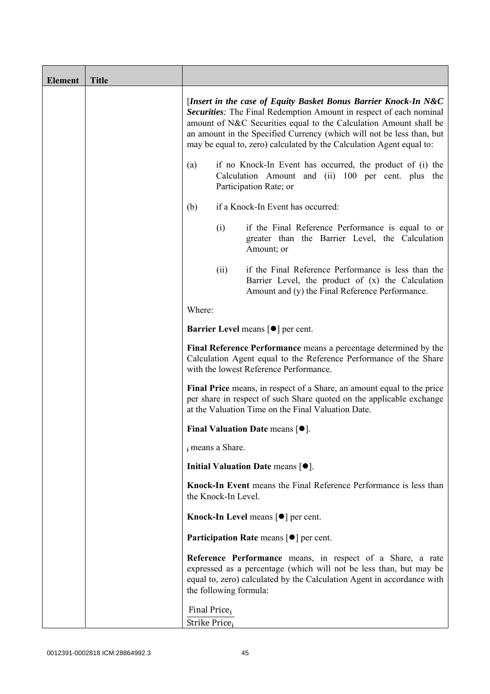| <b>Element</b> | <b>Title</b> |                                                                                                                                                                                                                                                                                                                                                             |                        |                                                                                                                                                                                                            |  |
|----------------|--------------|-------------------------------------------------------------------------------------------------------------------------------------------------------------------------------------------------------------------------------------------------------------------------------------------------------------------------------------------------------------|------------------------|------------------------------------------------------------------------------------------------------------------------------------------------------------------------------------------------------------|--|
|                |              | [Insert in the case of Equity Basket Bonus Barrier Knock-In N&C<br>Securities: The Final Redemption Amount in respect of each nominal<br>amount of N&C Securities equal to the Calculation Amount shall be<br>an amount in the Specified Currency (which will not be less than, but<br>may be equal to, zero) calculated by the Calculation Agent equal to: |                        |                                                                                                                                                                                                            |  |
|                |              | if no Knock-In Event has occurred, the product of (i) the<br>(a)<br>Calculation Amount and (ii) 100 per cent. plus the<br>Participation Rate; or                                                                                                                                                                                                            |                        |                                                                                                                                                                                                            |  |
|                |              | if a Knock-In Event has occurred:<br>(b)                                                                                                                                                                                                                                                                                                                    |                        |                                                                                                                                                                                                            |  |
|                |              |                                                                                                                                                                                                                                                                                                                                                             | (i)                    | if the Final Reference Performance is equal to or<br>greater than the Barrier Level, the Calculation<br>Amount; or                                                                                         |  |
|                |              |                                                                                                                                                                                                                                                                                                                                                             | (ii)                   | if the Final Reference Performance is less than the<br>Barrier Level, the product of (x) the Calculation<br>Amount and (y) the Final Reference Performance.                                                |  |
|                |              | Where:                                                                                                                                                                                                                                                                                                                                                      |                        |                                                                                                                                                                                                            |  |
|                |              | <b>Barrier Level</b> means $\lceil \bullet \rceil$ per cent.                                                                                                                                                                                                                                                                                                |                        |                                                                                                                                                                                                            |  |
|                |              | Final Reference Performance means a percentage determined by the<br>Calculation Agent equal to the Reference Performance of the Share<br>with the lowest Reference Performance.                                                                                                                                                                             |                        |                                                                                                                                                                                                            |  |
|                |              | Final Price means, in respect of a Share, an amount equal to the price<br>per share in respect of such Share quoted on the applicable exchange<br>at the Valuation Time on the Final Valuation Date.                                                                                                                                                        |                        |                                                                                                                                                                                                            |  |
|                |              | Final Valuation Date means $[•]$ .                                                                                                                                                                                                                                                                                                                          |                        |                                                                                                                                                                                                            |  |
|                |              | i means a Share.                                                                                                                                                                                                                                                                                                                                            |                        |                                                                                                                                                                                                            |  |
|                |              |                                                                                                                                                                                                                                                                                                                                                             |                        | Initial Valuation Date means $[•]$ .                                                                                                                                                                       |  |
|                |              |                                                                                                                                                                                                                                                                                                                                                             | the Knock-In Level.    | Knock-In Event means the Final Reference Performance is less than                                                                                                                                          |  |
|                |              |                                                                                                                                                                                                                                                                                                                                                             |                        | Knock-In Level means [ <sup>●</sup> ] per cent.                                                                                                                                                            |  |
|                |              |                                                                                                                                                                                                                                                                                                                                                             |                        | <b>Participation Rate means <math>\lceil \bullet \rceil</math> per cent.</b>                                                                                                                               |  |
|                |              |                                                                                                                                                                                                                                                                                                                                                             | the following formula: | Reference Performance means, in respect of a Share, a rate<br>expressed as a percentage (which will not be less than, but may be<br>equal to, zero) calculated by the Calculation Agent in accordance with |  |
|                |              | Final Price <sub>i</sub><br>Strike Price <sub>i</sub>                                                                                                                                                                                                                                                                                                       |                        |                                                                                                                                                                                                            |  |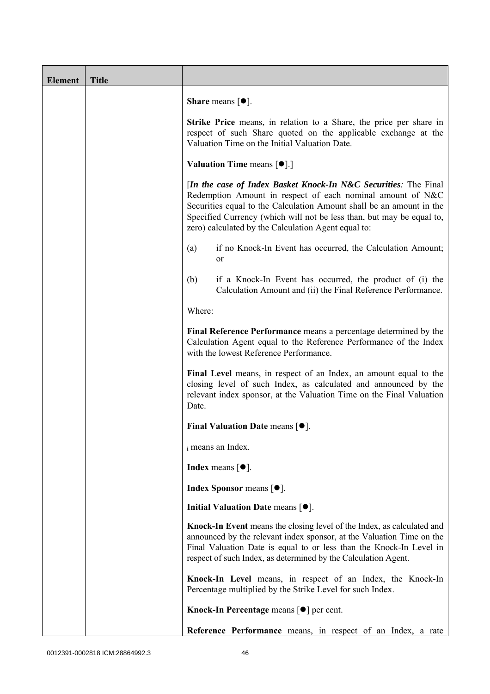| <b>Element</b> | <b>Title</b> |                                                                                                                                                                                                                                                                                                                                       |  |  |  |
|----------------|--------------|---------------------------------------------------------------------------------------------------------------------------------------------------------------------------------------------------------------------------------------------------------------------------------------------------------------------------------------|--|--|--|
|                |              | <b>Share</b> means $[•]$ .                                                                                                                                                                                                                                                                                                            |  |  |  |
|                |              | <b>Strike Price</b> means, in relation to a Share, the price per share in<br>respect of such Share quoted on the applicable exchange at the<br>Valuation Time on the Initial Valuation Date.<br><b>Valuation Time means <math>\lceil \bullet \rceil</math>.</b>                                                                       |  |  |  |
|                |              |                                                                                                                                                                                                                                                                                                                                       |  |  |  |
|                |              | [In the case of Index Basket Knock-In N&C Securities: The Final<br>Redemption Amount in respect of each nominal amount of N&C<br>Securities equal to the Calculation Amount shall be an amount in the<br>Specified Currency (which will not be less than, but may be equal to,<br>zero) calculated by the Calculation Agent equal to: |  |  |  |
|                |              | if no Knock-In Event has occurred, the Calculation Amount;<br>(a)<br>or                                                                                                                                                                                                                                                               |  |  |  |
|                |              | (b)<br>if a Knock-In Event has occurred, the product of (i) the<br>Calculation Amount and (ii) the Final Reference Performance.                                                                                                                                                                                                       |  |  |  |
|                |              | Where:                                                                                                                                                                                                                                                                                                                                |  |  |  |
|                |              | Final Reference Performance means a percentage determined by the<br>Calculation Agent equal to the Reference Performance of the Index<br>with the lowest Reference Performance.                                                                                                                                                       |  |  |  |
|                |              | Final Level means, in respect of an Index, an amount equal to the<br>closing level of such Index, as calculated and announced by the<br>relevant index sponsor, at the Valuation Time on the Final Valuation<br>Date.                                                                                                                 |  |  |  |
|                |              | Final Valuation Date means $[•]$ .                                                                                                                                                                                                                                                                                                    |  |  |  |
|                |              | i means an Index.                                                                                                                                                                                                                                                                                                                     |  |  |  |
|                |              | <b>Index</b> means $\lceil \bullet \rceil$ .                                                                                                                                                                                                                                                                                          |  |  |  |
|                |              | Index Sponsor means [ $\bullet$ ].                                                                                                                                                                                                                                                                                                    |  |  |  |
|                |              | Initial Valuation Date means $[•]$ .                                                                                                                                                                                                                                                                                                  |  |  |  |
|                |              | Knock-In Event means the closing level of the Index, as calculated and<br>announced by the relevant index sponsor, at the Valuation Time on the<br>Final Valuation Date is equal to or less than the Knock-In Level in<br>respect of such Index, as determined by the Calculation Agent.                                              |  |  |  |
|                |              | Knock-In Level means, in respect of an Index, the Knock-In<br>Percentage multiplied by the Strike Level for such Index.                                                                                                                                                                                                               |  |  |  |
|                |              | Knock-In Percentage means [●] per cent.                                                                                                                                                                                                                                                                                               |  |  |  |
|                |              | Reference Performance means, in respect of an Index, a rate                                                                                                                                                                                                                                                                           |  |  |  |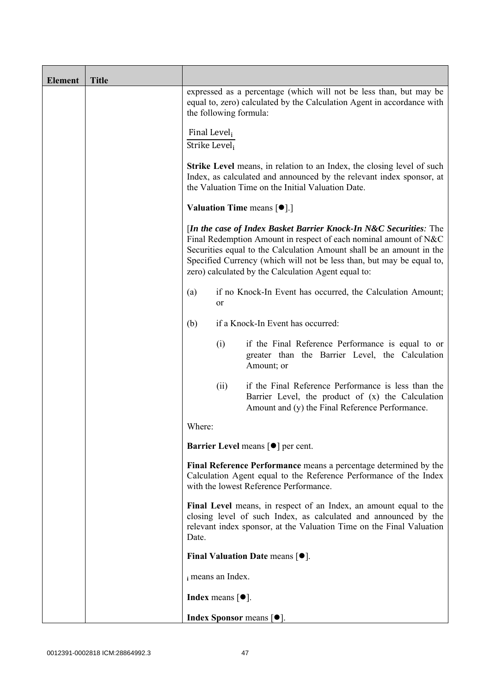| <b>Element</b> | <b>Title</b> |                                                                                                                                                                                                                                                                                                                                               |                            |                                                                                                                                                             |  |  |
|----------------|--------------|-----------------------------------------------------------------------------------------------------------------------------------------------------------------------------------------------------------------------------------------------------------------------------------------------------------------------------------------------|----------------------------|-------------------------------------------------------------------------------------------------------------------------------------------------------------|--|--|
|                |              | expressed as a percentage (which will not be less than, but may be<br>equal to, zero) calculated by the Calculation Agent in accordance with<br>the following formula:                                                                                                                                                                        |                            |                                                                                                                                                             |  |  |
|                |              | Final Level <sub>i</sub><br>Strike Level,                                                                                                                                                                                                                                                                                                     |                            |                                                                                                                                                             |  |  |
|                |              | <b>Strike Level</b> means, in relation to an Index, the closing level of such<br>Index, as calculated and announced by the relevant index sponsor, at<br>the Valuation Time on the Initial Valuation Date.                                                                                                                                    |                            |                                                                                                                                                             |  |  |
|                |              | Valuation Time means [ $\bullet$ ].]                                                                                                                                                                                                                                                                                                          |                            |                                                                                                                                                             |  |  |
|                |              | [In the case of Index Basket Barrier Knock-In N&C Securities: The<br>Final Redemption Amount in respect of each nominal amount of N&C<br>Securities equal to the Calculation Amount shall be an amount in the<br>Specified Currency (which will not be less than, but may be equal to,<br>zero) calculated by the Calculation Agent equal to: |                            |                                                                                                                                                             |  |  |
|                |              | if no Knock-In Event has occurred, the Calculation Amount;<br>(a)<br>or                                                                                                                                                                                                                                                                       |                            |                                                                                                                                                             |  |  |
|                |              | (b)                                                                                                                                                                                                                                                                                                                                           |                            | if a Knock-In Event has occurred:                                                                                                                           |  |  |
|                |              |                                                                                                                                                                                                                                                                                                                                               | (i)                        | if the Final Reference Performance is equal to or<br>greater than the Barrier Level, the Calculation<br>Amount; or                                          |  |  |
|                |              |                                                                                                                                                                                                                                                                                                                                               | (ii)                       | if the Final Reference Performance is less than the<br>Barrier Level, the product of (x) the Calculation<br>Amount and (y) the Final Reference Performance. |  |  |
|                |              | Where:                                                                                                                                                                                                                                                                                                                                        |                            |                                                                                                                                                             |  |  |
|                |              |                                                                                                                                                                                                                                                                                                                                               |                            | <b>Barrier Level means [<math>\bullet</math>] per cent.</b>                                                                                                 |  |  |
|                |              | Final Reference Performance means a percentage determined by the<br>Calculation Agent equal to the Reference Performance of the Index<br>with the lowest Reference Performance.                                                                                                                                                               |                            |                                                                                                                                                             |  |  |
|                |              | Final Level means, in respect of an Index, an amount equal to the<br>closing level of such Index, as calculated and announced by the<br>relevant index sponsor, at the Valuation Time on the Final Valuation<br>Date.                                                                                                                         |                            |                                                                                                                                                             |  |  |
|                |              |                                                                                                                                                                                                                                                                                                                                               |                            | Final Valuation Date means $[•]$ .                                                                                                                          |  |  |
|                |              |                                                                                                                                                                                                                                                                                                                                               | i means an Index.          |                                                                                                                                                             |  |  |
|                |              |                                                                                                                                                                                                                                                                                                                                               | <b>Index</b> means $[•]$ . |                                                                                                                                                             |  |  |
|                |              |                                                                                                                                                                                                                                                                                                                                               |                            | Index Sponsor means [ $\bullet$ ].                                                                                                                          |  |  |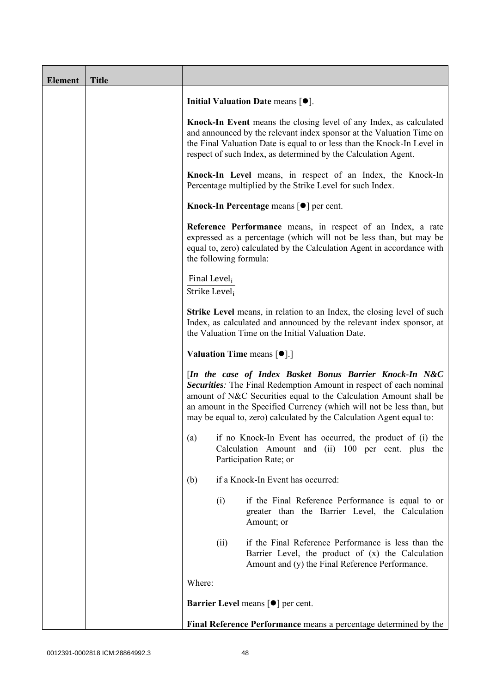| <b>Element</b> | <b>Title</b> |                                                                                                                                                                                                                                                                                                                                                            |      |                                                                                                                                                                                                                                                                                         |  |
|----------------|--------------|------------------------------------------------------------------------------------------------------------------------------------------------------------------------------------------------------------------------------------------------------------------------------------------------------------------------------------------------------------|------|-----------------------------------------------------------------------------------------------------------------------------------------------------------------------------------------------------------------------------------------------------------------------------------------|--|
|                |              |                                                                                                                                                                                                                                                                                                                                                            |      | Initial Valuation Date means $[•]$ .                                                                                                                                                                                                                                                    |  |
|                |              |                                                                                                                                                                                                                                                                                                                                                            |      | Knock-In Event means the closing level of any Index, as calculated<br>and announced by the relevant index sponsor at the Valuation Time on<br>the Final Valuation Date is equal to or less than the Knock-In Level in<br>respect of such Index, as determined by the Calculation Agent. |  |
|                |              |                                                                                                                                                                                                                                                                                                                                                            |      | Knock-In Level means, in respect of an Index, the Knock-In<br>Percentage multiplied by the Strike Level for such Index.                                                                                                                                                                 |  |
|                |              | Knock-In Percentage means [●] per cent.<br>Reference Performance means, in respect of an Index, a rate<br>expressed as a percentage (which will not be less than, but may be<br>equal to, zero) calculated by the Calculation Agent in accordance with<br>the following formula:                                                                           |      |                                                                                                                                                                                                                                                                                         |  |
|                |              |                                                                                                                                                                                                                                                                                                                                                            |      |                                                                                                                                                                                                                                                                                         |  |
|                |              | Final Level <sub>i</sub><br>Strike Level <sub>i</sub>                                                                                                                                                                                                                                                                                                      |      |                                                                                                                                                                                                                                                                                         |  |
|                |              | <b>Strike Level</b> means, in relation to an Index, the closing level of such<br>Index, as calculated and announced by the relevant index sponsor, at<br>the Valuation Time on the Initial Valuation Date.                                                                                                                                                 |      |                                                                                                                                                                                                                                                                                         |  |
|                |              | <b>Valuation Time means <math>\lceil \bullet \rceil</math>.</b>                                                                                                                                                                                                                                                                                            |      |                                                                                                                                                                                                                                                                                         |  |
|                |              | [In the case of Index Basket Bonus Barrier Knock-In N&C<br><b>Securities:</b> The Final Redemption Amount in respect of each nominal<br>amount of N&C Securities equal to the Calculation Amount shall be<br>an amount in the Specified Currency (which will not be less than, but<br>may be equal to, zero) calculated by the Calculation Agent equal to: |      |                                                                                                                                                                                                                                                                                         |  |
|                |              | if no Knock-In Event has occurred, the product of (i) the<br>(a)<br>Calculation Amount and (ii) 100 per cent. plus the<br>Participation Rate; or                                                                                                                                                                                                           |      |                                                                                                                                                                                                                                                                                         |  |
|                |              | (b)                                                                                                                                                                                                                                                                                                                                                        |      | if a Knock-In Event has occurred:                                                                                                                                                                                                                                                       |  |
|                |              |                                                                                                                                                                                                                                                                                                                                                            | (i)  | if the Final Reference Performance is equal to or<br>greater than the Barrier Level, the Calculation<br>Amount; or                                                                                                                                                                      |  |
|                |              |                                                                                                                                                                                                                                                                                                                                                            | (ii) | if the Final Reference Performance is less than the<br>Barrier Level, the product of (x) the Calculation<br>Amount and (y) the Final Reference Performance.                                                                                                                             |  |
|                |              | Where:                                                                                                                                                                                                                                                                                                                                                     |      |                                                                                                                                                                                                                                                                                         |  |
|                |              | <b>Barrier Level means [<math>\bullet</math>] per cent.</b>                                                                                                                                                                                                                                                                                                |      |                                                                                                                                                                                                                                                                                         |  |
|                |              | Final Reference Performance means a percentage determined by the                                                                                                                                                                                                                                                                                           |      |                                                                                                                                                                                                                                                                                         |  |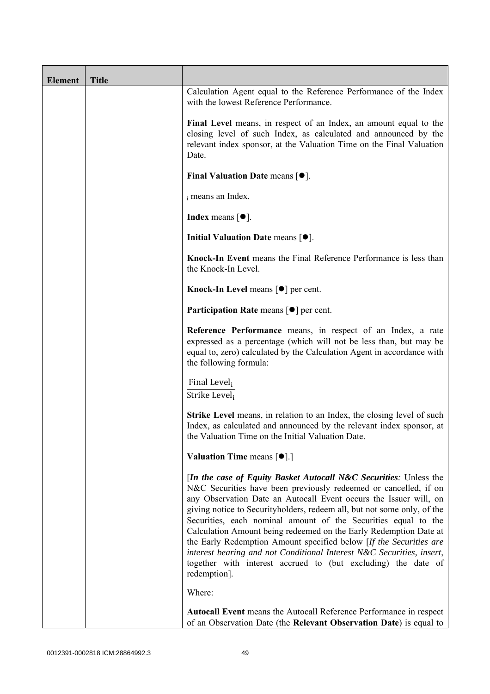| <b>Element</b> | <b>Title</b> |                                                                                                                                                                                                                                                                                                                                                                                                                                                                                                                                                                                                                                                                        |
|----------------|--------------|------------------------------------------------------------------------------------------------------------------------------------------------------------------------------------------------------------------------------------------------------------------------------------------------------------------------------------------------------------------------------------------------------------------------------------------------------------------------------------------------------------------------------------------------------------------------------------------------------------------------------------------------------------------------|
|                |              | Calculation Agent equal to the Reference Performance of the Index<br>with the lowest Reference Performance.                                                                                                                                                                                                                                                                                                                                                                                                                                                                                                                                                            |
|                |              | Final Level means, in respect of an Index, an amount equal to the<br>closing level of such Index, as calculated and announced by the<br>relevant index sponsor, at the Valuation Time on the Final Valuation<br>Date.                                                                                                                                                                                                                                                                                                                                                                                                                                                  |
|                |              | Final Valuation Date means $[•]$ .                                                                                                                                                                                                                                                                                                                                                                                                                                                                                                                                                                                                                                     |
|                |              | i means an Index.                                                                                                                                                                                                                                                                                                                                                                                                                                                                                                                                                                                                                                                      |
|                |              | <b>Index</b> means $[•]$ .                                                                                                                                                                                                                                                                                                                                                                                                                                                                                                                                                                                                                                             |
|                |              | Initial Valuation Date means [ $\bullet$ ].                                                                                                                                                                                                                                                                                                                                                                                                                                                                                                                                                                                                                            |
|                |              | Knock-In Event means the Final Reference Performance is less than<br>the Knock-In Level.                                                                                                                                                                                                                                                                                                                                                                                                                                                                                                                                                                               |
|                |              | Knock-In Level means $\lceil \bullet \rceil$ per cent.                                                                                                                                                                                                                                                                                                                                                                                                                                                                                                                                                                                                                 |
|                |              | <b>Participation Rate</b> means $\lceil \bullet \rceil$ per cent.                                                                                                                                                                                                                                                                                                                                                                                                                                                                                                                                                                                                      |
|                |              | Reference Performance means, in respect of an Index, a rate<br>expressed as a percentage (which will not be less than, but may be<br>equal to, zero) calculated by the Calculation Agent in accordance with<br>the following formula:                                                                                                                                                                                                                                                                                                                                                                                                                                  |
|                |              | Final Level,<br>Strike Level;                                                                                                                                                                                                                                                                                                                                                                                                                                                                                                                                                                                                                                          |
|                |              | <b>Strike Level</b> means, in relation to an Index, the closing level of such<br>Index, as calculated and announced by the relevant index sponsor, at<br>the Valuation Time on the Initial Valuation Date.                                                                                                                                                                                                                                                                                                                                                                                                                                                             |
|                |              | <b>Valuation Time means <math>\lceil \bullet \rceil</math>.</b>                                                                                                                                                                                                                                                                                                                                                                                                                                                                                                                                                                                                        |
|                |              | <i>In the case of Equity Basket Autocall N&amp;C Securities: Unless the</i><br>N&C Securities have been previously redeemed or cancelled, if on<br>any Observation Date an Autocall Event occurs the Issuer will, on<br>giving notice to Securityholders, redeem all, but not some only, of the<br>Securities, each nominal amount of the Securities equal to the<br>Calculation Amount being redeemed on the Early Redemption Date at<br>the Early Redemption Amount specified below [If the Securities are<br>interest bearing and not Conditional Interest N&C Securities, insert,<br>together with interest accrued to (but excluding) the date of<br>redemption]. |
|                |              | Where:                                                                                                                                                                                                                                                                                                                                                                                                                                                                                                                                                                                                                                                                 |
|                |              | Autocall Event means the Autocall Reference Performance in respect<br>of an Observation Date (the Relevant Observation Date) is equal to                                                                                                                                                                                                                                                                                                                                                                                                                                                                                                                               |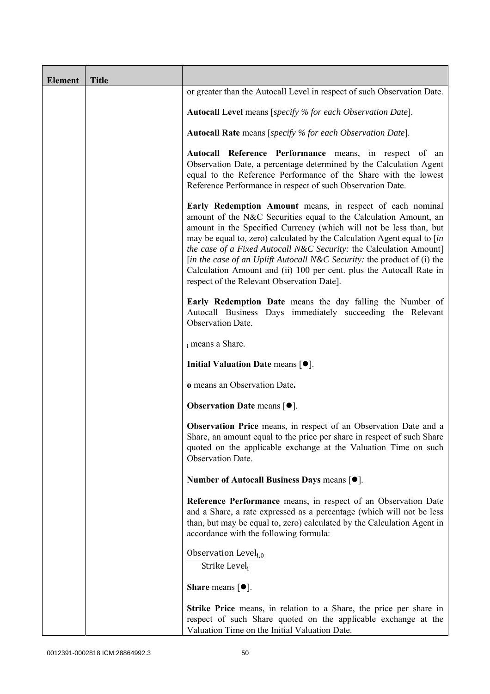| <b>Element</b> | <b>Title</b> |                                                                                                                                                                                                                                                                                                                                                                                                                                                                                                                                                      |
|----------------|--------------|------------------------------------------------------------------------------------------------------------------------------------------------------------------------------------------------------------------------------------------------------------------------------------------------------------------------------------------------------------------------------------------------------------------------------------------------------------------------------------------------------------------------------------------------------|
|                |              | or greater than the Autocall Level in respect of such Observation Date.                                                                                                                                                                                                                                                                                                                                                                                                                                                                              |
|                |              | <b>Autocall Level</b> means [specify % for each Observation Date].                                                                                                                                                                                                                                                                                                                                                                                                                                                                                   |
|                |              | Autocall Rate means [specify % for each Observation Date].                                                                                                                                                                                                                                                                                                                                                                                                                                                                                           |
|                |              | Autocall Reference Performance means, in respect of an<br>Observation Date, a percentage determined by the Calculation Agent<br>equal to the Reference Performance of the Share with the lowest<br>Reference Performance in respect of such Observation Date.                                                                                                                                                                                                                                                                                        |
|                |              | Early Redemption Amount means, in respect of each nominal<br>amount of the N&C Securities equal to the Calculation Amount, an<br>amount in the Specified Currency (which will not be less than, but<br>may be equal to, zero) calculated by the Calculation Agent equal to [in<br>the case of a Fixed Autocall N&C Security: the Calculation Amount]<br>[in the case of an Uplift Autocall N&C Security: the product of (i) the<br>Calculation Amount and (ii) 100 per cent. plus the Autocall Rate in<br>respect of the Relevant Observation Date]. |
|                |              | Early Redemption Date means the day falling the Number of<br>Autocall Business Days immediately succeeding the Relevant<br>Observation Date.                                                                                                                                                                                                                                                                                                                                                                                                         |
|                |              | i means a Share.                                                                                                                                                                                                                                                                                                                                                                                                                                                                                                                                     |
|                |              | Initial Valuation Date means $[•]$ .                                                                                                                                                                                                                                                                                                                                                                                                                                                                                                                 |
|                |              | o means an Observation Date.                                                                                                                                                                                                                                                                                                                                                                                                                                                                                                                         |
|                |              | <b>Observation Date means <math>\lceil \bullet \rceil</math>.</b>                                                                                                                                                                                                                                                                                                                                                                                                                                                                                    |
|                |              | Observation Price means, in respect of an Observation Date and a<br>Share, an amount equal to the price per share in respect of such Share<br>quoted on the applicable exchange at the Valuation Time on such<br>Observation Date.                                                                                                                                                                                                                                                                                                                   |
|                |              | Number of Autocall Business Days means [●].                                                                                                                                                                                                                                                                                                                                                                                                                                                                                                          |
|                |              | Reference Performance means, in respect of an Observation Date<br>and a Share, a rate expressed as a percentage (which will not be less<br>than, but may be equal to, zero) calculated by the Calculation Agent in<br>accordance with the following formula:                                                                                                                                                                                                                                                                                         |
|                |              | Observation Level <sub>i,0</sub><br>Strike Level,                                                                                                                                                                                                                                                                                                                                                                                                                                                                                                    |
|                |              | <b>Share</b> means $\lceil \bullet \rceil$ .                                                                                                                                                                                                                                                                                                                                                                                                                                                                                                         |
|                |              | <b>Strike Price</b> means, in relation to a Share, the price per share in<br>respect of such Share quoted on the applicable exchange at the<br>Valuation Time on the Initial Valuation Date.                                                                                                                                                                                                                                                                                                                                                         |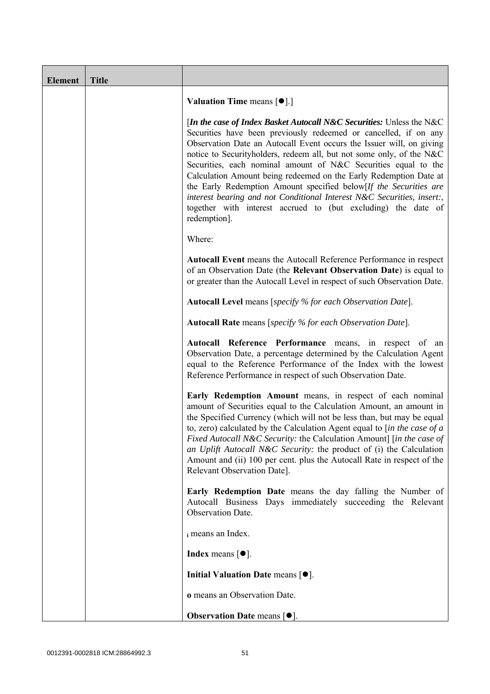| <b>Element</b> | <b>Title</b> |                                                                                                                                                                                                                                                                                                                                                                                                                                                                                                                                                                                                                                                                 |
|----------------|--------------|-----------------------------------------------------------------------------------------------------------------------------------------------------------------------------------------------------------------------------------------------------------------------------------------------------------------------------------------------------------------------------------------------------------------------------------------------------------------------------------------------------------------------------------------------------------------------------------------------------------------------------------------------------------------|
|                |              | <b>Valuation Time means <math>[\bullet]</math>.</b> ]                                                                                                                                                                                                                                                                                                                                                                                                                                                                                                                                                                                                           |
|                |              | [In the case of Index Basket Autocall N&C Securities: Unless the N&C<br>Securities have been previously redeemed or cancelled, if on any<br>Observation Date an Autocall Event occurs the Issuer will, on giving<br>notice to Securityholders, redeem all, but not some only, of the N&C<br>Securities, each nominal amount of N&C Securities equal to the<br>Calculation Amount being redeemed on the Early Redemption Date at<br>the Early Redemption Amount specified below[If the Securities are<br>interest bearing and not Conditional Interest N&C Securities, insert:,<br>together with interest accrued to (but excluding) the date of<br>redemption]. |
|                |              | Where:                                                                                                                                                                                                                                                                                                                                                                                                                                                                                                                                                                                                                                                          |
|                |              | Autocall Event means the Autocall Reference Performance in respect<br>of an Observation Date (the Relevant Observation Date) is equal to<br>or greater than the Autocall Level in respect of such Observation Date.                                                                                                                                                                                                                                                                                                                                                                                                                                             |
|                |              | Autocall Level means [specify % for each Observation Date].                                                                                                                                                                                                                                                                                                                                                                                                                                                                                                                                                                                                     |
|                |              | <b>Autocall Rate</b> means [specify % for each Observation Date].                                                                                                                                                                                                                                                                                                                                                                                                                                                                                                                                                                                               |
|                |              | Autocall Reference Performance means, in respect of an<br>Observation Date, a percentage determined by the Calculation Agent<br>equal to the Reference Performance of the Index with the lowest<br>Reference Performance in respect of such Observation Date.                                                                                                                                                                                                                                                                                                                                                                                                   |
|                |              | Early Redemption Amount means, in respect of each nominal<br>amount of Securities equal to the Calculation Amount, an amount in<br>the Specified Currency (which will not be less than, but may be equal<br>to, zero) calculated by the Calculation Agent equal to $\sin$ the case of a<br>Fixed Autocall N&C Security: the Calculation Amount] [in the case of<br>an Uplift Autocall N&C Security: the product of (i) the Calculation<br>Amount and (ii) 100 per cent. plus the Autocall Rate in respect of the<br>Relevant Observation Date].                                                                                                                 |
|                |              | Early Redemption Date means the day falling the Number of<br>Autocall Business Days immediately succeeding the Relevant<br>Observation Date.                                                                                                                                                                                                                                                                                                                                                                                                                                                                                                                    |
|                |              | i means an Index.                                                                                                                                                                                                                                                                                                                                                                                                                                                                                                                                                                                                                                               |
|                |              | <b>Index</b> means $\lceil \bullet \rceil$ .                                                                                                                                                                                                                                                                                                                                                                                                                                                                                                                                                                                                                    |
|                |              | Initial Valuation Date means $[•]$ .                                                                                                                                                                                                                                                                                                                                                                                                                                                                                                                                                                                                                            |
|                |              | o means an Observation Date.                                                                                                                                                                                                                                                                                                                                                                                                                                                                                                                                                                                                                                    |
|                |              | Observation Date means [ $\bullet$ ].                                                                                                                                                                                                                                                                                                                                                                                                                                                                                                                                                                                                                           |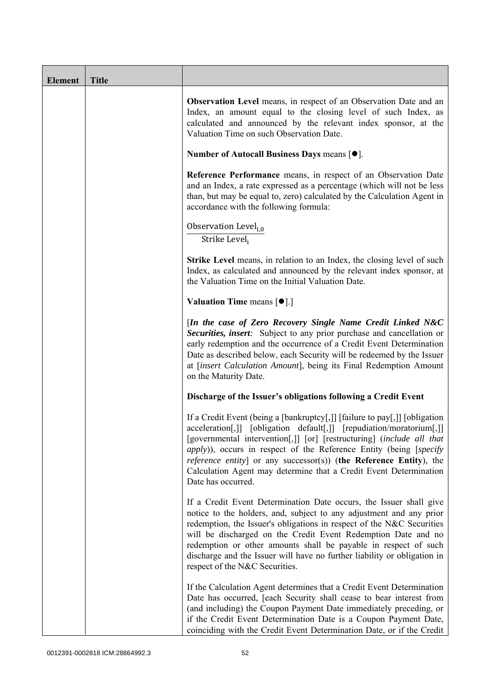| <b>Element</b> | <b>Title</b> |                                                                                                                                                                                                                                                                                                                                                                                                                                                                                            |
|----------------|--------------|--------------------------------------------------------------------------------------------------------------------------------------------------------------------------------------------------------------------------------------------------------------------------------------------------------------------------------------------------------------------------------------------------------------------------------------------------------------------------------------------|
|                |              | <b>Observation Level</b> means, in respect of an Observation Date and an<br>Index, an amount equal to the closing level of such Index, as<br>calculated and announced by the relevant index sponsor, at the<br>Valuation Time on such Observation Date.                                                                                                                                                                                                                                    |
|                |              | Number of Autocall Business Days means [●].                                                                                                                                                                                                                                                                                                                                                                                                                                                |
|                |              | Reference Performance means, in respect of an Observation Date<br>and an Index, a rate expressed as a percentage (which will not be less<br>than, but may be equal to, zero) calculated by the Calculation Agent in<br>accordance with the following formula:                                                                                                                                                                                                                              |
|                |              | Observation Level <sub>i,0</sub><br>Strike Level <sub>i</sub>                                                                                                                                                                                                                                                                                                                                                                                                                              |
|                |              | <b>Strike Level</b> means, in relation to an Index, the closing level of such<br>Index, as calculated and announced by the relevant index sponsor, at<br>the Valuation Time on the Initial Valuation Date.                                                                                                                                                                                                                                                                                 |
|                |              | <b>Valuation Time means <math>\lceil \bullet \rceil</math>.</b>                                                                                                                                                                                                                                                                                                                                                                                                                            |
|                |              | [In the case of Zero Recovery Single Name Credit Linked N&C<br>Securities, insert: Subject to any prior purchase and cancellation or<br>early redemption and the occurrence of a Credit Event Determination<br>Date as described below, each Security will be redeemed by the Issuer<br>at [insert Calculation Amount], being its Final Redemption Amount<br>on the Maturity Date.                                                                                                         |
|                |              | Discharge of the Issuer's obligations following a Credit Event                                                                                                                                                                                                                                                                                                                                                                                                                             |
|                |              | If a Credit Event (being a [bankruptcy[,]] [failure to pay[,]] [obligation<br>acceleration[,]] [obligation default[,]] [repudiation/moratorium[,]]<br>[governmental intervention[,]] [or] [restructuring] (include all that<br><i>apply</i> )), occurs in respect of the Reference Entity (being [ <i>specify</i><br><i>reference entity</i> ] or any successor(s)) (the Reference Entity), the<br>Calculation Agent may determine that a Credit Event Determination<br>Date has occurred. |
|                |              | If a Credit Event Determination Date occurs, the Issuer shall give<br>notice to the holders, and, subject to any adjustment and any prior<br>redemption, the Issuer's obligations in respect of the N&C Securities<br>will be discharged on the Credit Event Redemption Date and no<br>redemption or other amounts shall be payable in respect of such<br>discharge and the Issuer will have no further liability or obligation in<br>respect of the N&C Securities.                       |
|                |              | If the Calculation Agent determines that a Credit Event Determination<br>Date has occurred, [each Security shall cease to bear interest from<br>(and including) the Coupon Payment Date immediately preceding, or<br>if the Credit Event Determination Date is a Coupon Payment Date,<br>coinciding with the Credit Event Determination Date, or if the Credit                                                                                                                             |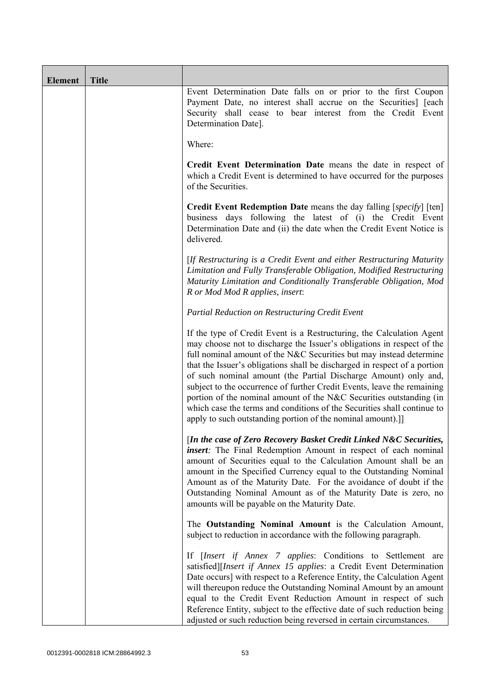| <b>Element</b> | <b>Title</b> |                                                                                                                                                                                                                                                                                                                                                                                                                                                                                                                                                                                                                                                                   |
|----------------|--------------|-------------------------------------------------------------------------------------------------------------------------------------------------------------------------------------------------------------------------------------------------------------------------------------------------------------------------------------------------------------------------------------------------------------------------------------------------------------------------------------------------------------------------------------------------------------------------------------------------------------------------------------------------------------------|
|                |              | Event Determination Date falls on or prior to the first Coupon<br>Payment Date, no interest shall accrue on the Securities] [each<br>Security shall cease to bear interest from the Credit Event<br>Determination Date].                                                                                                                                                                                                                                                                                                                                                                                                                                          |
|                |              | Where:                                                                                                                                                                                                                                                                                                                                                                                                                                                                                                                                                                                                                                                            |
|                |              | Credit Event Determination Date means the date in respect of<br>which a Credit Event is determined to have occurred for the purposes<br>of the Securities.                                                                                                                                                                                                                                                                                                                                                                                                                                                                                                        |
|                |              | <b>Credit Event Redemption Date</b> means the day falling [specify] [ten]<br>business days following the latest of (i) the Credit Event<br>Determination Date and (ii) the date when the Credit Event Notice is<br>delivered.                                                                                                                                                                                                                                                                                                                                                                                                                                     |
|                |              | [If Restructuring is a Credit Event and either Restructuring Maturity<br>Limitation and Fully Transferable Obligation, Modified Restructuring<br>Maturity Limitation and Conditionally Transferable Obligation, Mod<br>R or Mod Mod R applies, insert:                                                                                                                                                                                                                                                                                                                                                                                                            |
|                |              | Partial Reduction on Restructuring Credit Event                                                                                                                                                                                                                                                                                                                                                                                                                                                                                                                                                                                                                   |
|                |              | If the type of Credit Event is a Restructuring, the Calculation Agent<br>may choose not to discharge the Issuer's obligations in respect of the<br>full nominal amount of the N&C Securities but may instead determine<br>that the Issuer's obligations shall be discharged in respect of a portion<br>of such nominal amount (the Partial Discharge Amount) only and,<br>subject to the occurrence of further Credit Events, leave the remaining<br>portion of the nominal amount of the N&C Securities outstanding (in<br>which case the terms and conditions of the Securities shall continue to<br>apply to such outstanding portion of the nominal amount).] |
|                |              | [In the case of Zero Recovery Basket Credit Linked N&C Securities,<br><i>insert</i> : The Final Redemption Amount in respect of each nominal<br>amount of Securities equal to the Calculation Amount shall be an<br>amount in the Specified Currency equal to the Outstanding Nominal<br>Amount as of the Maturity Date. For the avoidance of doubt if the<br>Outstanding Nominal Amount as of the Maturity Date is zero, no<br>amounts will be payable on the Maturity Date.                                                                                                                                                                                     |
|                |              | The Outstanding Nominal Amount is the Calculation Amount,<br>subject to reduction in accordance with the following paragraph.                                                                                                                                                                                                                                                                                                                                                                                                                                                                                                                                     |
|                |              | If [Insert if Annex 7 applies: Conditions to Settlement are<br>satisfied][Insert if Annex 15 applies: a Credit Event Determination<br>Date occurs] with respect to a Reference Entity, the Calculation Agent<br>will thereupon reduce the Outstanding Nominal Amount by an amount<br>equal to the Credit Event Reduction Amount in respect of such<br>Reference Entity, subject to the effective date of such reduction being<br>adjusted or such reduction being reversed in certain circumstances.                                                                                                                                                              |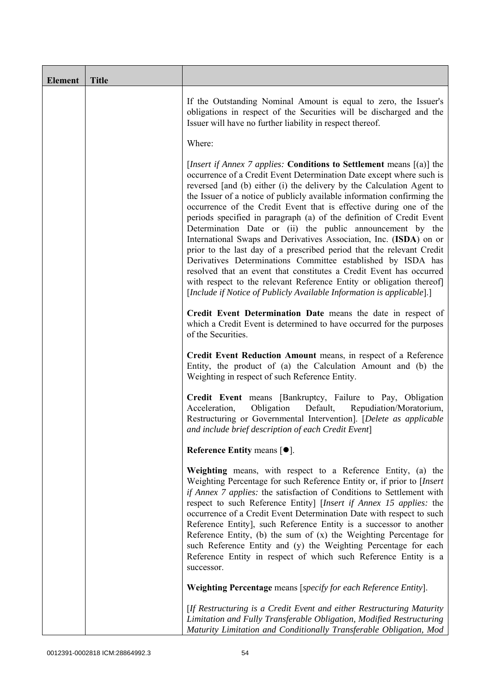| <b>Element</b> | <b>Title</b> |                                                                                                                                                                                                                                                                                                                                                                                                                                                                                                                                                                                                                                                                                                                                                                                                                                                                                                                                                           |
|----------------|--------------|-----------------------------------------------------------------------------------------------------------------------------------------------------------------------------------------------------------------------------------------------------------------------------------------------------------------------------------------------------------------------------------------------------------------------------------------------------------------------------------------------------------------------------------------------------------------------------------------------------------------------------------------------------------------------------------------------------------------------------------------------------------------------------------------------------------------------------------------------------------------------------------------------------------------------------------------------------------|
|                |              | If the Outstanding Nominal Amount is equal to zero, the Issuer's<br>obligations in respect of the Securities will be discharged and the<br>Issuer will have no further liability in respect thereof.                                                                                                                                                                                                                                                                                                                                                                                                                                                                                                                                                                                                                                                                                                                                                      |
|                |              | Where:                                                                                                                                                                                                                                                                                                                                                                                                                                                                                                                                                                                                                                                                                                                                                                                                                                                                                                                                                    |
|                |              | <i>[Insert if Annex 7 applies: Conditions to Settlement means [(a)] the</i><br>occurrence of a Credit Event Determination Date except where such is<br>reversed [and (b) either (i) the delivery by the Calculation Agent to<br>the Issuer of a notice of publicly available information confirming the<br>occurrence of the Credit Event that is effective during one of the<br>periods specified in paragraph (a) of the definition of Credit Event<br>Determination Date or (ii) the public announcement by the<br>International Swaps and Derivatives Association, Inc. (ISDA) on or<br>prior to the last day of a prescribed period that the relevant Credit<br>Derivatives Determinations Committee established by ISDA has<br>resolved that an event that constitutes a Credit Event has occurred<br>with respect to the relevant Reference Entity or obligation thereof]<br>[Include if Notice of Publicly Available Information is applicable].] |
|                |              | Credit Event Determination Date means the date in respect of<br>which a Credit Event is determined to have occurred for the purposes<br>of the Securities.                                                                                                                                                                                                                                                                                                                                                                                                                                                                                                                                                                                                                                                                                                                                                                                                |
|                |              | Credit Event Reduction Amount means, in respect of a Reference<br>Entity, the product of (a) the Calculation Amount and (b) the<br>Weighting in respect of such Reference Entity.                                                                                                                                                                                                                                                                                                                                                                                                                                                                                                                                                                                                                                                                                                                                                                         |
|                |              | Credit Event means [Bankruptcy, Failure to Pay, Obligation<br>Acceleration,<br>Obligation<br>Default,<br>Repudiation/Moratorium,<br>Restructuring or Governmental Intervention]. [Delete as applicable<br>and include brief description of each Credit Event]                                                                                                                                                                                                                                                                                                                                                                                                                                                                                                                                                                                                                                                                                             |
|                |              | Reference Entity means [ $\bullet$ ].                                                                                                                                                                                                                                                                                                                                                                                                                                                                                                                                                                                                                                                                                                                                                                                                                                                                                                                     |
|                |              | Weighting means, with respect to a Reference Entity, (a) the<br>Weighting Percentage for such Reference Entity or, if prior to [Insert<br>if Annex 7 applies: the satisfaction of Conditions to Settlement with<br>respect to such Reference Entity] [Insert if Annex 15 applies: the<br>occurrence of a Credit Event Determination Date with respect to such<br>Reference Entity], such Reference Entity is a successor to another<br>Reference Entity, (b) the sum of $(x)$ the Weighting Percentage for<br>such Reference Entity and (y) the Weighting Percentage for each<br>Reference Entity in respect of which such Reference Entity is a<br>successor.                                                                                                                                                                                                                                                                                            |
|                |              | Weighting Percentage means [specify for each Reference Entity].                                                                                                                                                                                                                                                                                                                                                                                                                                                                                                                                                                                                                                                                                                                                                                                                                                                                                           |
|                |              | [If Restructuring is a Credit Event and either Restructuring Maturity<br>Limitation and Fully Transferable Obligation, Modified Restructuring<br>Maturity Limitation and Conditionally Transferable Obligation, Mod                                                                                                                                                                                                                                                                                                                                                                                                                                                                                                                                                                                                                                                                                                                                       |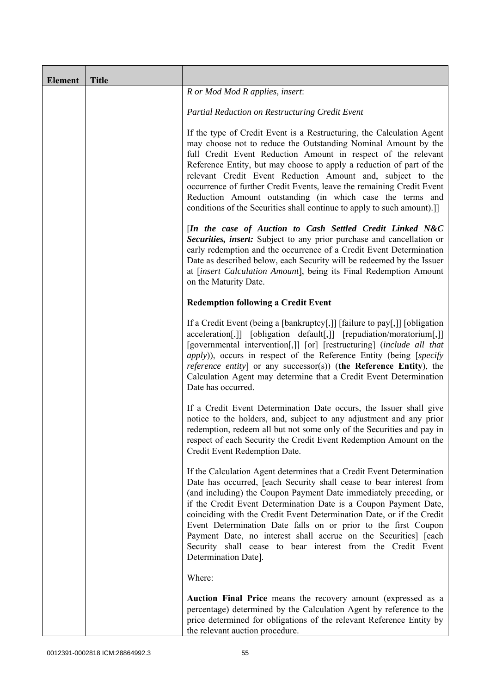| <b>Element</b> | <b>Title</b> |                                                                                                                                                                                                                                                                                                                                                                                                                                                                                                                                                                                            |
|----------------|--------------|--------------------------------------------------------------------------------------------------------------------------------------------------------------------------------------------------------------------------------------------------------------------------------------------------------------------------------------------------------------------------------------------------------------------------------------------------------------------------------------------------------------------------------------------------------------------------------------------|
|                |              | R or Mod Mod R applies, insert:                                                                                                                                                                                                                                                                                                                                                                                                                                                                                                                                                            |
|                |              | Partial Reduction on Restructuring Credit Event                                                                                                                                                                                                                                                                                                                                                                                                                                                                                                                                            |
|                |              | If the type of Credit Event is a Restructuring, the Calculation Agent<br>may choose not to reduce the Outstanding Nominal Amount by the<br>full Credit Event Reduction Amount in respect of the relevant<br>Reference Entity, but may choose to apply a reduction of part of the<br>relevant Credit Event Reduction Amount and, subject to the<br>occurrence of further Credit Events, leave the remaining Credit Event<br>Reduction Amount outstanding (in which case the terms and<br>conditions of the Securities shall continue to apply to such amount).]]                            |
|                |              | [In the case of Auction to Cash Settled Credit Linked N&C<br>Securities, insert: Subject to any prior purchase and cancellation or<br>early redemption and the occurrence of a Credit Event Determination<br>Date as described below, each Security will be redeemed by the Issuer<br>at [insert Calculation Amount], being its Final Redemption Amount<br>on the Maturity Date.                                                                                                                                                                                                           |
|                |              | <b>Redemption following a Credit Event</b>                                                                                                                                                                                                                                                                                                                                                                                                                                                                                                                                                 |
|                |              | If a Credit Event (being a [bankruptcy[,]] [failure to pay[,]] [obligation<br>acceleration[,]] [obligation default[,]] [repudiation/moratorium[,]]<br>[governmental intervention[,]] [or] [restructuring] (include all that<br><i>apply</i> )), occurs in respect of the Reference Entity (being [specify<br><i>reference entity</i> ] or any successor(s)) (the Reference Entity), the<br>Calculation Agent may determine that a Credit Event Determination<br>Date has occurred.                                                                                                         |
|                |              | If a Credit Event Determination Date occurs, the Issuer shall give<br>notice to the holders, and, subject to any adjustment and any prior<br>redemption, redeem all but not some only of the Securities and pay in<br>respect of each Security the Credit Event Redemption Amount on the<br>Credit Event Redemption Date.                                                                                                                                                                                                                                                                  |
|                |              | If the Calculation Agent determines that a Credit Event Determination<br>Date has occurred, [each Security shall cease to bear interest from<br>(and including) the Coupon Payment Date immediately preceding, or<br>if the Credit Event Determination Date is a Coupon Payment Date,<br>coinciding with the Credit Event Determination Date, or if the Credit<br>Event Determination Date falls on or prior to the first Coupon<br>Payment Date, no interest shall accrue on the Securities] [each<br>Security shall cease to bear interest from the Credit Event<br>Determination Date]. |
|                |              | Where:                                                                                                                                                                                                                                                                                                                                                                                                                                                                                                                                                                                     |
|                |              | Auction Final Price means the recovery amount (expressed as a<br>percentage) determined by the Calculation Agent by reference to the<br>price determined for obligations of the relevant Reference Entity by<br>the relevant auction procedure.                                                                                                                                                                                                                                                                                                                                            |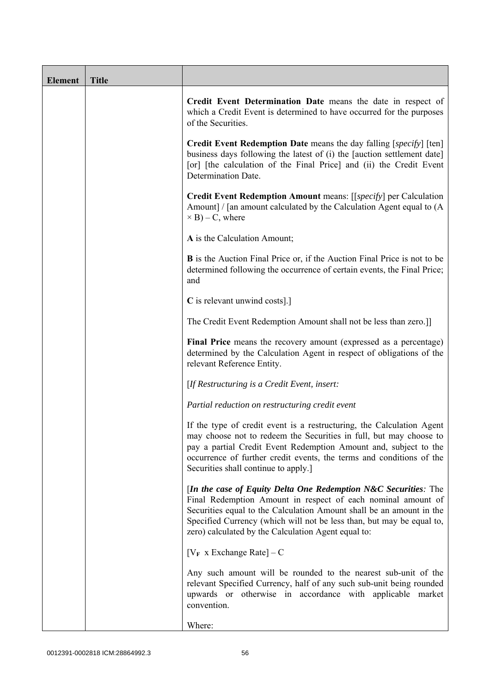| <b>Element</b> | <b>Title</b> |                                                                                                                                                                                                                                                                                                                                           |
|----------------|--------------|-------------------------------------------------------------------------------------------------------------------------------------------------------------------------------------------------------------------------------------------------------------------------------------------------------------------------------------------|
|                |              | Credit Event Determination Date means the date in respect of<br>which a Credit Event is determined to have occurred for the purposes<br>of the Securities.                                                                                                                                                                                |
|                |              | Credit Event Redemption Date means the day falling [specify] [ten]<br>business days following the latest of (i) the [auction settlement date]<br>[or] [the calculation of the Final Price] and (ii) the Credit Event<br>Determination Date.                                                                                               |
|                |              | Credit Event Redemption Amount means: [[specify] per Calculation<br>Amount] / [an amount calculated by the Calculation Agent equal to (A<br>$\times$ B) – C, where                                                                                                                                                                        |
|                |              | A is the Calculation Amount;                                                                                                                                                                                                                                                                                                              |
|                |              | <b>B</b> is the Auction Final Price or, if the Auction Final Price is not to be<br>determined following the occurrence of certain events, the Final Price;<br>and                                                                                                                                                                         |
|                |              | C is relevant unwind costs].]                                                                                                                                                                                                                                                                                                             |
|                |              | The Credit Event Redemption Amount shall not be less than zero.]]                                                                                                                                                                                                                                                                         |
|                |              | Final Price means the recovery amount (expressed as a percentage)<br>determined by the Calculation Agent in respect of obligations of the<br>relevant Reference Entity.                                                                                                                                                                   |
|                |              | [If Restructuring is a Credit Event, insert:                                                                                                                                                                                                                                                                                              |
|                |              | Partial reduction on restructuring credit event                                                                                                                                                                                                                                                                                           |
|                |              | If the type of credit event is a restructuring, the Calculation Agent<br>may choose not to redeem the Securities in full, but may choose to<br>pay a partial Credit Event Redemption Amount and, subject to the<br>occurrence of further credit events, the terms and conditions of the<br>Securities shall continue to apply.]           |
|                |              | [In the case of Equity Delta One Redemption $N&C$ Securities: The<br>Final Redemption Amount in respect of each nominal amount of<br>Securities equal to the Calculation Amount shall be an amount in the<br>Specified Currency (which will not be less than, but may be equal to,<br>zero) calculated by the Calculation Agent equal to: |
|                |              | $[V_F \times Exchange Rate] - C$                                                                                                                                                                                                                                                                                                          |
|                |              | Any such amount will be rounded to the nearest sub-unit of the<br>relevant Specified Currency, half of any such sub-unit being rounded<br>upwards or otherwise in accordance with applicable market<br>convention.                                                                                                                        |
|                |              | Where:                                                                                                                                                                                                                                                                                                                                    |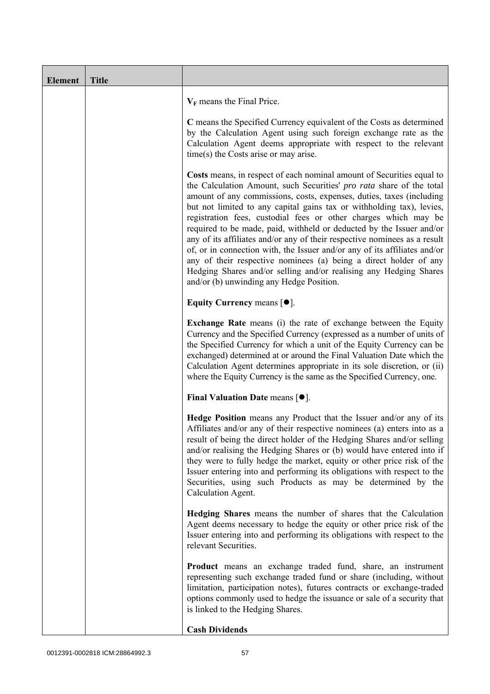| <b>Element</b> | <b>Title</b> |                                                                                                                                                                                                                                                                                                                                                                                                                                                                                                                                                                                                                                                                                                                                                                                           |
|----------------|--------------|-------------------------------------------------------------------------------------------------------------------------------------------------------------------------------------------------------------------------------------------------------------------------------------------------------------------------------------------------------------------------------------------------------------------------------------------------------------------------------------------------------------------------------------------------------------------------------------------------------------------------------------------------------------------------------------------------------------------------------------------------------------------------------------------|
|                |              | $V_F$ means the Final Price.                                                                                                                                                                                                                                                                                                                                                                                                                                                                                                                                                                                                                                                                                                                                                              |
|                |              | C means the Specified Currency equivalent of the Costs as determined<br>by the Calculation Agent using such foreign exchange rate as the<br>Calculation Agent deems appropriate with respect to the relevant<br>$time(s)$ the Costs arise or may arise.                                                                                                                                                                                                                                                                                                                                                                                                                                                                                                                                   |
|                |              | Costs means, in respect of each nominal amount of Securities equal to<br>the Calculation Amount, such Securities' pro rata share of the total<br>amount of any commissions, costs, expenses, duties, taxes (including<br>but not limited to any capital gains tax or withholding tax), levies,<br>registration fees, custodial fees or other charges which may be<br>required to be made, paid, withheld or deducted by the Issuer and/or<br>any of its affiliates and/or any of their respective nominees as a result<br>of, or in connection with, the Issuer and/or any of its affiliates and/or<br>any of their respective nominees (a) being a direct holder of any<br>Hedging Shares and/or selling and/or realising any Hedging Shares<br>and/or (b) unwinding any Hedge Position. |
|                |              | Equity Currency means $[\bullet].$                                                                                                                                                                                                                                                                                                                                                                                                                                                                                                                                                                                                                                                                                                                                                        |
|                |              | <b>Exchange Rate</b> means (i) the rate of exchange between the Equity<br>Currency and the Specified Currency (expressed as a number of units of<br>the Specified Currency for which a unit of the Equity Currency can be<br>exchanged) determined at or around the Final Valuation Date which the<br>Calculation Agent determines appropriate in its sole discretion, or (ii)<br>where the Equity Currency is the same as the Specified Currency, one.                                                                                                                                                                                                                                                                                                                                   |
|                |              | Final Valuation Date means $[\bullet]$ .                                                                                                                                                                                                                                                                                                                                                                                                                                                                                                                                                                                                                                                                                                                                                  |
|                |              | Hedge Position means any Product that the Issuer and/or any of its<br>Affiliates and/or any of their respective nominees (a) enters into as a<br>result of being the direct holder of the Hedging Shares and/or selling<br>and/or realising the Hedging Shares or (b) would have entered into if<br>they were to fully hedge the market, equity or other price risk of the<br>Issuer entering into and performing its obligations with respect to the<br>Securities, using such Products as may be determined by the<br>Calculation Agent.                                                                                                                                                                                                                                                |
|                |              | Hedging Shares means the number of shares that the Calculation<br>Agent deems necessary to hedge the equity or other price risk of the<br>Issuer entering into and performing its obligations with respect to the<br>relevant Securities.                                                                                                                                                                                                                                                                                                                                                                                                                                                                                                                                                 |
|                |              | <b>Product</b> means an exchange traded fund, share, an instrument<br>representing such exchange traded fund or share (including, without<br>limitation, participation notes), futures contracts or exchange-traded<br>options commonly used to hedge the issuance or sale of a security that<br>is linked to the Hedging Shares.                                                                                                                                                                                                                                                                                                                                                                                                                                                         |
|                |              | <b>Cash Dividends</b>                                                                                                                                                                                                                                                                                                                                                                                                                                                                                                                                                                                                                                                                                                                                                                     |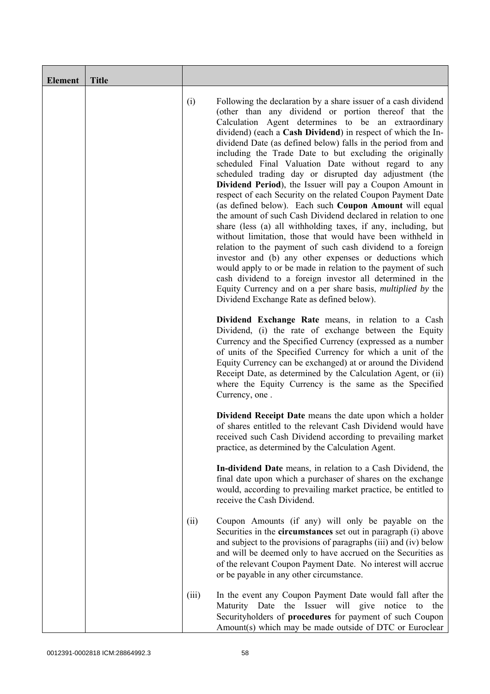| <b>Element</b> | <b>Title</b> |       |                                                                                                                                                                                                                                                                                                                                                                                                                                                                                                                                                                                                                                                                                                                                                                                                                                                                                                                                                                                                                                                                                                                                                                                                                                                           |
|----------------|--------------|-------|-----------------------------------------------------------------------------------------------------------------------------------------------------------------------------------------------------------------------------------------------------------------------------------------------------------------------------------------------------------------------------------------------------------------------------------------------------------------------------------------------------------------------------------------------------------------------------------------------------------------------------------------------------------------------------------------------------------------------------------------------------------------------------------------------------------------------------------------------------------------------------------------------------------------------------------------------------------------------------------------------------------------------------------------------------------------------------------------------------------------------------------------------------------------------------------------------------------------------------------------------------------|
|                |              | (i)   | Following the declaration by a share issuer of a cash dividend<br>(other than any dividend or portion thereof that the<br>Calculation Agent determines to be an extraordinary<br>dividend) (each a Cash Dividend) in respect of which the In-<br>dividend Date (as defined below) falls in the period from and<br>including the Trade Date to but excluding the originally<br>scheduled Final Valuation Date without regard to any<br>scheduled trading day or disrupted day adjustment (the<br>Dividend Period), the Issuer will pay a Coupon Amount in<br>respect of each Security on the related Coupon Payment Date<br>(as defined below). Each such Coupon Amount will equal<br>the amount of such Cash Dividend declared in relation to one<br>share (less (a) all withholding taxes, if any, including, but<br>without limitation, those that would have been withheld in<br>relation to the payment of such cash dividend to a foreign<br>investor and (b) any other expenses or deductions which<br>would apply to or be made in relation to the payment of such<br>cash dividend to a foreign investor all determined in the<br>Equity Currency and on a per share basis, <i>multiplied by</i> the<br>Dividend Exchange Rate as defined below). |
|                |              |       | Dividend Exchange Rate means, in relation to a Cash<br>Dividend, (i) the rate of exchange between the Equity<br>Currency and the Specified Currency (expressed as a number<br>of units of the Specified Currency for which a unit of the<br>Equity Currency can be exchanged) at or around the Dividend<br>Receipt Date, as determined by the Calculation Agent, or (ii)<br>where the Equity Currency is the same as the Specified<br>Currency, one.                                                                                                                                                                                                                                                                                                                                                                                                                                                                                                                                                                                                                                                                                                                                                                                                      |
|                |              |       | <b>Dividend Receipt Date</b> means the date upon which a holder<br>of shares entitled to the relevant Cash Dividend would have<br>received such Cash Dividend according to prevailing market<br>practice, as determined by the Calculation Agent.                                                                                                                                                                                                                                                                                                                                                                                                                                                                                                                                                                                                                                                                                                                                                                                                                                                                                                                                                                                                         |
|                |              |       | In-dividend Date means, in relation to a Cash Dividend, the<br>final date upon which a purchaser of shares on the exchange<br>would, according to prevailing market practice, be entitled to<br>receive the Cash Dividend.                                                                                                                                                                                                                                                                                                                                                                                                                                                                                                                                                                                                                                                                                                                                                                                                                                                                                                                                                                                                                                |
|                |              | (ii)  | Coupon Amounts (if any) will only be payable on the<br>Securities in the <b>circumstances</b> set out in paragraph (i) above<br>and subject to the provisions of paragraphs (iii) and (iv) below<br>and will be deemed only to have accrued on the Securities as<br>of the relevant Coupon Payment Date. No interest will accrue<br>or be payable in any other circumstance.                                                                                                                                                                                                                                                                                                                                                                                                                                                                                                                                                                                                                                                                                                                                                                                                                                                                              |
|                |              | (iii) | In the event any Coupon Payment Date would fall after the<br>the Issuer will give<br>notice<br>Maturity Date<br>the<br>to<br>Securityholders of procedures for payment of such Coupon<br>Amount(s) which may be made outside of DTC or Euroclear                                                                                                                                                                                                                                                                                                                                                                                                                                                                                                                                                                                                                                                                                                                                                                                                                                                                                                                                                                                                          |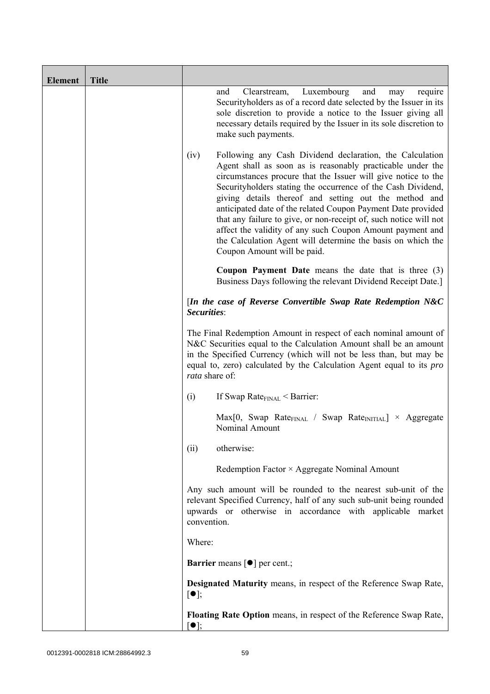| <b>Element</b> | <b>Title</b> |                                                                                                                                                                                                                                                                                                                                                                                                                                                                                                                                                                                                                          |
|----------------|--------------|--------------------------------------------------------------------------------------------------------------------------------------------------------------------------------------------------------------------------------------------------------------------------------------------------------------------------------------------------------------------------------------------------------------------------------------------------------------------------------------------------------------------------------------------------------------------------------------------------------------------------|
|                |              | Luxembourg<br>and<br>and<br>Clearstream,<br>require<br>may<br>Security holders as of a record date selected by the Issuer in its<br>sole discretion to provide a notice to the Issuer giving all<br>necessary details required by the Issuer in its sole discretion to<br>make such payments.                                                                                                                                                                                                                                                                                                                            |
|                |              | (iv)<br>Following any Cash Dividend declaration, the Calculation<br>Agent shall as soon as is reasonably practicable under the<br>circumstances procure that the Issuer will give notice to the<br>Securityholders stating the occurrence of the Cash Dividend,<br>giving details thereof and setting out the method and<br>anticipated date of the related Coupon Payment Date provided<br>that any failure to give, or non-receipt of, such notice will not<br>affect the validity of any such Coupon Amount payment and<br>the Calculation Agent will determine the basis on which the<br>Coupon Amount will be paid. |
|                |              | <b>Coupon Payment Date</b> means the date that is three $(3)$<br>Business Days following the relevant Dividend Receipt Date.]                                                                                                                                                                                                                                                                                                                                                                                                                                                                                            |
|                |              | [In the case of Reverse Convertible Swap Rate Redemption N&C<br>Securities:                                                                                                                                                                                                                                                                                                                                                                                                                                                                                                                                              |
|                |              | The Final Redemption Amount in respect of each nominal amount of<br>N&C Securities equal to the Calculation Amount shall be an amount<br>in the Specified Currency (which will not be less than, but may be<br>equal to, zero) calculated by the Calculation Agent equal to its pro<br>rata share of:                                                                                                                                                                                                                                                                                                                    |
|                |              | If Swap Rate $_{\text{FINAL}}$ < Barrier:<br>(i)                                                                                                                                                                                                                                                                                                                                                                                                                                                                                                                                                                         |
|                |              | $Max[0, Swap Rate_{FINAL} / Swap Rate_{INITIAL}] \times Aggregate$<br>Nominal Amount                                                                                                                                                                                                                                                                                                                                                                                                                                                                                                                                     |
|                |              | otherwise:<br>(ii)                                                                                                                                                                                                                                                                                                                                                                                                                                                                                                                                                                                                       |
|                |              | Redemption Factor $\times$ Aggregate Nominal Amount                                                                                                                                                                                                                                                                                                                                                                                                                                                                                                                                                                      |
|                |              | Any such amount will be rounded to the nearest sub-unit of the<br>relevant Specified Currency, half of any such sub-unit being rounded<br>upwards or otherwise in accordance with applicable market<br>convention.                                                                                                                                                                                                                                                                                                                                                                                                       |
|                |              | Where:                                                                                                                                                                                                                                                                                                                                                                                                                                                                                                                                                                                                                   |
|                |              | <b>Barrier</b> means $\lceil \bullet \rceil$ per cent.;                                                                                                                                                                                                                                                                                                                                                                                                                                                                                                                                                                  |
|                |              | <b>Designated Maturity means, in respect of the Reference Swap Rate,</b><br>$[\bullet]$ ;                                                                                                                                                                                                                                                                                                                                                                                                                                                                                                                                |
|                |              | Floating Rate Option means, in respect of the Reference Swap Rate,<br>$\lceil \bullet \rceil;$                                                                                                                                                                                                                                                                                                                                                                                                                                                                                                                           |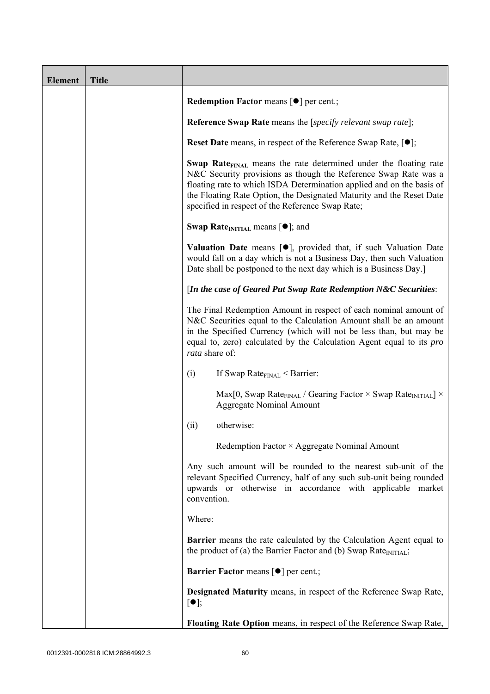| <b>Element</b> | <b>Title</b> |                                                                                                                                                                                                                                                                                                                                                             |
|----------------|--------------|-------------------------------------------------------------------------------------------------------------------------------------------------------------------------------------------------------------------------------------------------------------------------------------------------------------------------------------------------------------|
|                |              | <b>Redemption Factor means <math>\lceil \bullet \rceil</math> per cent.;</b>                                                                                                                                                                                                                                                                                |
|                |              | <b>Reference Swap Rate</b> means the [ <i>specify relevant swap rate</i> ];                                                                                                                                                                                                                                                                                 |
|                |              | <b>Reset Date</b> means, in respect of the Reference Swap Rate, $[•]$ ;                                                                                                                                                                                                                                                                                     |
|                |              | <b>Swap Rate</b> <sub>FINAL</sub> means the rate determined under the floating rate<br>N&C Security provisions as though the Reference Swap Rate was a<br>floating rate to which ISDA Determination applied and on the basis of<br>the Floating Rate Option, the Designated Maturity and the Reset Date<br>specified in respect of the Reference Swap Rate; |
|                |              | <b>Swap Rate</b> <sub>INITIAL</sub> means $[\bullet]$ ; and                                                                                                                                                                                                                                                                                                 |
|                |              | <b>Valuation Date</b> means $[\bullet]$ , provided that, if such Valuation Date<br>would fall on a day which is not a Business Day, then such Valuation<br>Date shall be postponed to the next day which is a Business Day.]                                                                                                                                |
|                |              | [In the case of Geared Put Swap Rate Redemption N&C Securities:                                                                                                                                                                                                                                                                                             |
|                |              | The Final Redemption Amount in respect of each nominal amount of<br>N&C Securities equal to the Calculation Amount shall be an amount<br>in the Specified Currency (which will not be less than, but may be<br>equal to, zero) calculated by the Calculation Agent equal to its <i>pro</i><br>rata share of:                                                |
|                |              | (i)<br>If Swap Rate $_{\text{FINAL}}$ < Barrier:                                                                                                                                                                                                                                                                                                            |
|                |              | Max[0, Swap Rate <sub>FINAL</sub> / Gearing Factor $\times$ Swap Rate <sub>INITIAL</sub> ] $\times$<br><b>Aggregate Nominal Amount</b>                                                                                                                                                                                                                      |
|                |              | otherwise:<br>(ii)                                                                                                                                                                                                                                                                                                                                          |
|                |              | Redemption Factor × Aggregate Nominal Amount                                                                                                                                                                                                                                                                                                                |
|                |              | Any such amount will be rounded to the nearest sub-unit of the<br>relevant Specified Currency, half of any such sub-unit being rounded<br>upwards or otherwise in accordance with applicable market<br>convention.                                                                                                                                          |
|                |              | Where:                                                                                                                                                                                                                                                                                                                                                      |
|                |              | <b>Barrier</b> means the rate calculated by the Calculation Agent equal to<br>the product of (a) the Barrier Factor and (b) Swap Rate $_{\text{INITIAL}}$ ;                                                                                                                                                                                                 |
|                |              | <b>Barrier Factor means [O] per cent.;</b>                                                                                                                                                                                                                                                                                                                  |
|                |              | <b>Designated Maturity means, in respect of the Reference Swap Rate,</b><br>$\lceil \bullet \rceil;$                                                                                                                                                                                                                                                        |
|                |              | Floating Rate Option means, in respect of the Reference Swap Rate,                                                                                                                                                                                                                                                                                          |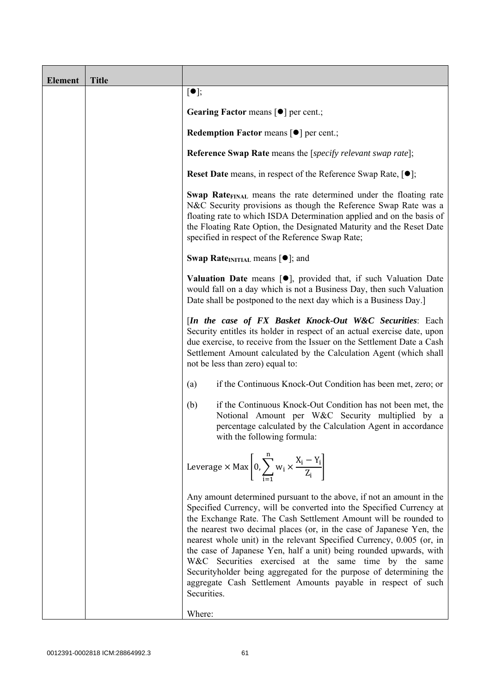| <b>Element</b> | <b>Title</b> |                                                                                                                                                                                                                                                                                                                                                                                                                                                                                                                                                                                                                                                       |
|----------------|--------------|-------------------------------------------------------------------------------------------------------------------------------------------------------------------------------------------------------------------------------------------------------------------------------------------------------------------------------------------------------------------------------------------------------------------------------------------------------------------------------------------------------------------------------------------------------------------------------------------------------------------------------------------------------|
|                |              | $[\bullet]$ ;                                                                                                                                                                                                                                                                                                                                                                                                                                                                                                                                                                                                                                         |
|                |              | Gearing Factor means [ $\bullet$ ] per cent.;                                                                                                                                                                                                                                                                                                                                                                                                                                                                                                                                                                                                         |
|                |              | <b>Redemption Factor means <math>\lceil \bullet \rceil</math> per cent.;</b>                                                                                                                                                                                                                                                                                                                                                                                                                                                                                                                                                                          |
|                |              | <b>Reference Swap Rate</b> means the [specify relevant swap rate];                                                                                                                                                                                                                                                                                                                                                                                                                                                                                                                                                                                    |
|                |              | <b>Reset Date</b> means, in respect of the Reference Swap Rate, $[•]$ ;                                                                                                                                                                                                                                                                                                                                                                                                                                                                                                                                                                               |
|                |              | Swap Rate <sub>FINAL</sub> means the rate determined under the floating rate<br>N&C Security provisions as though the Reference Swap Rate was a<br>floating rate to which ISDA Determination applied and on the basis of<br>the Floating Rate Option, the Designated Maturity and the Reset Date<br>specified in respect of the Reference Swap Rate;                                                                                                                                                                                                                                                                                                  |
|                |              | <b>Swap Rate</b> <sub>INITIAL</sub> means $[\bullet]$ ; and                                                                                                                                                                                                                                                                                                                                                                                                                                                                                                                                                                                           |
|                |              | <b>Valuation Date</b> means $[\bullet]$ , provided that, if such Valuation Date<br>would fall on a day which is not a Business Day, then such Valuation<br>Date shall be postponed to the next day which is a Business Day.]                                                                                                                                                                                                                                                                                                                                                                                                                          |
|                |              | [In the case of FX Basket Knock-Out W&C Securities: Each<br>Security entitles its holder in respect of an actual exercise date, upon<br>due exercise, to receive from the Issuer on the Settlement Date a Cash<br>Settlement Amount calculated by the Calculation Agent (which shall<br>not be less than zero) equal to:                                                                                                                                                                                                                                                                                                                              |
|                |              | if the Continuous Knock-Out Condition has been met, zero; or<br>(a)                                                                                                                                                                                                                                                                                                                                                                                                                                                                                                                                                                                   |
|                |              | if the Continuous Knock-Out Condition has not been met, the<br>(b)<br>Notional Amount per W&C Security multiplied by a<br>percentage calculated by the Calculation Agent in accordance<br>with the following formula:                                                                                                                                                                                                                                                                                                                                                                                                                                 |
|                |              | Leverage $\times$ Max $\left[0, \sum_{i=1}^{n} w_i \times \frac{X_i - Y_i}{Z_i}\right]$                                                                                                                                                                                                                                                                                                                                                                                                                                                                                                                                                               |
|                |              | Any amount determined pursuant to the above, if not an amount in the<br>Specified Currency, will be converted into the Specified Currency at<br>the Exchange Rate. The Cash Settlement Amount will be rounded to<br>the nearest two decimal places (or, in the case of Japanese Yen, the<br>nearest whole unit) in the relevant Specified Currency, 0.005 (or, in<br>the case of Japanese Yen, half a unit) being rounded upwards, with<br>W&C Securities exercised at the same time by the same<br>Securityholder being aggregated for the purpose of determining the<br>aggregate Cash Settlement Amounts payable in respect of such<br>Securities. |
|                |              | Where:                                                                                                                                                                                                                                                                                                                                                                                                                                                                                                                                                                                                                                                |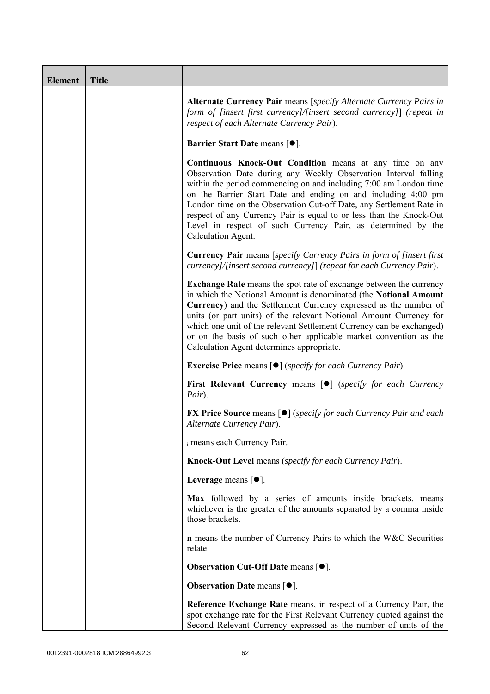| <b>Element</b> | <b>Title</b> |                                                                                                                                                                                                                                                                                                                                                                                                                                                                                                             |
|----------------|--------------|-------------------------------------------------------------------------------------------------------------------------------------------------------------------------------------------------------------------------------------------------------------------------------------------------------------------------------------------------------------------------------------------------------------------------------------------------------------------------------------------------------------|
|                |              | Alternate Currency Pair means [specify Alternate Currency Pairs in<br>form of [insert first currency]/[insert second currency]] (repeat in<br>respect of each Alternate Currency Pair).                                                                                                                                                                                                                                                                                                                     |
|                |              | <b>Barrier Start Date means [<math>\bullet</math>].</b>                                                                                                                                                                                                                                                                                                                                                                                                                                                     |
|                |              | <b>Continuous Knock-Out Condition</b> means at any time on any<br>Observation Date during any Weekly Observation Interval falling<br>within the period commencing on and including 7:00 am London time<br>on the Barrier Start Date and ending on and including 4:00 pm<br>London time on the Observation Cut-off Date, any Settlement Rate in<br>respect of any Currency Pair is equal to or less than the Knock-Out<br>Level in respect of such Currency Pair, as determined by the<br>Calculation Agent. |
|                |              | <b>Currency Pair</b> means [specify Currency Pairs in form of [insert first]<br>currency]/[insert second currency]] (repeat for each Currency Pair).                                                                                                                                                                                                                                                                                                                                                        |
|                |              | <b>Exchange Rate</b> means the spot rate of exchange between the currency<br>in which the Notional Amount is denominated (the Notional Amount<br>Currency) and the Settlement Currency expressed as the number of<br>units (or part units) of the relevant Notional Amount Currency for<br>which one unit of the relevant Settlement Currency can be exchanged)<br>or on the basis of such other applicable market convention as the<br>Calculation Agent determines appropriate.                           |
|                |              | <b>Exercise Price</b> means $\lceil \bullet \rceil$ ( <i>specify for each Currency Pair</i> ).                                                                                                                                                                                                                                                                                                                                                                                                              |
|                |              | <b>First Relevant Currency means [O]</b> (specify for each Currency<br>Pair).                                                                                                                                                                                                                                                                                                                                                                                                                               |
|                |              | <b>FX Price Source means [●]</b> (specify for each Currency Pair and each<br>Alternate Currency Pair).                                                                                                                                                                                                                                                                                                                                                                                                      |
|                |              | i means each Currency Pair.                                                                                                                                                                                                                                                                                                                                                                                                                                                                                 |
|                |              | Knock-Out Level means (specify for each Currency Pair).                                                                                                                                                                                                                                                                                                                                                                                                                                                     |
|                |              | Leverage means $[•]$ .                                                                                                                                                                                                                                                                                                                                                                                                                                                                                      |
|                |              | Max followed by a series of amounts inside brackets, means<br>whichever is the greater of the amounts separated by a comma inside<br>those brackets.                                                                                                                                                                                                                                                                                                                                                        |
|                |              | <b>n</b> means the number of Currency Pairs to which the W&C Securities<br>relate.                                                                                                                                                                                                                                                                                                                                                                                                                          |
|                |              | <b>Observation Cut-Off Date means [<math>\bullet</math>].</b>                                                                                                                                                                                                                                                                                                                                                                                                                                               |
|                |              | <b>Observation Date means <math>[•]</math>.</b>                                                                                                                                                                                                                                                                                                                                                                                                                                                             |
|                |              | Reference Exchange Rate means, in respect of a Currency Pair, the<br>spot exchange rate for the First Relevant Currency quoted against the<br>Second Relevant Currency expressed as the number of units of the                                                                                                                                                                                                                                                                                              |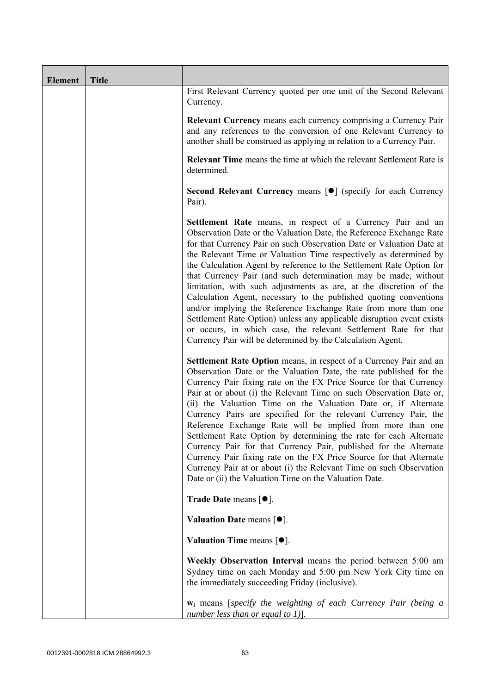| <b>Element</b> | <b>Title</b> |                                                                                                                                                                                                                                                                                                                                                                                                                                                                                                                                                                                                                                                                                                                                                                                                                                                          |
|----------------|--------------|----------------------------------------------------------------------------------------------------------------------------------------------------------------------------------------------------------------------------------------------------------------------------------------------------------------------------------------------------------------------------------------------------------------------------------------------------------------------------------------------------------------------------------------------------------------------------------------------------------------------------------------------------------------------------------------------------------------------------------------------------------------------------------------------------------------------------------------------------------|
|                |              | First Relevant Currency quoted per one unit of the Second Relevant<br>Currency.                                                                                                                                                                                                                                                                                                                                                                                                                                                                                                                                                                                                                                                                                                                                                                          |
|                |              | <b>Relevant Currency</b> means each currency comprising a Currency Pair<br>and any references to the conversion of one Relevant Currency to<br>another shall be construed as applying in relation to a Currency Pair.                                                                                                                                                                                                                                                                                                                                                                                                                                                                                                                                                                                                                                    |
|                |              | <b>Relevant Time</b> means the time at which the relevant Settlement Rate is<br>determined.                                                                                                                                                                                                                                                                                                                                                                                                                                                                                                                                                                                                                                                                                                                                                              |
|                |              | Second Relevant Currency means [ $\bullet$ ] (specify for each Currency<br>Pair).                                                                                                                                                                                                                                                                                                                                                                                                                                                                                                                                                                                                                                                                                                                                                                        |
|                |              | <b>Settlement Rate</b> means, in respect of a Currency Pair and an<br>Observation Date or the Valuation Date, the Reference Exchange Rate<br>for that Currency Pair on such Observation Date or Valuation Date at<br>the Relevant Time or Valuation Time respectively as determined by<br>the Calculation Agent by reference to the Settlement Rate Option for<br>that Currency Pair (and such determination may be made, without<br>limitation, with such adjustments as are, at the discretion of the<br>Calculation Agent, necessary to the published quoting conventions<br>and/or implying the Reference Exchange Rate from more than one<br>Settlement Rate Option) unless any applicable disruption event exists<br>or occurs, in which case, the relevant Settlement Rate for that<br>Currency Pair will be determined by the Calculation Agent. |
|                |              | Settlement Rate Option means, in respect of a Currency Pair and an<br>Observation Date or the Valuation Date, the rate published for the<br>Currency Pair fixing rate on the FX Price Source for that Currency<br>Pair at or about (i) the Relevant Time on such Observation Date or,<br>(ii) the Valuation Time on the Valuation Date or, if Alternate<br>Currency Pairs are specified for the relevant Currency Pair, the<br>Reference Exchange Rate will be implied from more than one<br>Settlement Rate Option by determining the rate for each Alternate<br>Currency Pair for that Currency Pair, published for the Alternate<br>Currency Pair fixing rate on the FX Price Source for that Alternate<br>Currency Pair at or about (i) the Relevant Time on such Observation<br>Date or (ii) the Valuation Time on the Valuation Date.              |
|                |              | <b>Trade Date means <math>\lceil \bullet \rceil</math>.</b>                                                                                                                                                                                                                                                                                                                                                                                                                                                                                                                                                                                                                                                                                                                                                                                              |
|                |              | Valuation Date means $[•]$ .                                                                                                                                                                                                                                                                                                                                                                                                                                                                                                                                                                                                                                                                                                                                                                                                                             |
|                |              | Valuation Time means $[•]$ .                                                                                                                                                                                                                                                                                                                                                                                                                                                                                                                                                                                                                                                                                                                                                                                                                             |
|                |              | Weekly Observation Interval means the period between 5:00 am<br>Sydney time on each Monday and 5:00 pm New York City time on<br>the immediately succeeding Friday (inclusive).                                                                                                                                                                                                                                                                                                                                                                                                                                                                                                                                                                                                                                                                           |
|                |              | <b>w</b> <sub>i</sub> means [specify the weighting of each Currency Pair (being a<br>number less than or equal to 1)].                                                                                                                                                                                                                                                                                                                                                                                                                                                                                                                                                                                                                                                                                                                                   |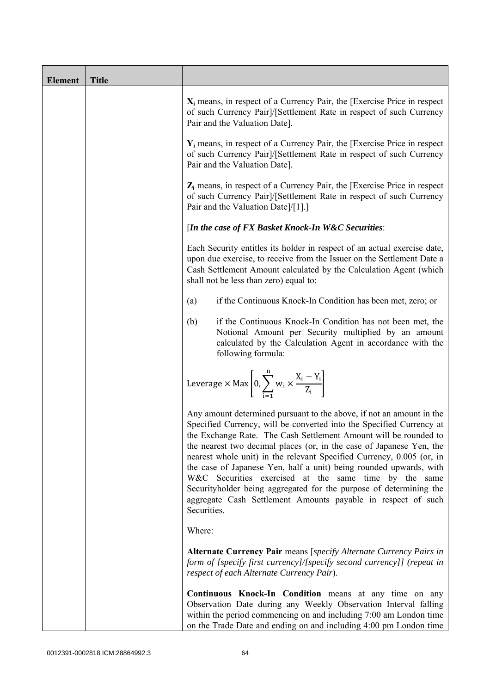| <b>Element</b> | <b>Title</b> |                                                                                                                                                                                                                                                                                                                                                                                                                                                                                                                                                                                                                                                       |
|----------------|--------------|-------------------------------------------------------------------------------------------------------------------------------------------------------------------------------------------------------------------------------------------------------------------------------------------------------------------------------------------------------------------------------------------------------------------------------------------------------------------------------------------------------------------------------------------------------------------------------------------------------------------------------------------------------|
|                |              | $X_i$ means, in respect of a Currency Pair, the [Exercise Price in respect<br>of such Currency Pair]/[Settlement Rate in respect of such Currency<br>Pair and the Valuation Date].                                                                                                                                                                                                                                                                                                                                                                                                                                                                    |
|                |              | $Y_i$ means, in respect of a Currency Pair, the [Exercise Price in respect<br>of such Currency Pair]/[Settlement Rate in respect of such Currency<br>Pair and the Valuation Date].                                                                                                                                                                                                                                                                                                                                                                                                                                                                    |
|                |              | $Z_i$ means, in respect of a Currency Pair, the [Exercise Price in respect<br>of such Currency Pair]/[Settlement Rate in respect of such Currency<br>Pair and the Valuation Date]/[1].]                                                                                                                                                                                                                                                                                                                                                                                                                                                               |
|                |              | [In the case of FX Basket Knock-In W&C Securities:                                                                                                                                                                                                                                                                                                                                                                                                                                                                                                                                                                                                    |
|                |              | Each Security entitles its holder in respect of an actual exercise date,<br>upon due exercise, to receive from the Issuer on the Settlement Date a<br>Cash Settlement Amount calculated by the Calculation Agent (which<br>shall not be less than zero) equal to:                                                                                                                                                                                                                                                                                                                                                                                     |
|                |              | if the Continuous Knock-In Condition has been met, zero; or<br>(a)                                                                                                                                                                                                                                                                                                                                                                                                                                                                                                                                                                                    |
|                |              | if the Continuous Knock-In Condition has not been met, the<br>(b)<br>Notional Amount per Security multiplied by an amount<br>calculated by the Calculation Agent in accordance with the<br>following formula:                                                                                                                                                                                                                                                                                                                                                                                                                                         |
|                |              | Leverage $\times$ Max $\left[0, \sum_{i=1}^{n} w_i \times \frac{X_i - Y_i}{Z_i}\right]$                                                                                                                                                                                                                                                                                                                                                                                                                                                                                                                                                               |
|                |              | Any amount determined pursuant to the above, if not an amount in the<br>Specified Currency, will be converted into the Specified Currency at<br>the Exchange Rate. The Cash Settlement Amount will be rounded to<br>the nearest two decimal places (or, in the case of Japanese Yen, the<br>nearest whole unit) in the relevant Specified Currency, 0.005 (or, in<br>the case of Japanese Yen, half a unit) being rounded upwards, with<br>W&C Securities exercised at the same time by the same<br>Securityholder being aggregated for the purpose of determining the<br>aggregate Cash Settlement Amounts payable in respect of such<br>Securities. |
|                |              | Where:                                                                                                                                                                                                                                                                                                                                                                                                                                                                                                                                                                                                                                                |
|                |              | Alternate Currency Pair means [specify Alternate Currency Pairs in<br>form of [specify first currency]/[specify second currency]] (repeat in<br>respect of each Alternate Currency Pair).                                                                                                                                                                                                                                                                                                                                                                                                                                                             |
|                |              | Continuous Knock-In Condition means at any time on any<br>Observation Date during any Weekly Observation Interval falling<br>within the period commencing on and including 7:00 am London time<br>on the Trade Date and ending on and including 4:00 pm London time                                                                                                                                                                                                                                                                                                                                                                                   |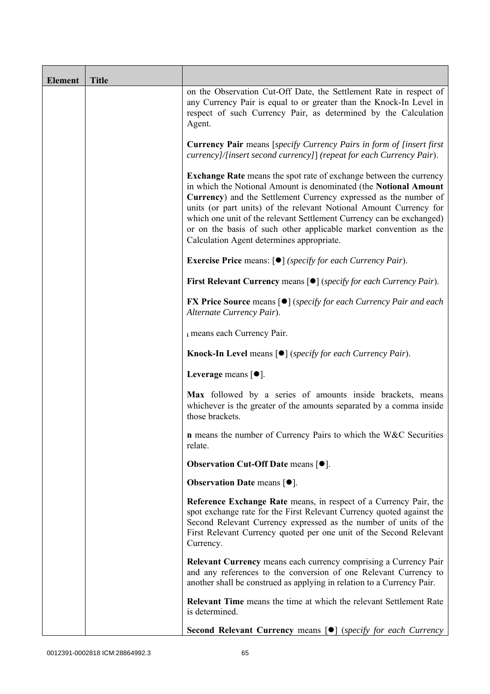| <b>Element</b> | <b>Title</b> |                                                                                                                                                                                                                                                                                                                                                                                                                                                                                   |
|----------------|--------------|-----------------------------------------------------------------------------------------------------------------------------------------------------------------------------------------------------------------------------------------------------------------------------------------------------------------------------------------------------------------------------------------------------------------------------------------------------------------------------------|
|                |              | on the Observation Cut-Off Date, the Settlement Rate in respect of<br>any Currency Pair is equal to or greater than the Knock-In Level in<br>respect of such Currency Pair, as determined by the Calculation<br>Agent.                                                                                                                                                                                                                                                            |
|                |              | <b>Currency Pair</b> means [specify Currency Pairs in form of [insert first<br>currency]/[insert second currency]] (repeat for each Currency Pair).                                                                                                                                                                                                                                                                                                                               |
|                |              | <b>Exchange Rate</b> means the spot rate of exchange between the currency<br>in which the Notional Amount is denominated (the Notional Amount<br>Currency) and the Settlement Currency expressed as the number of<br>units (or part units) of the relevant Notional Amount Currency for<br>which one unit of the relevant Settlement Currency can be exchanged)<br>or on the basis of such other applicable market convention as the<br>Calculation Agent determines appropriate. |
|                |              | <b>Exercise Price</b> means: $\lceil \bullet \rceil$ ( <i>specify for each Currency Pair</i> ).                                                                                                                                                                                                                                                                                                                                                                                   |
|                |              | <b>First Relevant Currency means <math>\lceil \bullet \rceil</math> (specify for each Currency Pair).</b>                                                                                                                                                                                                                                                                                                                                                                         |
|                |              | <b>FX Price Source</b> means $\lceil \bullet \rceil$ (specify for each Currency Pair and each<br>Alternate Currency Pair).                                                                                                                                                                                                                                                                                                                                                        |
|                |              | i means each Currency Pair.                                                                                                                                                                                                                                                                                                                                                                                                                                                       |
|                |              | <b>Knock-In Level</b> means $\lceil \bullet \rceil$ ( <i>specify for each Currency Pair</i> ).                                                                                                                                                                                                                                                                                                                                                                                    |
|                |              | Leverage means $\lceil \bullet \rceil$ .                                                                                                                                                                                                                                                                                                                                                                                                                                          |
|                |              | Max followed by a series of amounts inside brackets, means<br>whichever is the greater of the amounts separated by a comma inside<br>those brackets.                                                                                                                                                                                                                                                                                                                              |
|                |              | <b>n</b> means the number of Currency Pairs to which the W&C Securities<br>relate.                                                                                                                                                                                                                                                                                                                                                                                                |
|                |              | <b>Observation Cut-Off Date means <math>[•]</math>.</b>                                                                                                                                                                                                                                                                                                                                                                                                                           |
|                |              | <b>Observation Date means <math>\lceil \bullet \rceil</math>.</b>                                                                                                                                                                                                                                                                                                                                                                                                                 |
|                |              | Reference Exchange Rate means, in respect of a Currency Pair, the<br>spot exchange rate for the First Relevant Currency quoted against the<br>Second Relevant Currency expressed as the number of units of the<br>First Relevant Currency quoted per one unit of the Second Relevant<br>Currency.                                                                                                                                                                                 |
|                |              | <b>Relevant Currency</b> means each currency comprising a Currency Pair<br>and any references to the conversion of one Relevant Currency to<br>another shall be construed as applying in relation to a Currency Pair.                                                                                                                                                                                                                                                             |
|                |              | <b>Relevant Time</b> means the time at which the relevant Settlement Rate<br>is determined.                                                                                                                                                                                                                                                                                                                                                                                       |
|                |              | <b>Second Relevant Currency means [O]</b> (specify for each Currency                                                                                                                                                                                                                                                                                                                                                                                                              |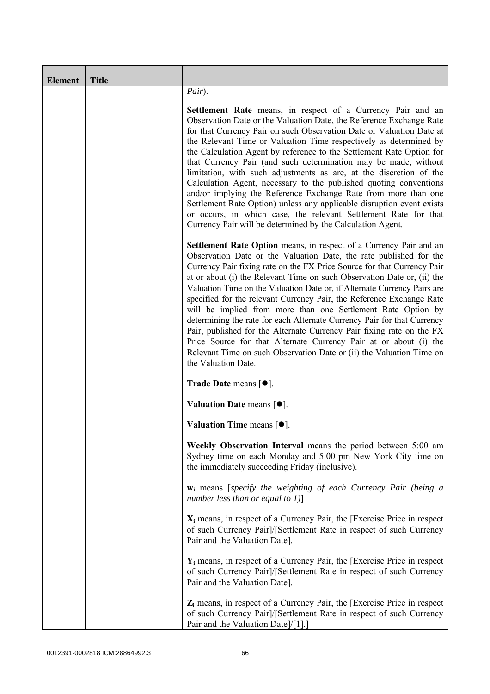| <b>Element</b> | <b>Title</b> |                                                                                                                                                                                                                                                                                                                                                                                                                                                                                                                                                                                                                                                                                                                                                                                                                                                          |
|----------------|--------------|----------------------------------------------------------------------------------------------------------------------------------------------------------------------------------------------------------------------------------------------------------------------------------------------------------------------------------------------------------------------------------------------------------------------------------------------------------------------------------------------------------------------------------------------------------------------------------------------------------------------------------------------------------------------------------------------------------------------------------------------------------------------------------------------------------------------------------------------------------|
|                |              | Pair).                                                                                                                                                                                                                                                                                                                                                                                                                                                                                                                                                                                                                                                                                                                                                                                                                                                   |
|                |              | <b>Settlement Rate</b> means, in respect of a Currency Pair and an<br>Observation Date or the Valuation Date, the Reference Exchange Rate<br>for that Currency Pair on such Observation Date or Valuation Date at<br>the Relevant Time or Valuation Time respectively as determined by<br>the Calculation Agent by reference to the Settlement Rate Option for<br>that Currency Pair (and such determination may be made, without<br>limitation, with such adjustments as are, at the discretion of the<br>Calculation Agent, necessary to the published quoting conventions<br>and/or implying the Reference Exchange Rate from more than one<br>Settlement Rate Option) unless any applicable disruption event exists<br>or occurs, in which case, the relevant Settlement Rate for that<br>Currency Pair will be determined by the Calculation Agent. |
|                |              | <b>Settlement Rate Option</b> means, in respect of a Currency Pair and an<br>Observation Date or the Valuation Date, the rate published for the<br>Currency Pair fixing rate on the FX Price Source for that Currency Pair<br>at or about (i) the Relevant Time on such Observation Date or, (ii) the<br>Valuation Time on the Valuation Date or, if Alternate Currency Pairs are<br>specified for the relevant Currency Pair, the Reference Exchange Rate<br>will be implied from more than one Settlement Rate Option by<br>determining the rate for each Alternate Currency Pair for that Currency<br>Pair, published for the Alternate Currency Pair fixing rate on the FX<br>Price Source for that Alternate Currency Pair at or about (i) the<br>Relevant Time on such Observation Date or (ii) the Valuation Time on<br>the Valuation Date.       |
|                |              | <b>Trade Date means <math>\lceil \bullet \rceil</math>.</b>                                                                                                                                                                                                                                                                                                                                                                                                                                                                                                                                                                                                                                                                                                                                                                                              |
|                |              | Valuation Date means $[•]$ .                                                                                                                                                                                                                                                                                                                                                                                                                                                                                                                                                                                                                                                                                                                                                                                                                             |
|                |              | Valuation Time means $[•]$ .                                                                                                                                                                                                                                                                                                                                                                                                                                                                                                                                                                                                                                                                                                                                                                                                                             |
|                |              | Weekly Observation Interval means the period between 5:00 am<br>Sydney time on each Monday and 5:00 pm New York City time on<br>the immediately succeeding Friday (inclusive).                                                                                                                                                                                                                                                                                                                                                                                                                                                                                                                                                                                                                                                                           |
|                |              | $w_i$ means [specify the weighting of each Currency Pair (being a<br>number less than or equal to $1$ )]                                                                                                                                                                                                                                                                                                                                                                                                                                                                                                                                                                                                                                                                                                                                                 |
|                |              | $X_i$ means, in respect of a Currency Pair, the [Exercise Price in respect]<br>of such Currency Pair]/[Settlement Rate in respect of such Currency<br>Pair and the Valuation Date].                                                                                                                                                                                                                                                                                                                                                                                                                                                                                                                                                                                                                                                                      |
|                |              | $Y_i$ means, in respect of a Currency Pair, the [Exercise Price in respect]<br>of such Currency Pair]/[Settlement Rate in respect of such Currency<br>Pair and the Valuation Date].                                                                                                                                                                                                                                                                                                                                                                                                                                                                                                                                                                                                                                                                      |
|                |              | $Z_i$ means, in respect of a Currency Pair, the [Exercise Price in respect<br>of such Currency Pair]/[Settlement Rate in respect of such Currency<br>Pair and the Valuation Date]/[1].]                                                                                                                                                                                                                                                                                                                                                                                                                                                                                                                                                                                                                                                                  |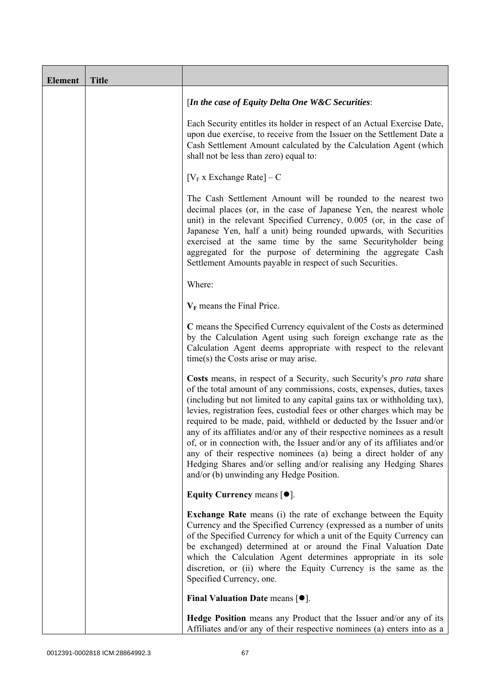| <b>Element</b> | <b>Title</b> |                                                                                                                                                                                                                                                                                                                                                                                                                                                                                                                                                                                                                                                                                                                                |
|----------------|--------------|--------------------------------------------------------------------------------------------------------------------------------------------------------------------------------------------------------------------------------------------------------------------------------------------------------------------------------------------------------------------------------------------------------------------------------------------------------------------------------------------------------------------------------------------------------------------------------------------------------------------------------------------------------------------------------------------------------------------------------|
|                |              | [In the case of Equity Delta One W&C Securities:                                                                                                                                                                                                                                                                                                                                                                                                                                                                                                                                                                                                                                                                               |
|                |              | Each Security entitles its holder in respect of an Actual Exercise Date,<br>upon due exercise, to receive from the Issuer on the Settlement Date a<br>Cash Settlement Amount calculated by the Calculation Agent (which<br>shall not be less than zero) equal to:                                                                                                                                                                                                                                                                                                                                                                                                                                                              |
|                |              | $[V_F x]$ Exchange Rate $] - C$                                                                                                                                                                                                                                                                                                                                                                                                                                                                                                                                                                                                                                                                                                |
|                |              | The Cash Settlement Amount will be rounded to the nearest two<br>decimal places (or, in the case of Japanese Yen, the nearest whole<br>unit) in the relevant Specified Currency, 0.005 (or, in the case of<br>Japanese Yen, half a unit) being rounded upwards, with Securities<br>exercised at the same time by the same Securityholder being<br>aggregated for the purpose of determining the aggregate Cash<br>Settlement Amounts payable in respect of such Securities.                                                                                                                                                                                                                                                    |
|                |              | Where:                                                                                                                                                                                                                                                                                                                                                                                                                                                                                                                                                                                                                                                                                                                         |
|                |              | $V_F$ means the Final Price.                                                                                                                                                                                                                                                                                                                                                                                                                                                                                                                                                                                                                                                                                                   |
|                |              | C means the Specified Currency equivalent of the Costs as determined<br>by the Calculation Agent using such foreign exchange rate as the<br>Calculation Agent deems appropriate with respect to the relevant<br>$time(s)$ the Costs arise or may arise.                                                                                                                                                                                                                                                                                                                                                                                                                                                                        |
|                |              | Costs means, in respect of a Security, such Security's pro rata share<br>of the total amount of any commissions, costs, expenses, duties, taxes<br>(including but not limited to any capital gains tax or withholding tax),<br>levies, registration fees, custodial fees or other charges which may be<br>required to be made, paid, withheld or deducted by the Issuer and/or<br>any of its affiliates and/or any of their respective nominees as a result<br>of, or in connection with, the Issuer and/or any of its affiliates and/or<br>any of their respective nominees (a) being a direct holder of any<br>Hedging Shares and/or selling and/or realising any Hedging Shares<br>and/or (b) unwinding any Hedge Position. |
|                |              | Equity Currency means $[\bullet].$                                                                                                                                                                                                                                                                                                                                                                                                                                                                                                                                                                                                                                                                                             |
|                |              | <b>Exchange Rate</b> means (i) the rate of exchange between the Equity<br>Currency and the Specified Currency (expressed as a number of units<br>of the Specified Currency for which a unit of the Equity Currency can<br>be exchanged) determined at or around the Final Valuation Date<br>which the Calculation Agent determines appropriate in its sole<br>discretion, or (ii) where the Equity Currency is the same as the<br>Specified Currency, one.                                                                                                                                                                                                                                                                     |
|                |              | Final Valuation Date means $[•]$ .                                                                                                                                                                                                                                                                                                                                                                                                                                                                                                                                                                                                                                                                                             |
|                |              | Hedge Position means any Product that the Issuer and/or any of its<br>Affiliates and/or any of their respective nominees (a) enters into as a                                                                                                                                                                                                                                                                                                                                                                                                                                                                                                                                                                                  |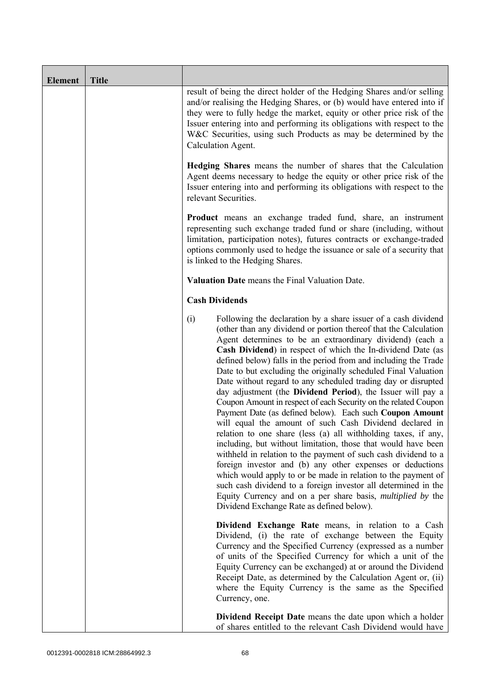| <b>Element</b> | <b>Title</b> |                                                                                                                                                                                                                                                                                                                                                                                                                                                                                                                                                                                                                                                                                                                                                                                                                                                                                                                                                                                                                                                                                                                                                                                                                                                              |
|----------------|--------------|--------------------------------------------------------------------------------------------------------------------------------------------------------------------------------------------------------------------------------------------------------------------------------------------------------------------------------------------------------------------------------------------------------------------------------------------------------------------------------------------------------------------------------------------------------------------------------------------------------------------------------------------------------------------------------------------------------------------------------------------------------------------------------------------------------------------------------------------------------------------------------------------------------------------------------------------------------------------------------------------------------------------------------------------------------------------------------------------------------------------------------------------------------------------------------------------------------------------------------------------------------------|
|                |              | result of being the direct holder of the Hedging Shares and/or selling<br>and/or realising the Hedging Shares, or (b) would have entered into if<br>they were to fully hedge the market, equity or other price risk of the<br>Issuer entering into and performing its obligations with respect to the<br>W&C Securities, using such Products as may be determined by the<br>Calculation Agent.                                                                                                                                                                                                                                                                                                                                                                                                                                                                                                                                                                                                                                                                                                                                                                                                                                                               |
|                |              | Hedging Shares means the number of shares that the Calculation<br>Agent deems necessary to hedge the equity or other price risk of the<br>Issuer entering into and performing its obligations with respect to the<br>relevant Securities.                                                                                                                                                                                                                                                                                                                                                                                                                                                                                                                                                                                                                                                                                                                                                                                                                                                                                                                                                                                                                    |
|                |              | <b>Product</b> means an exchange traded fund, share, an instrument<br>representing such exchange traded fund or share (including, without<br>limitation, participation notes), futures contracts or exchange-traded<br>options commonly used to hedge the issuance or sale of a security that<br>is linked to the Hedging Shares.                                                                                                                                                                                                                                                                                                                                                                                                                                                                                                                                                                                                                                                                                                                                                                                                                                                                                                                            |
|                |              | Valuation Date means the Final Valuation Date.                                                                                                                                                                                                                                                                                                                                                                                                                                                                                                                                                                                                                                                                                                                                                                                                                                                                                                                                                                                                                                                                                                                                                                                                               |
|                |              | <b>Cash Dividends</b>                                                                                                                                                                                                                                                                                                                                                                                                                                                                                                                                                                                                                                                                                                                                                                                                                                                                                                                                                                                                                                                                                                                                                                                                                                        |
|                |              | (i)<br>Following the declaration by a share issuer of a cash dividend<br>(other than any dividend or portion thereof that the Calculation<br>Agent determines to be an extraordinary dividend) (each a<br>Cash Dividend) in respect of which the In-dividend Date (as<br>defined below) falls in the period from and including the Trade<br>Date to but excluding the originally scheduled Final Valuation<br>Date without regard to any scheduled trading day or disrupted<br>day adjustment (the Dividend Period), the Issuer will pay a<br>Coupon Amount in respect of each Security on the related Coupon<br>Payment Date (as defined below). Each such Coupon Amount<br>will equal the amount of such Cash Dividend declared in<br>relation to one share (less (a) all withholding taxes, if any,<br>including, but without limitation, those that would have been<br>withheld in relation to the payment of such cash dividend to a<br>foreign investor and (b) any other expenses or deductions<br>which would apply to or be made in relation to the payment of<br>such cash dividend to a foreign investor all determined in the<br>Equity Currency and on a per share basis, <i>multiplied by</i> the<br>Dividend Exchange Rate as defined below). |
|                |              | Dividend Exchange Rate means, in relation to a Cash<br>Dividend, (i) the rate of exchange between the Equity<br>Currency and the Specified Currency (expressed as a number<br>of units of the Specified Currency for which a unit of the<br>Equity Currency can be exchanged) at or around the Dividend<br>Receipt Date, as determined by the Calculation Agent or, (ii)<br>where the Equity Currency is the same as the Specified<br>Currency, one.                                                                                                                                                                                                                                                                                                                                                                                                                                                                                                                                                                                                                                                                                                                                                                                                         |
|                |              | Dividend Receipt Date means the date upon which a holder<br>of shares entitled to the relevant Cash Dividend would have                                                                                                                                                                                                                                                                                                                                                                                                                                                                                                                                                                                                                                                                                                                                                                                                                                                                                                                                                                                                                                                                                                                                      |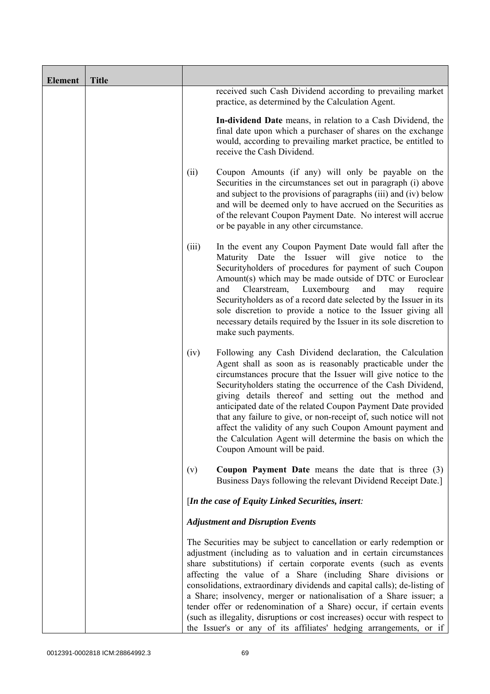| <b>Element</b> | <b>Title</b> |       |                                                                                                                                                                                                                                                                                                                                                                                                                                                                                                                                                                                                                                                              |
|----------------|--------------|-------|--------------------------------------------------------------------------------------------------------------------------------------------------------------------------------------------------------------------------------------------------------------------------------------------------------------------------------------------------------------------------------------------------------------------------------------------------------------------------------------------------------------------------------------------------------------------------------------------------------------------------------------------------------------|
|                |              |       | received such Cash Dividend according to prevailing market<br>practice, as determined by the Calculation Agent.                                                                                                                                                                                                                                                                                                                                                                                                                                                                                                                                              |
|                |              |       | In-dividend Date means, in relation to a Cash Dividend, the<br>final date upon which a purchaser of shares on the exchange<br>would, according to prevailing market practice, be entitled to<br>receive the Cash Dividend.                                                                                                                                                                                                                                                                                                                                                                                                                                   |
|                |              | (ii)  | Coupon Amounts (if any) will only be payable on the<br>Securities in the circumstances set out in paragraph (i) above<br>and subject to the provisions of paragraphs (iii) and (iv) below<br>and will be deemed only to have accrued on the Securities as<br>of the relevant Coupon Payment Date. No interest will accrue<br>or be payable in any other circumstance.                                                                                                                                                                                                                                                                                        |
|                |              | (iii) | In the event any Coupon Payment Date would fall after the<br>Maturity Date the Issuer will give notice to the<br>Securityholders of procedures for payment of such Coupon<br>Amount(s) which may be made outside of DTC or Euroclear<br>Luxembourg<br>Clearstream,<br>and<br>and<br>may<br>require<br>Securityholders as of a record date selected by the Issuer in its<br>sole discretion to provide a notice to the Issuer giving all<br>necessary details required by the Issuer in its sole discretion to<br>make such payments.                                                                                                                         |
|                |              | (iv)  | Following any Cash Dividend declaration, the Calculation<br>Agent shall as soon as is reasonably practicable under the<br>circumstances procure that the Issuer will give notice to the<br>Security holders stating the occurrence of the Cash Dividend,<br>giving details thereof and setting out the method and<br>anticipated date of the related Coupon Payment Date provided<br>that any failure to give, or non-receipt of, such notice will not<br>affect the validity of any such Coupon Amount payment and<br>the Calculation Agent will determine the basis on which the<br>Coupon Amount will be paid.                                            |
|                |              | (v)   | <b>Coupon Payment Date</b> means the date that is three $(3)$<br>Business Days following the relevant Dividend Receipt Date.]                                                                                                                                                                                                                                                                                                                                                                                                                                                                                                                                |
|                |              |       | [In the case of Equity Linked Securities, insert:                                                                                                                                                                                                                                                                                                                                                                                                                                                                                                                                                                                                            |
|                |              |       | <b>Adjustment and Disruption Events</b>                                                                                                                                                                                                                                                                                                                                                                                                                                                                                                                                                                                                                      |
|                |              |       | The Securities may be subject to cancellation or early redemption or<br>adjustment (including as to valuation and in certain circumstances<br>share substitutions) if certain corporate events (such as events<br>affecting the value of a Share (including Share divisions or<br>consolidations, extraordinary dividends and capital calls); de-listing of<br>a Share; insolvency, merger or nationalisation of a Share issuer; a<br>tender offer or redenomination of a Share) occur, if certain events<br>(such as illegality, disruptions or cost increases) occur with respect to<br>the Issuer's or any of its affiliates' hedging arrangements, or if |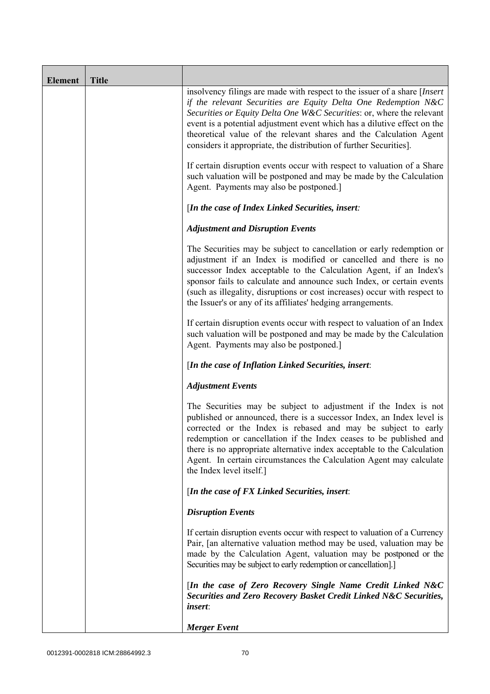| <b>Element</b> | <b>Title</b> |                                                                                                                                                                                                                                                                                                                                                                                                                                                               |
|----------------|--------------|---------------------------------------------------------------------------------------------------------------------------------------------------------------------------------------------------------------------------------------------------------------------------------------------------------------------------------------------------------------------------------------------------------------------------------------------------------------|
|                |              | insolvency filings are made with respect to the issuer of a share [Insert]<br>if the relevant Securities are Equity Delta One Redemption N&C<br>Securities or Equity Delta One W&C Securities: or, where the relevant<br>event is a potential adjustment event which has a dilutive effect on the<br>theoretical value of the relevant shares and the Calculation Agent<br>considers it appropriate, the distribution of further Securities].                 |
|                |              | If certain disruption events occur with respect to valuation of a Share<br>such valuation will be postponed and may be made by the Calculation<br>Agent. Payments may also be postponed.]                                                                                                                                                                                                                                                                     |
|                |              | [In the case of Index Linked Securities, insert:                                                                                                                                                                                                                                                                                                                                                                                                              |
|                |              | <b>Adjustment and Disruption Events</b>                                                                                                                                                                                                                                                                                                                                                                                                                       |
|                |              | The Securities may be subject to cancellation or early redemption or<br>adjustment if an Index is modified or cancelled and there is no<br>successor Index acceptable to the Calculation Agent, if an Index's<br>sponsor fails to calculate and announce such Index, or certain events<br>(such as illegality, disruptions or cost increases) occur with respect to<br>the Issuer's or any of its affiliates' hedging arrangements.                           |
|                |              | If certain disruption events occur with respect to valuation of an Index<br>such valuation will be postponed and may be made by the Calculation<br>Agent. Payments may also be postponed.]                                                                                                                                                                                                                                                                    |
|                |              | [In the case of Inflation Linked Securities, insert:                                                                                                                                                                                                                                                                                                                                                                                                          |
|                |              | <b>Adjustment Events</b>                                                                                                                                                                                                                                                                                                                                                                                                                                      |
|                |              | The Securities may be subject to adjustment if the Index is not<br>published or announced, there is a successor Index, an Index level is<br>corrected or the Index is rebased and may be subject to early<br>redemption or cancellation if the Index ceases to be published and<br>there is no appropriate alternative index acceptable to the Calculation<br>Agent. In certain circumstances the Calculation Agent may calculate<br>the Index level itself.] |
|                |              | [In the case of FX Linked Securities, insert:                                                                                                                                                                                                                                                                                                                                                                                                                 |
|                |              | <b>Disruption Events</b>                                                                                                                                                                                                                                                                                                                                                                                                                                      |
|                |              | If certain disruption events occur with respect to valuation of a Currency<br>Pair, [an alternative valuation method may be used, valuation may be<br>made by the Calculation Agent, valuation may be postponed or the<br>Securities may be subject to early redemption or cancellation].]                                                                                                                                                                    |
|                |              | [In the case of Zero Recovery Single Name Credit Linked N&C<br>Securities and Zero Recovery Basket Credit Linked N&C Securities,<br><i>insert</i> :                                                                                                                                                                                                                                                                                                           |
|                |              | <b>Merger</b> Event                                                                                                                                                                                                                                                                                                                                                                                                                                           |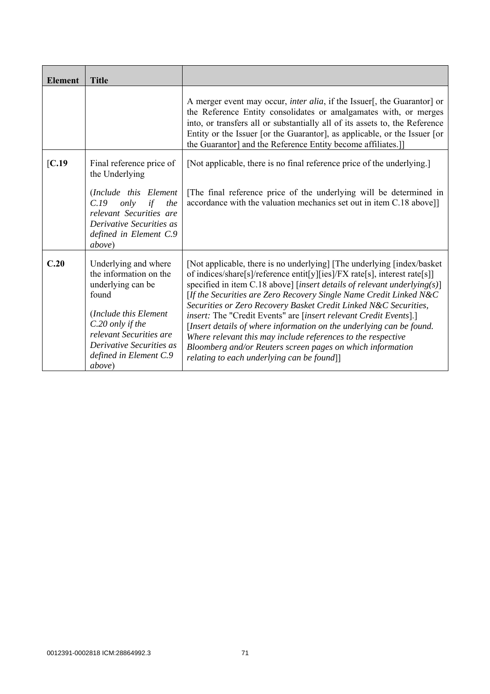| <b>Element</b> | <b>Title</b>                                                                                                                                                                                                         |                                                                                                                                                                                                                                                                                                                                                                                                                                                                                                                                                                                                                                                                                                            |
|----------------|----------------------------------------------------------------------------------------------------------------------------------------------------------------------------------------------------------------------|------------------------------------------------------------------------------------------------------------------------------------------------------------------------------------------------------------------------------------------------------------------------------------------------------------------------------------------------------------------------------------------------------------------------------------------------------------------------------------------------------------------------------------------------------------------------------------------------------------------------------------------------------------------------------------------------------------|
|                |                                                                                                                                                                                                                      | A merger event may occur, <i>inter alia</i> , if the Issuer[, the Guarantor] or<br>the Reference Entity consolidates or amalgamates with, or merges<br>into, or transfers all or substantially all of its assets to, the Reference<br>Entity or the Issuer [or the Guarantor], as applicable, or the Issuer [or<br>the Guarantor] and the Reference Entity become affiliates.]                                                                                                                                                                                                                                                                                                                             |
| IC.19          | Final reference price of<br>the Underlying                                                                                                                                                                           | [Not applicable, there is no final reference price of the underlying.]                                                                                                                                                                                                                                                                                                                                                                                                                                                                                                                                                                                                                                     |
|                | (Include this Element<br>C.19<br>only<br>if<br>the<br>relevant Securities are<br>Derivative Securities as<br>defined in Element C.9<br><i>above</i> )                                                                | The final reference price of the underlying will be determined in<br>accordance with the valuation mechanics set out in item C.18 above]]                                                                                                                                                                                                                                                                                                                                                                                                                                                                                                                                                                  |
| C.20           | Underlying and where<br>the information on the<br>underlying can be<br>found<br>(Include this Element<br>C.20 only if the<br>relevant Securities are<br>Derivative Securities as<br>defined in Element C.9<br>above) | [Not applicable, there is no underlying] [The underlying [index/basket]<br>of indices/share[s]/reference entit[y][ies]/FX rate[s], interest rate[s]]<br>specified in item C.18 above] [insert details of relevant underlying(s)]<br>[If the Securities are Zero Recovery Single Name Credit Linked N&C<br>Securities or Zero Recovery Basket Credit Linked N&C Securities,<br><i>insert:</i> The "Credit Events" are [insert relevant Credit Events].]<br>[Insert details of where information on the underlying can be found.<br>Where relevant this may include references to the respective<br>Bloomberg and/or Reuters screen pages on which information<br>relating to each underlying can be found]] |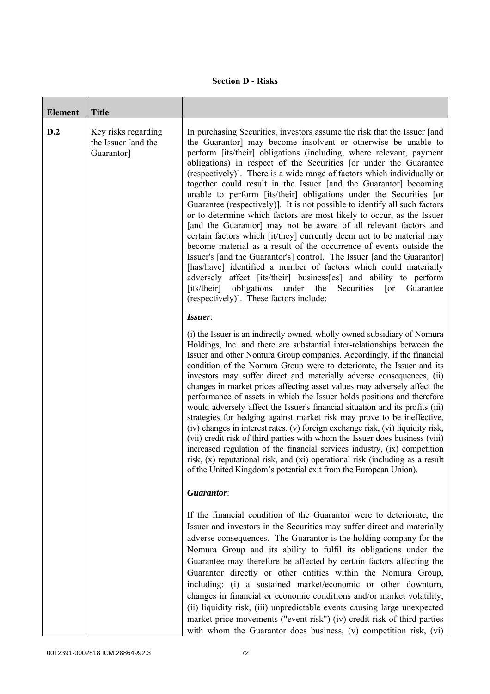## **Section D - Risks**

| <b>Element</b> | <b>Title</b>                                             |                                                                                                                                                                                                                                                                                                                                                                                                                                                                                                                                                                                                                                                                                                                                                                                                                                                                                                                                                                                                                                                                                                                                                                                                                                           |
|----------------|----------------------------------------------------------|-------------------------------------------------------------------------------------------------------------------------------------------------------------------------------------------------------------------------------------------------------------------------------------------------------------------------------------------------------------------------------------------------------------------------------------------------------------------------------------------------------------------------------------------------------------------------------------------------------------------------------------------------------------------------------------------------------------------------------------------------------------------------------------------------------------------------------------------------------------------------------------------------------------------------------------------------------------------------------------------------------------------------------------------------------------------------------------------------------------------------------------------------------------------------------------------------------------------------------------------|
| D.2            | Key risks regarding<br>the Issuer [and the<br>Guarantor] | In purchasing Securities, investors assume the risk that the Issuer [and<br>the Guarantor] may become insolvent or otherwise be unable to<br>perform [its/their] obligations (including, where relevant, payment<br>obligations) in respect of the Securities [or under the Guarantee<br>(respectively)]. There is a wide range of factors which individually or<br>together could result in the Issuer [and the Guarantor] becoming<br>unable to perform [its/their] obligations under the Securities [or<br>Guarantee (respectively). It is not possible to identify all such factors<br>or to determine which factors are most likely to occur, as the Issuer<br>[and the Guarantor] may not be aware of all relevant factors and<br>certain factors which [it/they] currently deem not to be material may<br>become material as a result of the occurrence of events outside the<br>Issuer's [and the Guarantor's] control. The Issuer [and the Guarantor]<br>[has/have] identified a number of factors which could materially<br>adversely affect [its/their] business[es] and ability to perform<br>[its/their]<br>obligations<br>under<br>the<br>Securities<br>Guarantee<br>$\lceil$ or<br>(respectively)]. These factors include: |
|                |                                                          | Issuer:<br>(i) the Issuer is an indirectly owned, wholly owned subsidiary of Nomura<br>Holdings, Inc. and there are substantial inter-relationships between the<br>Issuer and other Nomura Group companies. Accordingly, if the financial<br>condition of the Nomura Group were to deteriorate, the Issuer and its<br>investors may suffer direct and materially adverse consequences, (ii)<br>changes in market prices affecting asset values may adversely affect the<br>performance of assets in which the Issuer holds positions and therefore<br>would adversely affect the Issuer's financial situation and its profits (iii)<br>strategies for hedging against market risk may prove to be ineffective,<br>(iv) changes in interest rates, (v) foreign exchange risk, (vi) liquidity risk,<br>(vii) credit risk of third parties with whom the Issuer does business (viii)<br>increased regulation of the financial services industry, (ix) competition<br>risk, (x) reputational risk, and (xi) operational risk (including as a result<br>of the United Kingdom's potential exit from the European Union).                                                                                                                       |
|                |                                                          | Guarantor:                                                                                                                                                                                                                                                                                                                                                                                                                                                                                                                                                                                                                                                                                                                                                                                                                                                                                                                                                                                                                                                                                                                                                                                                                                |
|                |                                                          | If the financial condition of the Guarantor were to deteriorate, the<br>Issuer and investors in the Securities may suffer direct and materially<br>adverse consequences. The Guarantor is the holding company for the<br>Nomura Group and its ability to fulfil its obligations under the<br>Guarantee may therefore be affected by certain factors affecting the<br>Guarantor directly or other entities within the Nomura Group,<br>including: (i) a sustained market/economic or other downturn,<br>changes in financial or economic conditions and/or market volatility,<br>(ii) liquidity risk, (iii) unpredictable events causing large unexpected<br>market price movements ("event risk") (iv) credit risk of third parties<br>with whom the Guarantor does business, (v) competition risk, (vi)                                                                                                                                                                                                                                                                                                                                                                                                                                  |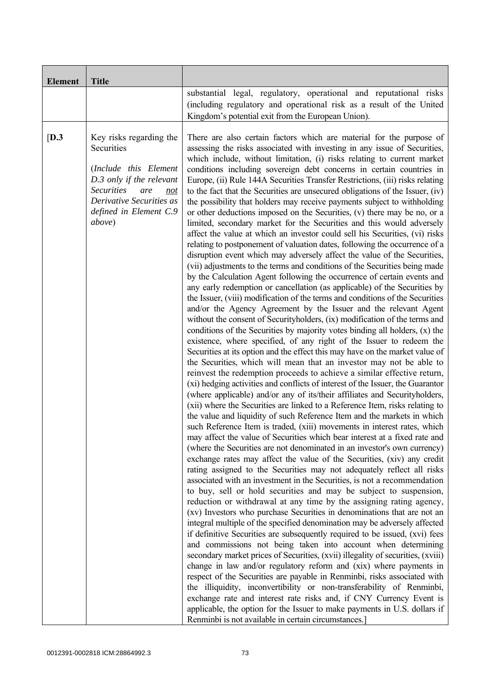| <b>Element</b> | <b>Title</b>                                                                                                                                                                                          |                                                                                                                                                                                                                                                                                                                                                                                                                                                                                                                                                                                                                                                                                                                                                                                                                                                                                                                                                                                                                                                                                                                                                                                                                                                                                                                                                                                                                                                                                                                                                                                                                                                                                                                                                                                                                                                                                                                                                                                                                                                                                                                                                                                                                                                                                                                                                                                                                                                                                                                                                                                                                                                                                                                                                                                                                                                                                                                                                                                                                                                                                                                                                                                                                                                                                                                                                                                                                                                                                                                                                                                                      |
|----------------|-------------------------------------------------------------------------------------------------------------------------------------------------------------------------------------------------------|------------------------------------------------------------------------------------------------------------------------------------------------------------------------------------------------------------------------------------------------------------------------------------------------------------------------------------------------------------------------------------------------------------------------------------------------------------------------------------------------------------------------------------------------------------------------------------------------------------------------------------------------------------------------------------------------------------------------------------------------------------------------------------------------------------------------------------------------------------------------------------------------------------------------------------------------------------------------------------------------------------------------------------------------------------------------------------------------------------------------------------------------------------------------------------------------------------------------------------------------------------------------------------------------------------------------------------------------------------------------------------------------------------------------------------------------------------------------------------------------------------------------------------------------------------------------------------------------------------------------------------------------------------------------------------------------------------------------------------------------------------------------------------------------------------------------------------------------------------------------------------------------------------------------------------------------------------------------------------------------------------------------------------------------------------------------------------------------------------------------------------------------------------------------------------------------------------------------------------------------------------------------------------------------------------------------------------------------------------------------------------------------------------------------------------------------------------------------------------------------------------------------------------------------------------------------------------------------------------------------------------------------------------------------------------------------------------------------------------------------------------------------------------------------------------------------------------------------------------------------------------------------------------------------------------------------------------------------------------------------------------------------------------------------------------------------------------------------------------------------------------------------------------------------------------------------------------------------------------------------------------------------------------------------------------------------------------------------------------------------------------------------------------------------------------------------------------------------------------------------------------------------------------------------------------------------------------------------------|
|                |                                                                                                                                                                                                       | substantial legal, regulatory, operational and reputational risks<br>(including regulatory and operational risk as a result of the United<br>Kingdom's potential exit from the European Union).                                                                                                                                                                                                                                                                                                                                                                                                                                                                                                                                                                                                                                                                                                                                                                                                                                                                                                                                                                                                                                                                                                                                                                                                                                                                                                                                                                                                                                                                                                                                                                                                                                                                                                                                                                                                                                                                                                                                                                                                                                                                                                                                                                                                                                                                                                                                                                                                                                                                                                                                                                                                                                                                                                                                                                                                                                                                                                                                                                                                                                                                                                                                                                                                                                                                                                                                                                                                      |
| [D.3]          | Key risks regarding the<br>Securities<br>(Include this Element<br>D.3 only if the relevant<br><b>Securities</b><br>are<br>not<br>Derivative Securities as<br>defined in Element C.9<br><i>above</i> ) | There are also certain factors which are material for the purpose of<br>assessing the risks associated with investing in any issue of Securities,<br>which include, without limitation, (i) risks relating to current market<br>conditions including sovereign debt concerns in certain countries in<br>Europe, (ii) Rule 144A Securities Transfer Restrictions, (iii) risks relating<br>to the fact that the Securities are unsecured obligations of the Issuer, (iv)<br>the possibility that holders may receive payments subject to withholding<br>or other deductions imposed on the Securities, (v) there may be no, or a<br>limited, secondary market for the Securities and this would adversely<br>affect the value at which an investor could sell his Securities, (vi) risks<br>relating to postponement of valuation dates, following the occurrence of a<br>disruption event which may adversely affect the value of the Securities,<br>(vii) adjustments to the terms and conditions of the Securities being made<br>by the Calculation Agent following the occurrence of certain events and<br>any early redemption or cancellation (as applicable) of the Securities by<br>the Issuer, (viii) modification of the terms and conditions of the Securities<br>and/or the Agency Agreement by the Issuer and the relevant Agent<br>without the consent of Securityholders, (ix) modification of the terms and<br>conditions of the Securities by majority votes binding all holders, $(x)$ the<br>existence, where specified, of any right of the Issuer to redeem the<br>Securities at its option and the effect this may have on the market value of<br>the Securities, which will mean that an investor may not be able to<br>reinvest the redemption proceeds to achieve a similar effective return,<br>(xi) hedging activities and conflicts of interest of the Issuer, the Guarantor<br>(where applicable) and/or any of its/their affiliates and Securityholders,<br>(xii) where the Securities are linked to a Reference Item, risks relating to<br>the value and liquidity of such Reference Item and the markets in which<br>such Reference Item is traded, (xiii) movements in interest rates, which<br>may affect the value of Securities which bear interest at a fixed rate and<br>(where the Securities are not denominated in an investor's own currency)<br>exchange rates may affect the value of the Securities, (xiv) any credit<br>rating assigned to the Securities may not adequately reflect all risks<br>associated with an investment in the Securities, is not a recommendation<br>to buy, sell or hold securities and may be subject to suspension,<br>reduction or withdrawal at any time by the assigning rating agency,<br>(xv) Investors who purchase Securities in denominations that are not an<br>integral multiple of the specified denomination may be adversely affected<br>if definitive Securities are subsequently required to be issued, (xvi) fees<br>and commissions not being taken into account when determining<br>secondary market prices of Securities, (xvii) illegality of securities, (xviii)<br>change in law and/or regulatory reform and (xix) where payments in<br>respect of the Securities are payable in Renminbi, risks associated with<br>the illiquidity, inconvertibility or non-transferability of Renminbi,<br>exchange rate and interest rate risks and, if CNY Currency Event is<br>applicable, the option for the Issuer to make payments in U.S. dollars if<br>Renminbi is not available in certain circumstances.] |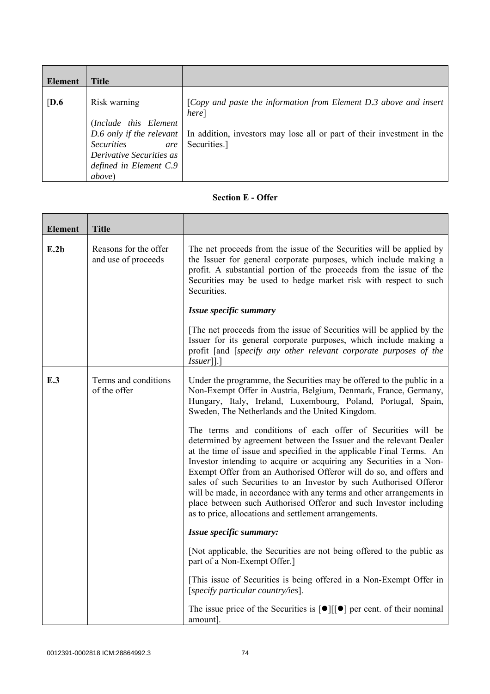| Element          | <b>Title</b>                                                                                                                              |                                                                                                                                                                                                 |
|------------------|-------------------------------------------------------------------------------------------------------------------------------------------|-------------------------------------------------------------------------------------------------------------------------------------------------------------------------------------------------|
| $\overline{D.6}$ | Risk warning<br>(Include this Element<br><b>Securities</b><br>are<br>Derivative Securities as<br>defined in Element C.9<br><i>above</i> ) | [Copy and paste the information from Element D.3 above and insert<br>here]<br>D.6 only if the relevant   In addition, investors may lose all or part of their investment in the<br>Securities.] |

## **Section E - Offer**

| <b>Element</b> | <b>Title</b>                                 |                                                                                                                                                                                                                                                                                                                                                                                                                                                                                                                                                                                                                                     |
|----------------|----------------------------------------------|-------------------------------------------------------------------------------------------------------------------------------------------------------------------------------------------------------------------------------------------------------------------------------------------------------------------------------------------------------------------------------------------------------------------------------------------------------------------------------------------------------------------------------------------------------------------------------------------------------------------------------------|
| E.2b           | Reasons for the offer<br>and use of proceeds | The net proceeds from the issue of the Securities will be applied by<br>the Issuer for general corporate purposes, which include making a<br>profit. A substantial portion of the proceeds from the issue of the<br>Securities may be used to hedge market risk with respect to such<br>Securities.                                                                                                                                                                                                                                                                                                                                 |
|                |                                              | Issue specific summary                                                                                                                                                                                                                                                                                                                                                                                                                                                                                                                                                                                                              |
|                |                                              | The net proceeds from the issue of Securities will be applied by the<br>Issuer for its general corporate purposes, which include making a<br>profit [and [specify any other relevant corporate purposes of the<br>$Issuer$ [].]                                                                                                                                                                                                                                                                                                                                                                                                     |
| E.3            | Terms and conditions<br>of the offer         | Under the programme, the Securities may be offered to the public in a<br>Non-Exempt Offer in Austria, Belgium, Denmark, France, Germany,<br>Hungary, Italy, Ireland, Luxembourg, Poland, Portugal, Spain,<br>Sweden, The Netherlands and the United Kingdom.                                                                                                                                                                                                                                                                                                                                                                        |
|                |                                              | The terms and conditions of each offer of Securities will be<br>determined by agreement between the Issuer and the relevant Dealer<br>at the time of issue and specified in the applicable Final Terms. An<br>Investor intending to acquire or acquiring any Securities in a Non-<br>Exempt Offer from an Authorised Offeror will do so, and offers and<br>sales of such Securities to an Investor by such Authorised Offeror<br>will be made, in accordance with any terms and other arrangements in<br>place between such Authorised Offeror and such Investor including<br>as to price, allocations and settlement arrangements. |
|                |                                              | Issue specific summary:                                                                                                                                                                                                                                                                                                                                                                                                                                                                                                                                                                                                             |
|                |                                              | [Not applicable, the Securities are not being offered to the public as<br>part of a Non-Exempt Offer.]                                                                                                                                                                                                                                                                                                                                                                                                                                                                                                                              |
|                |                                              | [This issue of Securities is being offered in a Non-Exempt Offer in<br>[specify particular country/ies].                                                                                                                                                                                                                                                                                                                                                                                                                                                                                                                            |
|                |                                              | The issue price of the Securities is $\lceil \bullet \rceil \lceil \cdot \rceil$ per cent. of their nominal<br>amount].                                                                                                                                                                                                                                                                                                                                                                                                                                                                                                             |